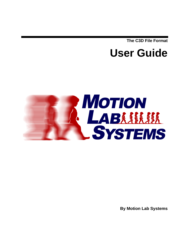**The C3D File Format** 

# **User Guide**



**By Motion Lab Systems**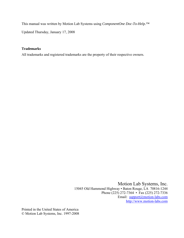This manual was written by Motion Lab Systems using *ComponentOne Doc-To-Help.™* Updated Thursday, January 17, 2008

#### **Trademarks**

All trademarks and registered trademarks are the property of their respective owners.

Motion Lab Systems, Inc. 15045 Old Hammond Highway • Baton Rouge, LA 70816-1244 Phone (225) 272-7364 • Fax (225) 272-7336 Email: [support@motion-labs.com](mailto:support@motion-labs.com) [http://www.motion-labs.com](http://www.motion-labs.com/)

Printed in the United States of America © Motion Lab Systems, Inc. 1997-2008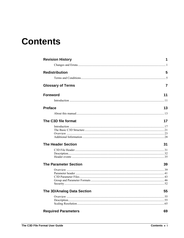# **Contents**

| <b>Revision History</b>      | 1  |
|------------------------------|----|
|                              |    |
| <b>Redistribution</b>        | 5  |
|                              |    |
| <b>Glossary of Terms</b>     | 7  |
| <b>Foreword</b>              | 11 |
|                              |    |
|                              |    |
| <b>Preface</b>               | 13 |
|                              |    |
| The C3D file format          | 17 |
|                              |    |
|                              |    |
|                              |    |
| <b>The Header Section</b>    | 31 |
|                              |    |
|                              |    |
|                              |    |
| <b>The Parameter Section</b> | 39 |
|                              |    |
|                              |    |
|                              |    |
|                              |    |
| The 3D/Analog Data Section   | 55 |
|                              |    |
|                              |    |
|                              |    |
| <b>Required Parameters</b>   | 69 |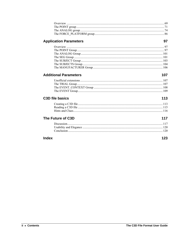## **Application Parameters**

### **Additional Parameters**

## C3D file basics

# The Future of C3D

### **Index**

123

97

107

113

117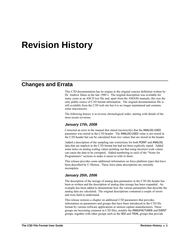# <span id="page-4-0"></span>**Revision History**

## **Changes and Errata**

This C3D documentation has its origins in the original concise definition written by Dr. Andrew Danis in the late 1980's. The original description was available for many years as an ASCII text file and, apart from the AMASS manuals, this was the only public source of C3D format information. The original documentation file is still available from the C3D web site but it is no longer maintained and contains some inaccuracies.

The following history is in reverse chronological order, starting with details of the most recent revisions.

#### *January 17th, 2008*

Corrected an error in the manual that stated (incorrectly) that the ANALOG:USED parameter was stored in the C3D header. The ANALOG:USED value is *not* stored in the C3D header but can be calculated from two values that are stored in the header.

Added a description of the sampling rate restrictions for both POINT and ANALOG data that are implicit in the C3D format but had not been explicitly stated. Added some notes on analog scaling values pointing out that using incorrect scale values can cause the data to be corrupted. Added numbering to each of the "Notes for Programmers" sections to make it easier to refer to them.

This release provides some additional information on force platform types that have been described by C-Motion. These force plate descriptions are currently incomplete.

#### *January 25th, 2006*

The description of the storage of analog data parameters in the C3D file header has been re-written and the description of analog data storage has been expanded. An example has been added to demonstrate how the various parameters that describe the analog data are calculated. The original descriptions contained a couple of errors and were hard to understand.

This release restores a chapter on additional C3D parameters that provides information on parameters and groups that have been introduced to the C3D file format by various software applications or motion capture manufacturers. These groups are becoming common in C3D files, notably the MANUFACTURER and EVENT groups, together with other groups such as the SEG and TRIAL groups that provide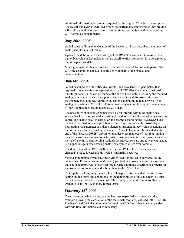additional information, but are not required by the original C3D format description. The EVENT and EVENT\_CONTEXT groups are particularly interesting as they provide a flexible method of storing event and other time specific data within the existing C3D format using parameters.

### *July 20th, 2005*

Added some additional explanation of the header word that describes the number of analog samples in a 3D frame.

Updated the definition of the FORCE\_PLATFORM:ZERO parameter to make it clear that only a value of 0,0 indicates that no baseline offset correction is to be applied to the force platform data.

Minor grammatical changes to reserve the word "*section*" for use with parts of the C3D file description and avoid confusion with parts of the manual and documentation.

### *July 6th, 2004*

Added descriptions of the ANALOG:FORMAT and ANALOG:BITS parameters that required to enable software applications to read C3D files that contain unsigned 16 bit integer data. These can be found at the end of the chapter discussing the required analog parameters. These descriptions, and an additional discussion at the start of the chapter, should be read carefully by anyone attempting to read or write 16-bit analog data values in C3D files. This is mandatory reading for anyone maintaining  $3<sup>rd</sup>$  party applications that read analog C3D data.

The possibility of encountering unsigned 16-bit integers within the analog data storage has lead to substantial alteration of the descriptions of most of the parameters controlling analog data. In particular, the chapter describing the ANALOG:OFFSET parameter has had to be completely rewritten to accommodate the possibility of interpreting the parameter as either a signed or unsigned integer value depending on the format used to store analog data values. A brief chapter has been added at the end of the ANALOG:OFFSET discussion that describes methods of "zeroing" analog data to remove measurement offsets. While this document takes no position as to the merits of any of the data zeroing methods described, users are strongly encouraged to use signed integers when storing analog data values where ever possible.

The description of the ORIGIN(3) parameter for TYPE-3 force plates has been changed to make it clear that this value is normally negative.

Various typographic errors have been either fixed (or moved to new areas of the document). Please let us know if (when) you find any errors or vague descriptions that could be improved. Please feel free to write additional descriptions or items for inclusion in this document and submit them to the C3D-L list.

To keep the bankers, lawyers and other folk happy, a formal redistribution clause setting out the terms and conditions for the redistribution of this document by third parties has been added to the manual. This simply sets out the previous "freely available to all" policy in more formal terms.

### *February 16th 2003*

The chapter describing analog scaling has been expanded to include a worked example showing the calculation of the scale factor for a typical load cell. The C3D File basics and final chapter on the future of the C3D format have been expanded with addition information and commentary.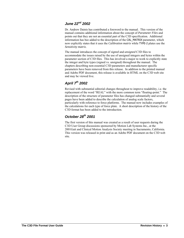### *June 22nd 2002*

Dr. Andrew Dainis has contributed a foreword to the manual. This version of the manual contains additional information about the concept of *Parameter Files* and points out that they are not an essential part of the C3D specification. Additional information has bee added to the description of the CAL\_MATRIX parameter, which now explicitly states that it uses the *Calibration matrix* while TYPE-2 plates use the *Sensitivity matrix*.

The manual introduces the concept of *signed* and *unsigned* C3D files to accommodate the issues raised by the use of unsigned integers and bytes within the parameter section of C3D files. This has involved a major re-work to explicitly state the integer and byte types (signed vs. unsigned) throughout the manual. The chapters describing non-essential C3D parameters and manufacturer specific parameters have been removed from this release. In addition to the printed manual and Adobe PDF document, this release is available in HTML on the C3D web site and may be viewed live.

## *April 7th 2002*

Revised with substantial editorial changes throughout to improve readability, i.e. the replacement of the word "REAL" with the more common term "floating-point." The description of the structure of parameter files has changed substantially and several pages have been added to describe the calculation of analog scale factors, particularly with reference to force platforms. The manual now includes examples of the calculations for each type of force plate. A short description of the history of the C3D format has been added to the introduction.

### *October 28th 2001*

The first version of this manual was created as a result of user requests during the C3D User Group discussions sponsored by Motion Lab Systems Inc., at the 2001Gait and Clinical Motion Analysis Society meeting in Sacramento, California. This version was released in print and as an Adobe PDF document on the C3D web site.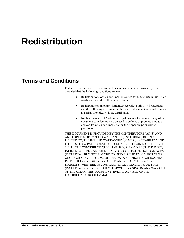# <span id="page-8-0"></span>**Redistribution**

# **Terms and Conditions**

Redistribution and use of this document in source and binary forms are permitted provided that the following conditions are met:

- Redistributions of this document in source form must retain this list of conditions, and the following disclaimer.
- Redistributions in binary form must reproduce this list of conditions and the following disclaimer in the printed documentation and/or other materials provided with the distribution.
- Neither the name of Motion Lab Systems, nor the names of any of the document contributors may be used to endorse or promote products derived from this documentation without specific prior written permission.

THIS DOCUMENT IS PROVIDED BY THE CONTRIBUTORS "AS IS" AND ANY EXPRESS OR IMPLIED WARRANTIES, INCLUDING, BUT NOT LIMITED TO, THE IMPLIED WARRANTIES OF MERCHANTABILITY AND FITNESS FOR A PARTICULAR PURPOSE ARE DISCLAIMED. IN NO EVENT SHALL THE CONTRIBUTORS BE LIABLE FOR ANY DIRECT, INDIRECT, INCIDENTAL, SPECIAL, EXEMPLARY, OR CONSEQUENTIAL DAMAGES (INCLUDING, BUT NOT LIMITED TO, PROCUREMENT OF SUBSTITUTE GOODS OR SERVICES; LOSS OF USE, DATA, OR PROFITS; OR BUSINESS INTERRUPTION) HOWEVER CAUSED AND ON ANY THEORY OF LIABILITY, WHETHER IN CONTRACT, STRICT LIABILITY, OR TORT (INCLUDING NEGLIGENCE OR OTHERWISE) ARISING IN ANY WAY OUT OF THE USE OF THIS DOCUMENT, EVEN IF ADVISED OF THE POSSIBILITY OF SUCH DAMAGE.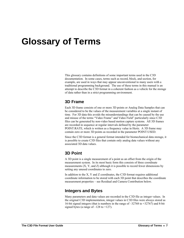# <span id="page-10-0"></span>**Glossary of Terms**

This glossary contains definitions of some important terms used in the C3D documentation. In some cases, terms such as record, block, and section, for example, are used in ways that may appear unconventional to many users with a traditional programming background. The use of these terms in this manual is an attempt to describe the C3D format in a coherent fashion as a vehicle for the storage of data rather than in a strict programming environment.

#### **3D Frame**

Each 3D frame consists of one or more 3D points or Analog Data Samples that can be considered to be the values of the measurement variables at a single instant of time. For 3D data this avoids the misunderstandings that can be caused by the use and misuse of the terms "Video Frame" and Video Field" particularly since C3D files can be generated by non-video based motion capture systems. All 3D frames are recorded in sequence at regular intervals defined by the parameter POINT:RATE, which is written as a frequency value in Hertz. A 3D frame may contain zero or more 3D points as recorded in the parameter POINT:USED.

Since the C3D format is a general format intended for biomechanical data storage, it is possible to create C3D files that contain only analog data values without any associated 3D data values.

## **3D Point**

A 3D point is a single measurement of a point as an offset from the origin of the measurement system. In its most basic form this consists of three coordinate measurements  $(X, Y, and Z)$  although it is possible to record fewer dimensions by setting any unused coordinates to zero.

In addition to the X, Y and Z coordinates, the C3D format requires additional coordinate information to be stored with each 3D point that describes the coordinate measurement properties – see Residual and Camera Contribution below.

### **Integers and Bytes**

Many parameters and data values are recorded in the C3D file as integer values. In the original C3D implementation, integer values in C3D files were always stored as 16-bit signed integers (that is numbers in the range of –32768 to +32767) and 8-bit signed bytes (a range of  $-128$  to  $+127$ ).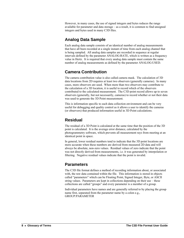However, in many cases, the use of signed integers and bytes reduces the range available for parameter and data storage – as a result, it is common to find unsigned integers and bytes used in many C3D files.

## **Analog Data Sample**

Each analog data sample consists of an identical number of analog measurements that have all been recorded at a single instant of time from each analog channel that is being sampled. All analog data samples are recorded in sequence at regular intervals defined by the parameter ANALOG:RATE, which is written as a frequency value in Hertz. It is required that every analog data sample must contain the same number of analog measurements as defined by the parameter ANALOG:USED.

## **Camera Contribution**

The camera contribution value is also called camera mask. The calculation of 3D data locations from 2D requires at least two observers (generally cameras). In many cases, more observers are used. When more than two observers may contribute to the calculation of a 3D location, it is useful to record which of the observers contributed to the calculated measurement. The C3D point record allows up to seven observers (generally, but not necessarily, cameras) to record whether or not their data was used to generate the 3D Point measurement.

This is information specific to each data collection environment and can be very useful for debugging and quality control as it allows a user to identify the cameras (or observers) that produced information useful in 3D Point calculations.

## **Residual**

The residual of a 3D Point is calculated at the same time that the position of the 3D point is calculated. It is the average error distance, calculated by the photogrammetry software, which prevents all measurement rays from meeting at an identical point in space.

In general, lower residual numbers tend to indicate that the 3D point locations are more accurate when these numbers are derived from measured 2D data and will always be absolute, non-zero values. Residual values of zero indicate that the point was not directly derived from measurements, i.e. it was generated by interpolation or filtering. Negative residual values indicate that the point is invalid.

## **Parameters**

The C3D file format defines a method of recording information about, or associated with, the raw data contained within the file. This information is stored in objects called "parameters" which can be Floating Point, Signed Integer, Byte, or ASCII string values. Parameters are kept in collections depending on their use – these collections are called "groups" and every parameter is a member of a group.

Individual parameters have names and are generally referred to by placing the group name first, separated from the parameter name by a colon e.g., GROUP:PARAMETER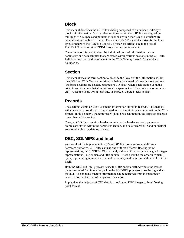### **Block**

This manual describes the C3D file as being composed of a number of 512-byte blocks of information. Various data sections within the C3D file are aligned on multiples of 512 bytes and pointers to sections within the C3D file structure are generally stored as block counts. The choice of a 512-byte block size for the lowlevel structure of the C3D file is purely a historical artifact due to the use of FORTRAN in the original PDP-11programming environment.

The term record is used to describe individual units of information such as parameters and data samples that are stored within various sections in the C3D file. Individual sections and records within the C3D file may cross 512-byte block boundaries.

## **Section**

This manual uses the term section to describe the layout of the information within the C3D file. C3D files are described as being composed of three or more sections (the basic sections are header, parameters, 3D data), where each section contains collections of records that store information (parameters, 3D points, analog samples etc). A section is always at least one, or more, 512-byte blocks in size.

## **Records**

The sections within a C3D file contain information stored in records. This manual will consistently use the term record to describe a unit of data storage within the C3D format. In this context, the term record should be seen more in the terms of database usage than a file structure.

Thus, all C3D files contain a header record (i.e. the header section), parameter records are stored within the parameter section, and data records (3D and/or analog) are stored within the data section etc.

## **DEC, SGI/MIPS and Intel**

As a result of the implementation of the C3D file format on several different hardware platforms, C3D files can use one of three different floating-point representations, DEC, SGI/MIPS, and Intel, and one of two associated signed integer representations – big endian and little endian. These describe the order in which bytes, representing numbers, are stored in memory and therefore within the C3D file itself.

Both the DEC and Intel processors use the little endian method where the lowest bytes are stored first in memory while the SGI/MIPS processors use the big endian method. The endian structure information can be retrieved from the parameter header record at the start of the parameter section.

In practice, the majority of C3D data is stored using DEC integer or Intel floating point format.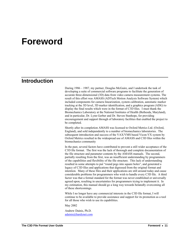# <span id="page-14-0"></span>**Foreword**

## **Introduction**

During 1986 – 1987, my partner, Douglas McGuire, and I undertook the task of developing a suite of commercial software programs to facilitate the generation of accurate three-dimensional (3D) data from video camera measurement systems. The result of this effort was AMASS (ADTech Motion Analysis Software System) which included components for camera linearization, system calibration, automatic marker tracking at the 3D level, 3D marker identification, and a graphics program (ADG) to display the final results which were in the format of C3D files. I must thank the Biomechanics Laboratory at the National Institutes of Health (Bethesda, Maryland), and in particular, Dr. Lynn Gerber and Dr. Steven Stanhope, for providing encouragement and support through of laboratory facilities that enabled the project to be completed.

Shortly after its completion AMASS was licensed to Oxford Metrics Ltd. (Oxford, England), and sold independently to a number of biomechanics laboratories. The subsequent introduction and success of the VAX/VMS based Vicon-VX system by Oxford Metrics resulted in the widespread use of AMASS and C3D files within the biomechanics community

In the past, several factors have contributed to prevent a still wider acceptance of the C3D file format. The first was the lack of thorough and complete documentation of the file structure and parameter contents by the AMASS manuals. The second, partially resulting from the first, was an insufficient understanding by programmers of the capabilities and flexibility of the file structure. This lack of understanding resulted in some attempts to put "round pegs into square holes", and generated a legacy of C3D files and applications that digressed from the original format and intention. Many of these files and their applications are still around today and cause considerable problems for programmers who wish to handle every C3D file. A third factor was that a formal standard for the format was never established or universally agreed upon, resulting in uncertainties for programmers trying to implement it. In my estimation, this manual should go a long way towards belatedly overcoming all of these shortcomings.

While I no longer have any commercial interests in the C3D file format, I will continue to be available to provide assistance and support for its promotion as a tool for all those who wish to use its capabilities.

May 2002

Andrew Dainis, Ph.D. [adainis@hardynet.com](mailto:adainis@hardynet.com)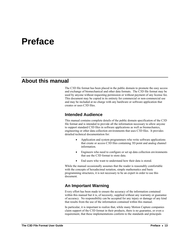# <span id="page-16-0"></span>**Preface**

## **About this manual**

The C3D file format has been placed in the public domain to promote the easy access and exchange of biomechanical and other data formats. The C3D file format may be used by anyone without requesting permission or without payment of any license fee. This document may be copied in its entirety for commercial or non-commercial use and may be included at no charge with any hardware or software application that creates or uses C3D files.

### **Intended Audience**

This manual contains complete details of the public domain specification of the C3D file format and is intended to provide all the information necessary to allow anyone to support standard C3D files in software applications as well as biomechanics, engineering or other data collection environments that uses C3D files. It provides detailed technical documentation for:

- Application and system programmers who write software applications that create or access C3D files containing 3D point and analog channel information.
- Engineers who need to configure or set up data collection environments that use the C3D format to store data.
- End users who want to understand how their data is stored.

While the manual occasionally assumes that the reader is reasonably comfortable with the concepts of hexadecimal notation, simple mathematics and basic programming structures, it is not necessary to be an expert in order to use this document.

### **An Important Warning**

Every effort has been made to ensure the accuracy of the information contained within this manual but it is, of necessity, supplied without any warranty or guarantee of accuracy. No responsibility can be accepted for any injury or damage of any kind that results from the use of the information contained within this manual.

In particular, it is important to realize that, while many Motion Capture companies claim support of the C3D format in their products, there is no guarantee, or even a requirement, that these implementations conform to the standards and principals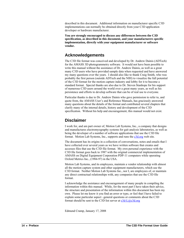described in this document. Additional information on manufacturer specific C3D implementations can normally be obtained directly from your C3D application developer or hardware manufacturer.

**You are strongly encouraged to discuss any differences between the C3D specification, as described in this document, and your manufacturers specific implementation, directly with your equipment manufacturer or software vendor.** 

### **Acknowledgements**

The C3D file format was conceived and developed by Dr. Andrew Dainis (ADTech) for the AMASS 3D photogrammetry software. It would not have been possible to write this manual without the assistance of Dr. Andrew Dainis, as well as a great many C3D users who have provided sample data when requested and have answered my many questions over the years. I should also like to thank Craig Smith, who was probably the first person (outside ADTech and the NIH) to visualize the full potential of the C3D format for the motion capture industry and lobby for it to become a standard format. Special thanks are also due to Dr. Steven Stanhope for his support of numerous C3D users around the world over a great many years, as well as his persistence and efforts to develop software that can be of real use to everyone.

Particular thanks is due to Dr. Andrew Dainis who gave permission to refer to, and quote from, the AMASS User's and Reference Manuals, has graciously answered many questions about the details of the format and contributed several chapters that clarify many of the internal details, history and development of the C3D specification. Without his help and encouragement, this manual would not exist.

## **Disclaimer**

I work for, and am part owner of, Motion Lab Systems, Inc., a company that designs and manufactures electromyography systems for gait analysis laboratories, as well as being the developer of a number of software applications that use the C3D file format. Motion Lab Systems, Inc., supports and runs the c3d.org web site.

The document has its origins in a collection of conversations, notes and emails that I have collected over several years as we have written software that creates and accesses files that use the C3D file format. My own personal experience with the C3D file format goes back to 1987 with the original commercial implementation of AMASS on Digital Equipment Corporation PDP-11 computers while operating Oxford Metrics Inc., (1984-97) in the USA.

Motion Lab Systems, and its employees, maintain a vendor relationship with almost all the motion capture system and other equipment manufacturers, which use the C3D format. Neither Motion Lab Systems Inc., nor I, are employees of, or maintain any direct contractual relationships with, any companies that use the C3D file format.

I acknowledge the assistance and encouragement of many people in compiling the information within this manual. While, for the most part I have taken their advice, the structure and presentation of the information within this document has been my own. Please let me know it you find an error or typo, or feel that I have failed to explain some particular aspect –general questions or comments about the C3D format should be sent to the C3D list server at  $c3d-L@c3d.org$ 

Edmund Cramp, January 17, 2008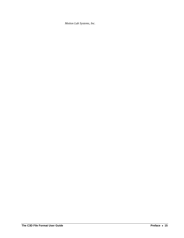*Motion Lab Systems, Inc.*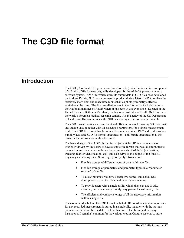# <span id="page-20-0"></span>**The C3D file format**

## **Introduction**

The C3D (Coordinate 3D, pronounced *see-three-dee*) data file format is a component of a family of file formats originally developed for the AMASS photogrammetry software system. AMASS, which stores its output data in C3D files, was developed by Andrew Dainis, Ph.D. as a commercial product during 1986 - 1987 to replace the relatively inefficient and inaccurate biomechanics photogrammetry software available at the time. The first installation was in the Biomechanics Laboratory at the National Institutes of Health where it has been in use ever since. Located in the United States in Bethesda Maryland, the National Institutes of Health (NIH) is one of the world's foremost medical research centers. As an agency of the US Department of Health and Human Services, the NIH is a leading center for health research.

The C3D format provides a convenient and efficient means for storing 3D coordinate and analog data, together with all associated parameters, for a single measurement trial. The C3D file format has been in widespread use since 1987 and conforms to a publicly available C3D file format specification. This public specification is the basis for the information in this document.

The basic design of the ADTech file format (of which C3D is a member) was originally driven by the desire to have a single file format that would communicate parameters and data between the various components of AMASS (calibration, tracking, marker identification, etc.) and also serve as the output of the final 3D trajectory and analog data. Some high priority objectives were:

- Flexible storage of different types of data within the file.
- Flexible storage of parameters and parameter types in a "parameter section" of the file.
- To allow parameter to have descriptive names, and actual text descriptions so that the file could be self-documenting.
- To provide users with a single utility which they can use to add, examine, and if necessary modify, any parameter within any file.
- The efficient and compact storage of all the necessary information within a single file.

The essential idea behind the C3D format is that all 3D coordinate and numeric data for any recorded measurement is stored in a single file, together with the various parameters that describe the data. Before this time it had been (and in many instances still remains) common for the various Motion Capture systems to store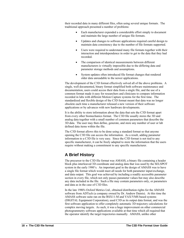their recorded data in many different files, often using several unique formats. The traditional approach presented a number of problems:

- Each manufacturer expended a considerable effort simply to document and maintain the large number of unique file formats.
- Updates and changes to software applications required careful design to maintain data consistency due to the number of file formats supported.
- Users were required to understand many file formats together with their interaction and interdependence in order to get to the data that they had recorded.
- The comparison of identical measurements between different manufacturers is virtually impossible due to the differing data and parameter storage methods and assumptions.
- System updates often introduced file format changes that rendered older data unreadable to the newer applications.

The development of the C3D format effectively solved all of the above problems. A single, well documented, binary format simplified both software maintenance and documentation, users could access their data from a single file, and the use of a common format made it easy for researchers and clinicians to compare information recorded in labs with different Motion Capture systems for the first time. The standardized and flexible design of the C3D format meant that data was no longer obsolete each time a manufacturer released a new version of their software applications or by advances with new hardware developments.

It is the ability to store information about the data that sets the C3D format apart from every other biomechanics format. The C3D file usually stores the 3D and analog data together with a small number of common parameters that describe the 3D data. The user may then define, generate, and store any number of user or lab defined data items within the file.

The C3D format allows this to be done using a standard format so that anyone opening the C3D file can access the information. As a result, adding parameter information to a C3D file is very easy. Since the C3D format is not tied to any specific manufacturer, it can be freely adapted to store the information that the users require without making a commitment to any specific manufacturer.

## **A Brief History**

The precursor to the C3D file format was AMASS, a binary file containing a header block plus interleaved 3D coordinate and analog data that was used by the SELSPOT system in the early 1980's. An important goal in the design of AMASS was to have a single file format which would meet all needs for both parameter input/exchange, and data output. This goal was achieved by including a readily accessible parameter section in every file, which not only passes parameter values but may also describe any data included in the file. Such a file may contain parameters only, or parameters and data as in the case of C3D files.

In the late 1980's Oxford Metrics Ltd., obtained distribution rights for the AMASS software from ADTech (a company owned by Dr. Andrew Dainis). At this time the AMASS software suite ran on the RSX11-M and VAX/VMS based systems (DIGITAL Equipment Corporation), used C3D as its output data format, and was the first software application to offer completely automatic 3D trajectory calculations for complex moving targets. As such, it was a huge improvement on other commercial photogrammetry software applications available at that time which all required that the operator identify the target trajectories manually. AMASS, unlike other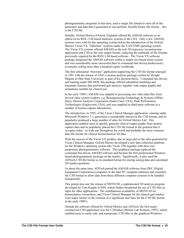photogrammetry programs at that time, used a single file format to store all of the parameter and data that it generated in one uniform, flexible binary file format – this is the C3D file.

Initially, Oxford Metrics (Oxford, England) offered the AMASS software as an option on its RSX-11M based hardware systems in the USA. Only a few AMASS systems were sold for this operating system before the introduction of the Oxford Metrics Vicon-VX, "Etherbox" systems under the VAX/VMS operating system. The Vicon-VX systems offered AMASS as the sole 3D trajectory reconstruction application and C3D as the sole output format, replacing the multitude of file formats previously required by the RSX11-M based software. The Vicon-VX software package integrated the AMASS software within a simple text based menu system and was considerably more successful than its command-line driven predecessors, eventually selling more than a hundred copies worldwide.

The first substantial "freeware" application supporting the C3D file format emerged in 1991 with the release of ANZ, a motion analysis package written by Dwight Meglan at Ohio State University as part of his doctoral thesis. Command line driven, and running under MS-DOS, this package offered substantial modeling and kinematic features that performed gait analysis, together with output graphs and animations suitable for clinical use.

In the early 1990's AMASS was adapted to processing raw video data files from several other system vendors, e.g. Bioengineering Technology & Systems (Milan, Italy), Motion Analysis Corporation (Santa Clara, USA), Peak Performance Technologies (Englewood, USA), and was supplied as third party software to a number of motion capture laboratories.

The introduction, in 1992, of the Vicon Clinical Manager application, running under Microsoft Windows 3.1, generated a considerable interest in the C3D format, and its popularity produced a large number of sales for Oxford Metrics Ltd. This application enabled users to quickly generate clinical output graphs from motion capture data and its popularity placed the C3D file format in the position that it occupies today - in wide use throughout the world and probably the most common data file format for clinical biomechanical 3D data.

With the success of the Vicon-VX product, due in large part to the sales generated by Vicon Clinical Manager, Oxford Metrics developed a new data collection platform for the Windows operating system (the Vicon 370) together with their own proprietary photogrammetry software. This graphical package replaced the command-line driven AMASS software and became the first professional Windows based photogrammetry package on the market. Significantly, it also used the ADTech C3D file format as its standard format for storing analog data and calculated 3D marker positions.

At about the same time, ADTech ported the AMASS software from DEC (Digital Equipment Corporation) computers to the Intel PC computer platform and extended the C3D format to allow data from these different computer systems to be handled transparently.

This period also saw the release of MOVE3D, a sophisticated 3D analysis program developed by Tom Kepple at NIH, which further broadened the use of C3D files as input for other applications. The simultaneous availability of MOVE3D for biomechanics researchers, and Vicon Clinical Manager for the clinical gait market, were major factors in the creation of a significant user base for the C3D file format in the early 1990's.

Outside the software offered by Oxford Metrics and ADTech, the first major commercial C3D application was the C3Deditor (Motion Lab Systems, 1997), which enabled users to easily edit, and manipulate, C3D files in the graphical Windows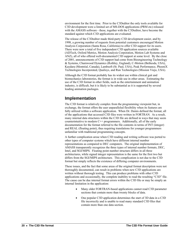environment for the first time. Prior to the C3Deditor the only tools available for C3D development were a limited set of MS-DOS applications (PRM etc) released with the AMASS software - these, together with the C3Deditor, have become the standard against which C3D applications are evaluated.

The release of the C3Deditor made third-party C3D development easier, and by 1998, a growing number of requests from potential customers encouraged Motion Analysis Corporation (Santa Rosa, California) to offer C3D support for its users. There were now a total of five independent C3D application sources available (ADTech, Oxford Metrics, Motion Analysis Corporation, Motion Lab Systems and ANZ), all of who offered well-documented C3D support at some level. By the close of 2001, announcements of C3D support had come from Bioengineering Technology & Systems, Charnwood Dynamics (Rothley, England), C-Motion (Bethesda, USA), Kaydara (Montréal, Canada), Lambsoft (St. Paul, USA), Peak Performance, PhoeniX Technologies Incorporated, Qualisys, and Run Technologies (Mission Viejo, USA).

Although the C3D format probably has its widest use within clinical gait and biomechanics laboratories, the format is in wide use in other areas. Estimating the use of the C3D format in other fields, such as the entertainment and animation industry, is difficult, but it is likely to be substantial as it is supported by several leading animation packages.

### **Implementation**

The C3D format is relatively complex from the programming viewpoint but, in exchange, the format offers the user unparalleled flexibility when its features are fully utilized within a software application. When Dr. Dainis defined the format, all of the applications that accessed C3D files were written in FORTRAN. As a result, many internal data structures within the C3D file are defined in ways that may seem counterintuitive to modern  $C^{++}$  programmers. Additionally, all of the early documentation for the format referred to the file contents in terms of INT (integer) and REAL (floating point), thus requiring translations for younger programmers unfamiliar with traditional programming concepts.

A further complication arose when C3D reading and writing software was ported to other types of computer systems which have different internal number representations as compared to DEC computers. The original implementation of AMASS transparently recognizes the three types of internal number formats, DEC, Intel, and SGI/MIPS. Floating point number structure differs in all three architectures, while signed integer representation is the same for the first two but differs from the SGI/MIPS architecture. This complication is not due to the C3D format but simply reflects the existence of differing computer environments.

These issues, and the fact that some areas of the original format description were not thoroughly documented, can result in problems when new C3D applications are written without thorough testing. This can produce problems with other C3D applications and occasionally, the complete inability to read the resulting "C3D" file. The cause can be due internal format errors within the C3D file or may be simply an internal limitation in the application:

- Many older FORTRAN-based applications cannot read C3D parameter sections that contain more than twenty blocks of data.
- One popular C3D application determines the start of 3D data in a C3D file incorrectly and is unable to read many standard C3D files that contain more than one data section.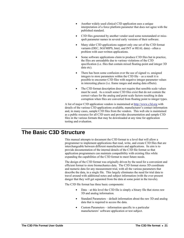- <span id="page-24-0"></span>• Another widely used clinical C3D application uses a unique interpretation of a force platform parameter that does not agree with the published standard.
- C3D files generated by another vendor used some nonstandard or missspelt parameter names in several early versions of their software.
- Many older C3D applications support only one set of the C3D format variants (DEC, SGI/MIPS, Intel, and INT or REAL data) - often a problem with user-written applications.
- Some software applications claim to produce C3D files but in practice, the files are unreadable due to various violations of the C3D specification (i.e. files that contain mixed floating-point and integer 3D data etc).
- There has been some confusion over the use of signed vs. unsigned integers to store parameters within the C3D file – as a result it is possible to encounter C3D files with negative integer parameter values in interesting places (i.e. frame ranges and analog data offsets).
- The C3D format description does not require that sensible scale values must be used. As a result some C3D files exist that do not contain the correct values for the analog and point scale factors resulting in data corruption when files are converted from floating point to integer types.

A list of major C3D application vendors is maintained at http://www.c3d.org with details of the various C3D applications available, manufacturer's contact information and, in many cases, sample C3D files from the vendors. This web site is maintained as a public resource for all C3D users and provides documentation and sample C3D files in the various formats that may be downloaded at any time for application testing and evaluation.

# **The Basic C3D Structure**

This manual attempts to document the C3D format to a level that will allow a programmer to implement applications that read, write, and create C3D files that are interchangeable between different manufacturers and applications. Its aim is to provide documentation of the internal details of the C3D file format so that application programmers can maintain compatibility with existing files while expanding the capabilities of the C3D format to meet future needs.

The design of the C3D format was originally driven by the need for a convenient and efficient format to store biomechanics data. The C3D format stores 3D coordinate and numeric data for any measurement trial, with all the various parameters that describe the data, in a single file. This largely eliminates the need for trial data to travel around with additional notes and subject information (with the ever present danger that they will get separated from the data at some point in the travels).

The C3D file format has three basic components:

- Data at this level the C3D file is simply a binary file that stores raw 3D and analog information.
- Standard Parameters default information about the raw 3D and analog data that is required to access the data.
- Custom Parameters information specific to a particular manufacturers' software application or test subject.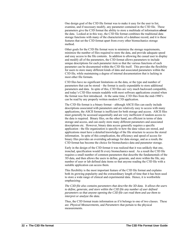One design goal of the C3D file format was to make it easy for the user to list, examine, and if necessary modify, any parameter contained in the C3D file. These parameters give the C3D format the ability to store a multitude of information *about* the data. Looked at in this way, the C3D file format combines the traditional data storage functions with many of the characteristic of a database record, and it is these features that set the C3D format apart from every other biomechanics storage method.

Other goals for the C3D file format were to minimize the storage requirements, minimize the number of files required to store the data, and provide adequate speed and easy access to the file contents. In addition to allowing the casual user to display and modify all of the parameters, the C3D format allows parameters to include unique descriptions for each parameter item so that the various functions of each parameter can be documented within the C3D file itself. This provides the flexibility for users to store many different kinds of data and associated parameters within the C3D file, while maintaining a degree of internal documentation that is lacking in most other file formats.

C3D files have no significant limitations on the data, or the type and number of parameters that can be stored – the format is easily expandable to store additional parameters and data. In spite of this, C3D files are very much backward compatible, and today's C3D files remain readable with most software applications created when the format was first introduced. At the same time, C3D files from the mid-1980's can be read by any properly written modern C3D application.

The C3D file format is a binary format – although ASCII files can easily include descriptions associated with parameters and are relatively easy to access with many applications, the ASCII format is inefficient for both storage and access. ASCII files must generally be accessed sequentially and are very inefficient if random access to the data is required. Binary files, on the other hand, are efficient in terms of data storage and access, and can easily store many different parameters and associated descriptions etc. However, binary data access generally requires a specific application - the file organization is specific to how the data values are stored, and applications must have a detailed knowledge of the file structure to access the stored information. In spite of this complication, the efficiency and speed of access for binary files provides an overriding advantage for data storage, and as a result, the C3D format has become the choice for biomechanics data and parameter storage.

Early in the design of the C3D format it was realized that it was unlikely that one, ironclad, specification would fit every biomechanics need. As a result the C3D file requires a small number of common parameters that describe the fundamentals of the 3D data, and then allows the users to define, generate, and store within the file, any number of user or lab defined data items so that anyone reading the C3D file with a suitable application can access them.

This flexibility is the most important feature of the C3D file format and explains both its growing popularity and the extraordinary length of time that it has been used to store a wide range of clinical and experimental data. Hence, it is worthwhile emphasizing:

*The C3D file also contains parameters that describe the 3D data. It allows the users to define, generate, and store within the C3D file any number of user defined parameters so that anyone opening the C3D file can read them and use them to interpret or analyze the data.* 

Thus, the C3D format treats information as if it belongs to one of two classes. These are: *Physical Measurements,* and *Parameters* that pertain to the physical measurements.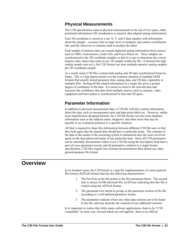### <span id="page-26-0"></span>**Physical Measurements**

The C3D specification expects physical measurements to be one of two types, either positional information (3D coordinates) or numeric data (digital analog information).

Each 3D coordinate is stored as a raw X, Y, and Z data samples with information about the sample – accuracy (the average error or residual), and camera contribution (the specific observers or cameras used to produce the data).

Each sample of numeric data can contain digitized analog information from sources such as EMG, Goniometers, Load Cells, and Force Plates etc. These samples are synchronized to the 3D coordinate samples so that it is easy to determine the correct numeric data values that relate to any 3D sample within the file. If desired (for high analog sample rates etc.), the C3D format can store multiple numeric analog samples per 3D coordinate sample.

As a result, many C3D files contain both analog and 3D data synchronized frame by frame. This is a big improvement over the common situation of multiple OEM formats that usually stored parameter data, analog data, and 3D data, separately in multiple files. Storing all the related information in a single file gives a greater degree of confidence in the data. It is easier to retrieve the relevant data and increases the confidence that data from multiple sources such as cameras, video equipment and force plates is synchronized in time and 3D space.

## **Parameter Information**

In addition to physical measurement data, a C3D file will also contain information about the data, such as measurement units and data point labels etc. However, unlike most manufacturer-designed formats, the C3D file format can also store database information such as the subjects name, diagnosis, and other items that may be specific to an evaluation protocol or a specific situation.

All that is required to share this information between different C3D file users is that they both agree that the shared data should have a particular name. The contents of the data or the nature of the accessing system is immaterial once the users involved agree on the description and name of any particular item. Since all C3D parameters can be internally documented within every C3D file using the description field that is part of every parameter record, and all parameters conform to a single format specification, C3D files require less external documentation than almost any other general-purpose file format.

## **Overview**

In its broadest sense, the C3D format is a specific implementation of a more general file format (ADTech format) that has the following characteristics:

- 1. The first byte in the file points to the first parameter block. The second byte is always 0x50h (decimal 80), an ID byte indicating that this file is written using the ADTech format.
- 2. The parameters are stored in groups in the parameter section of the file according to a well-defined parameter format.
- 3. The parameters indicate where any other data sections are to be found in the file, and may describe the contents of any additional sections.

In is important to realize that while many software applications claim to be "C3D compatible" in some way, all such labels are self applied - there is no official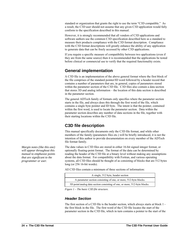standard or organization that grants the right to use the term "C3D compatible." As a result, the C3D user should not assume that any given C3D application would fully conform to the specification described in this manual.

However, it is strongly recommended that all vendors of C3D applications and software authors use the common C3D specification described here as a standard to measure their products compliance with the C3D format description. Compliance with the C3D format descriptions will greatly enhance the ability of any application to generate data that can be freely accessed by other C3D applications.

If you require a specific measure of compatibility between two applications (even if they are from the same source) then it is recommended that the applications be tested before clinical or commercial use to verify that the required functionality exists.

## **General implementation**

A C3D file is an implementation of the above general format where the first block of the file comprises of the standard pointer/ID word followed by a header record that contains a number of parameters that are, in general, copies of parameters stored within the parameter section of the C3D file. C3D files also contain a data section that stores 3D and analog information – the location of this data section is described in the parameter section.

The general ADTech family of formats only specifies where the parameter section starts in the file, and always does this through the first word of the file, which contains a single byte pointer and ID byte. The intent is that the pointer, contained within the first word, is used to locate the parameter section. Data within the parameter section describes any number of data sections in the file, together with their starting locations within the C3D file.

## **C3D file description**

This manual specifically documents only the C3D file format, and while other members of the family (parameters files etc.) will be briefly introduced, it is not the intention of this author to provide documentation on every member of the ADTech file format family.

The data values in C3D files are stored in either 16-bit signed integer format, or optionally floating-point format. The format of the data can be determined by reading the header of the C3D file at a binary level without making any assumptions about the data format. For compatibility with Fortran, and various operating systems, all C3D files should be thought of as consisting of blocks that are 512 bytes long (or 256 16-bit words).

All C3D files contain a minimum of three sections of information:

*Figure 1 – The basic C3D file structure.* 

#### *Header Section*

The first section of a C3D file is the header section, which always starts at block 1 the first block in the file. The first word of the C3D file locates the start of the parameter section in the C3D file, which in turn contains a pointer to the start of the

*Margin notes (like this one) will appear throughout this manual to emphasize points that are significant to the programmer or user.*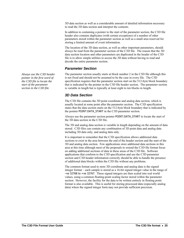3D data section as well as a considerable amount of detailed information necessary to read the 3D data section and interpret the contents.

In addition to containing a pointer to the start of the parameter section, the C3D file header also contains duplicates (with certain exceptions) of a number of other parameters stored within the parameter section as well as a small area reserved for storing a limited amount of event information.

The location of the 3D data section, as well as other important parameters, should always be read from the parameter section of the C3D file. The reason that the 3D data section location and other parameters are duplicated in the header of the C3D file is to allow simple utilities to access the 3D data without having to read and decode the entire parameter section.

#### *Parameter Section*

The parameter section usually starts at block number 2 in the C3D file although this is not fixed and should not be assumed to be the case in every file. The C3D specification requires that the parameter section start on the 512-byte block boundary that is indicated by the pointer in the C3D file header section. The parameter section is variable in length but is typically at least eight to ten blocks in length.

#### *3D Data Section*

The C3D file contains the 3D point coordinate and analog data section, which is usually located at some point after the parameter section. The C3D specification states that the data section starts on the 512-byte block boundary that is indicated by the pointer POINT:DATA\_START in the C3D parameter section.

Always use the parameter section pointer POINT:DATA\_START to locate the start of the 3D data section in the C3D file.

The 3D and analog data section is variable in length depending on the amount of data stored. C3D files can contain any combination of 3D point data and analog data including 3D data only, and analog data only.

It is important to remember that the C3D specification allows additional data sections to exist in the area between the end of the header section and the start of the 3D and analog data section. Few applications store additional data sections in this area at this time although most of the proposals to extend the C3D file format focus on adding additional sections of data in these areas of the C3D file. Software applications that conform to the C3D specification and use the C3D parameter section and C3D header information correctly should be able to handle the presence of additional data blocks within the C3D file without any problems.

The common format used to store 3D coordinate and analog data is the signed integer format – each sample is stored as a 16-bit signed integer value in the range of –ve 32768 to +ve 32767. These signed integers are then scaled into real world values, using a common floating-point scaling factor stored within the parameter section. However, the facility for the data to be written entirely in floating point format is also available. This is useful for storing processed data (especially analog data) where the signed integer form may not provide sufficient precision.

*Always use the C3D header pointer in the first word of the C3D file to locate the start of the parameter section in the C3D file.*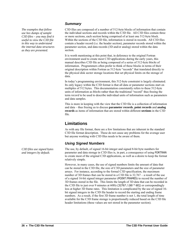*The examples that follow use hex dumps of sample C3D files – you may find it useful to view the C3D file in this way to understand the internal data structures as they are presented.* 

*C3D files use signed bytes and integers by default.* 

#### *Summary*

C3D files are composed of a number of 512-byte blocks of information that contain the individual sections and records within the C3D file. All C3D files contain three or more sections, each section being comprised of at least one 512-byte block. Within the sections of the C3D file, information is stored in records. All C3D files contain a header record (i.e. the header section), parameter records stored within the parameter section, and data records (3D and/or analog) stored within the data section.

It is worth mentioning at this point that, in deference to the original Fortran environment used to create most C3D applications during the early years, this manual describes C3D file as being composed of a series of 512-byte *blocks* of information. Programmers often prefer to think of these blocks in terms of their original description within Fortran as 512-byte "records" that translated directly to the physical disk sector storage locations that set physical limits on the storage of data.

In today's programming environment, this 512-byte constraint is largely eliminated. Its only legacy within the C3D format is that all data or parameter sections start on multiples of 512 bytes. This documentation consistently refers to these 512-byte units of information as *blocks* rather than the traditional "record" thus freeing the term *record* to be used to describe individual units of information such as parameters and data samples.

This is more in keeping with the view that the C3D file is a collection of information and data – thus freeing us to discuss **parameter records**, **point records** and **analog records** as items of information that are stored within different **sections** in the C3D file.

## **Limitations**

As with any file format, there are a few limitations that are inherent in the standard C3D file format description. These do not cause any problems for the average user but anyone working with C3D files needs to be aware of them.

### *Using Signed Numbers*

The use, by default, of signed 16-bit integer and signed 8-bit byte numbers for parameter and data storage in C3D files is, in part, a consequence of using FORTRAN to create most of the original C3D applications, as well as a desire to keep the format relatively simple.

However, in many cases, the use of signed numbers limits the amount of data that can be stored in the C3D file, the size of C3D parameters and the size of parameter arrays. For instance, according to the formal C3D specification, the maximum number of 3D frames that can be stored in a C3D file is 32,767 – a result of the use of a signed 16-bit signed integer parameter (POINT:FRAMES) to record the number of 3D frames stored in the file. This limits the length of 3D data that can be recorded in the C3D file to just over 9 minutes at  $60Hz$  (32767 / (60  $*$  60)) or correspondingly less at higher 3D frame rates. This limitation is complicated by the use of signed 16 bit signed integers in the C3D file header to record the starting and ending frame numbers. As a result, if the first 3D frame number is not 1, the total length of time available for the C3D frame storage is proportionally reduced based on the C3D file header limitations (these values are not stored in the parameter section).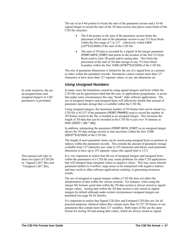The use of an 8-bit pointer to locate the start of the parameter section and a 16-bit signed integer to record the start of the 3D data section also places some limits of the C3D file structure:

- The 8-bit pointer to the start of the parameter section limits the placement of the start of the parameter section to any 512-byte block within the first range of 1 to  $127$  – effectively within 64kB (127\*512/1024) of the start of the C3D file.
- The start of 3D data is recorded by a signed 16-bit integer parameter (POINT:DATA\_START) that points to the location of the first 512-byte block used to store 3D point and/or analog data. This limits the placement of the start of 3D data storage to any 512-byte block boundary within the first 16Mb (32767\*512/1024) of the C3D file.

The size of parameter dimensions is limited by the use of a signed byte as a pointer or index within the parameter records. Parameters cannot contain more than 127 characters or have more than 127 separate values, in any one dimension etc.

### *Using Unsigned Numbers*

In many cases the limitations caused by using signed integers and bytes within the C3D file can be ignored provided that the user, or applications programmer, is aware that under some circumstances this may "break" older software applications. The use of *unsigned integers* and *unsigned bytes* will effectively double that amount of parameter and data storage that is available within the C3D file.

Using unsigned integers, the maximum number of 3D frames that can be stored in a C3D file is 65,537 if the parameter (POINT:FRAMES) used to record the number of 3D frames stored in the file, is treaded as an unsigned integer. This increases the length of 3D data that can be recorded in the C3D file to just over 18 minutes at 60Hz (65537 / (60  $*$  60)).

In addition, interpreting the parameter (POINT:DATA\_START) as an unsigned integer allows the 3D data storage section to start anywhere within the first 32Mb (65537\*512/1024) of the C3D file.

The length of most parameter items can be stored using unsigned bytes as pointers or indexes within the parameter records. This extends the amount of parameter storage available from 127 characters per value to 255 characters and allows each parameter dimension to have up to 255 separate values (the signed limit is 127).

It is very important to realize that the use of unsigned integers and unsigned bytes within the parameters of a C3D file may create problems for older C3D applications that will interpret large unsigned values as negative values. This may cause internal parameter buffers to overflow, large arrays to be interpreted with negative indexes and may result in older software applications crashing, or generating erroneous results.

The use of unsigned or signed integers within a C3D file does not affect the interpretation of data within the various sections. For instance, when using the integer file formats, point data within the 3D data section is always stored as signed integer values. Analog data within the 3D data section is also stored as signed integers by default although under certain circumstances unsigned integers are permitted (see page [86](#page-89-1) for details).

It is important to realize that *Signed C3D files* and *Unsigned C3D files* are, for all practical purposes, identical unless they contain more than 32,767 3D frames or use parameters that contain more than 127 variables. Both types of file use the same format for storing 3D and analog data values, which are always stored as signed

*In some instances, the use of unsigned bytes and unsigned integers in C3D parameters is permitted.* 

*This manual will refer to these two types of C3D file as "Signed C3D" files and "Unsigned C3D" files.*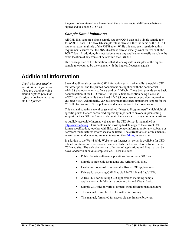<span id="page-31-0"></span>integers. When viewed at a binary level there is no structural difference between signed and unsigned C3D files.

#### *Sample Rate Limitations*

All C3D files support a single sample rate for POINT data and a single sample rate for ANALOG data. The ANALOG sample rate is always either the same as the POINT rate or an exact multiple of the POINT rate. While this may seem restrictive, this requirement ensures that the ANALOG data is always exactly synchronized with the POINT data. In addition, this restriction allows any application to easily calculate the exact location of any frame of data within the C3D file.

One consequence of this limitation is that all analog data is sampled at the highest sample rate required by the channel with the highest frequency signals.

# **Additional Information**

*Check with your supplier for additional information if you are working with a motion capture system or software package that uses the C3D format.* 

Several additional sources for C3D information exist – principally, the public C3D text description, and the printed documentation supplied with the commercial AMASS photogrammetry software sold by ADTech. These both provide some basic documentation of the C3D format – the public text description being a concise ASCII specification while the printed AMASS documentation provides more of an end-user view. Additionally, various other manufacturers implement support for the C3D file format and offer supplemental documentation to their own users.

This manual contains several pages entitled "Notes to Programmers" which highlight specific points that are considered especially important to anyone implementing support for the C3D file format and contain the answers to many common questions.

A publicly accessible Internet web site for the C3D format is maintained at [http://www.c3d.org](http://www.c3d.org/). This contains the most up to date copy of the current C3D format specification, together with links and contact information for any software or hardware manufacturer who wishes to be listed. The current version of this manual, as well as other documents, are maintained on the [c3d.org](http://www.c3d.org/) Internet site.

In addition to the World Wide Web site, an Internet list server is available for C3D related questions and discussions – access details for this can also be found on the C3D web site. The web site hosts a collection of applications and files that can be downloaded via anonymous ftp service. These include:

- Public domain software applications that access C3D files.
- Sample source code for reading and writing C3D files.
- Evaluation copies of commercial software C3D applications.
- Drivers for accessing C3D files via MATLAB and LabVIEW.
- A free SDK for building C3D applications including sample applications with full source code in C++ and Visual Basic.
- Sample C3D files in various formats from different manufacturers.
- This manual in Adobe PDF formatted for printing.
- This manual, formatted for access via any Internet browser.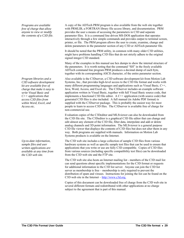*Programs are available free of charge that allow anyone to view or modify the contents of a C3D file.* 

*Program libraries and a C3D software development kit are available free of charge that make it easy to write Visual Basic and C++ applications that access C3D files from within Word, Excel, and Access etc.* 

*Up-to-date information, sample files and user written applications are available at any time from the C3D web site.* 

A copy of the ADTech PRM program is also available from the web site together with PRMLIB, a FORTRAN library file access library, and documentation. PRM provides the user a means of accessing the parameters in C3D and separate parameter files. It is a command line driven MS-DOS application that operates interactively through a few simple commands and provides output to terminal screen, printer, or file. The PRM program allows the user to create, examine, change and delete parameters in the parameter section of any C3D or ADTech parameter file.

It should be noted that the PRM utility, in common with many older C3D utilities, might have problems handling C3D files that do not strictly adhere to the original signed integer C3D standard.

Many of the examples in this manual use hex dumps to show the internal structure of the parameters. It is worth noting that the command "SH" in the freely available ADTech command line program PRM produces a decimal dump of each byte, together with its corresponding ASCII character, of the entire parameter section.

Also available is the C3Dserver, a C3D software development kit from Motion Lab Systems, Inc., that provides high-level access to the C3D file format and works with many different programming languages and applications such as Visual Basic, C++, Java, Word, Access, and Excel etc. The C3Dserver includes an example software application written in Visual Basic, together with full Visual Basic source code, that implements a functional C3D file editor. A C++ application (with source code) that generated C3D files is also included. A full manual (in Adobe PDF format) is supplied with the C3Dserver package. This is probably the easiest way for most people to learn to access C3D files. The C3Dserver is available free of charge for non-commercial use.

Evaluation copies of the C3Deditor and MLSviewer can also be downloaded from the C3D file site. The C3Deditor is a graphical C3D file editor that can change and edit almost any element of the C3D file, filter data, interpolate and add or delete analog channels and 3D point information. The MLSviewer is a general purpose C3D file viewer that displays the contents of C3D files but does not alter them in any way. Both programs are supplied with manuals. Information on Motion Lab Systems products is available on the Internet.

The C3D web site includes a large collection of sample C3D files from various hardware systems as well as specific sample test files that can be used to ensure that applications that you write or use are fully C3D compatible. Copies of C3D files from various sources (including specific compatibility test files) can be downloaded from the C3D web site and the FTP site.

The C3D web site also hosts an Internet mailing list - members of the C3D mail list can send questions about specific implementations for the C3D format or requests for additional information to the C3D list server. Anyone can join the C3D list server as membership is free – membership is only required to prevent the distribution of spam and viruses. Instructions for joining the list can be found on the C3D web site in the Internet – [http://www.c3d.org](http://www.c3d.org/).

Copies of this document can be downloaded free of charge from the C3D web site in several different formats and redistributed with other applications at no charge subject to the agreement that is part of this manual.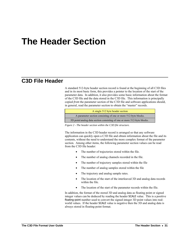# <span id="page-34-0"></span>**The Header Section**

## **C3D File Header**

A standard 512-byte header section record is found at the beginning of all C3D files and in its most basic form, this provides a pointer to the location of the start of the parameter data. In addition, it also provides some basic information about the format of the C3D file and the data stored in the C3D file. This information is principally copied *from* the parameter section of the C3D file and software applications should, in general, read the parameter section to obtain the "master" records.

| A single 512 byte header section                                        |
|-------------------------------------------------------------------------|
| A parameter section consisting of one or more 512-byte blocks.          |
| 3D point/analog data section consisting of one or more 512-byte blocks. |

*Figure 2 - The header section within the C3D file structure.* 

The information in the C3D header record is arranged so that any software application can quickly open a C3D file and obtain information about the file and its contents, without the need to understand the more complex format of the parameter section. Among other items, the following parameter section values can be read from the C3D file header:

- The number of trajectories stored within the file.
- The number of analog channels recorded in the file.
- The number of trajectory samples stored within the file
- The number of analog samples stored within the file
- The trajectory and analog sample rates.
- The location of the start of the interleaved 3D and analog data records within the file.
- The location of the start of the parameter records within the file.

In addition, the format of the stored 3D and analog data as floating point or signed integer values can be deduced by reading the header SCALE value. This is a positive floating-point number used to convert the signed integer 3D point values into realworld values. If the header SCALE value is negative then the 3D and analog data is always stored in floating-point format.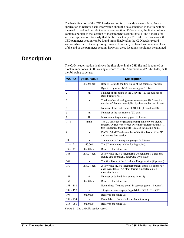The basic function of the C3D header section is to provide a means for software application to retrieve basic information about the data contained in the file without the need to read and decode the parameter section. Of necessity, the first word must contain a pointer to the location of the parameter section (byte-1) and a means for software applications to verify that the file is actually a C3D file. In most cases, the C3D parameter section can be found immediately after the C3D header record section while the 3D/analog storage area will normally be found within a few blocks of the end of the parameter section, however, these locations should not be assumed.

## <span id="page-35-0"></span>**Description**

The C3D header section is always the first block in the C3D file and is counted as block number one (1). It is a single record of 256 16-bit words (512 8-bit bytes) with the following structure:

| <b>WORD</b>    | <b>Typical Value</b> | <b>Description</b>                                                                                                                                                                    |
|----------------|----------------------|---------------------------------------------------------------------------------------------------------------------------------------------------------------------------------------|
| 1              | $0x5002$ hex         | Byte 1: Points to the first block of the parameter section.                                                                                                                           |
|                |                      | Byte 2: Key value 0x50h indicating a C3D file.                                                                                                                                        |
| $\overline{2}$ | nn                   | Number of 3D points in the C3D file (i.e. the number of<br>stored trajectories).                                                                                                      |
| 3              | nn                   | Total number of analog measurements per 3D frame, i.e.<br>number of channels multiplied by the samples per channel.                                                                   |
| $\overline{4}$ | $\mathbf{1}$         | Number of the first frame of 3D data (1 based, not 0).                                                                                                                                |
| 5              | nn                   | Number of the last frame of 3D data.                                                                                                                                                  |
| 6              | 10                   | Maximum interpolation gap in 3D frames.                                                                                                                                               |
| $7 - 8$        | nnnn                 | The 3D scale factor (floating-point) that converts signed<br>integer 3D data to reference system measurement units. If<br>this is negative then the file is scaled in floating-point. |
| $\mathbf Q$    | nn                   | DATA START – the number of the first block of the 3D<br>and analog data section.                                                                                                      |
| 10             | nn                   | The number of analog samples per 3D frame.                                                                                                                                            |
| $11 - 12$      | 60.000               | The 3D frame rate in Hz (floating-point).                                                                                                                                             |
| $13 - 147$     | $0x00$ hex           | Reserved for future use.                                                                                                                                                              |
| 148            | $0x3039$ hex         | A key value (12345 decimal) is written here if Label and<br>Range data is present, otherwise write 0x00.                                                                              |
| 149            | nn                   | The first block of the Label and Range section (if present).                                                                                                                          |
| 150            | $0x3039$ hex         | A key value (12345 decimal) present if this file supports 4<br>char event labels. An older format supported only 2<br>character labels.                                               |
| 151            | $\theta$             | Number of defined time events (0 to 18)                                                                                                                                               |
| 152            | $0x00$ hex           | Reserved for future use.                                                                                                                                                              |
| $153 - 188$    |                      | Event times (floating-point) in seconds (up to 18 events).                                                                                                                            |
| $189 - 197$    |                      | 18 bytes - event display flags $0x00 = ON$ , $0x01 = OFF$ .                                                                                                                           |
| 198            | $0x00$ hex           | Reserved for future use.                                                                                                                                                              |
| $199 - 234$    |                      | Event labels. Each label is 4 characters long                                                                                                                                         |
| $235 - 256$    | $0x00$ hex           | Reserved for future use.                                                                                                                                                              |

*Figure 3 – The C3D file header record.*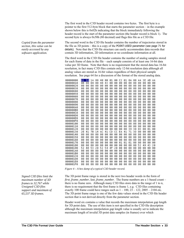The first word in the C3D header record contains two bytes. The first byte is a pointer to the first 512-byte block that starts the parameter section – in the example shown below this is 0x02h indicating that the block immediately following the header record is the start of the parameter section (the header record is block 1). The second byte is always 0x50h (80 decimal) and flags this file as a C3D file.

The second word in the C3D file header contains the number of trajectories stored in thefile as  $3D$  points  $-$  this is a copy of the POINT:USED parameter (see page 71 for details) . Note that the C3D file structure can easily accommodate data records that contain 3D information, 2D information or no coordinate information at all.

The third word in the C3D file header contains the number of analog samples stored for each frame of data in the file – each sample consists of at least one 16-bit data value per 3D frame. Note that there is no requirement that the stored data has 16-bit resolution, in fact many C3D files contain only 12-bit resolution data although all analog values are stored as 16-bit values regardless of their physical sample resolution. See page [64](#page-67-0) for a discussion of the format of the stored analog data.

| 00000000 | 02 | 50 | 1 A | 00 | 40 | 00 | 01 | 00 | C2 | 01 | ΘA | 00  | AА | 3 E | AВ | AА |  |
|----------|----|----|-----|----|----|----|----|----|----|----|----|-----|----|-----|----|----|--|
| 00000010 | 0Β | 00 | 04  | 00 | 48 | 43 | 00 | 00 | 00 | 00 | 00 | 00  | 00 | 00  | 00 | 00 |  |
| 00000020 | 00 | 00 | 00  | 00 | 00 | 00 | 00 | 00 | 00 | 00 | 00 | 00  | 00 | 00  | 00 | 00 |  |
| 00000030 | 00 | 00 | 00  | 00 | 00 | 00 | 00 | 00 | 00 | 00 | 00 | 00  | 00 | 00  | 00 | 00 |  |
| 00000040 | 00 | 00 | 00  | 00 | 00 | 00 | 00 | 00 | 00 | 00 | 00 | 00  | 00 | 00  | 00 | ΘA |  |
| 00000050 | 00 | 00 | 00  | 00 | 00 | 00 | 00 | 00 | 00 | 00 | 00 | 00  | 00 | 00  | 00 | 00 |  |
| 00000060 | 80 | ΘA | ΘA  | ΘA | ΘA | 00 | ΘA | ΘA | 88 | 00 | ΘA | 00  | ΘA | ΘA  | 00 | ΘA |  |
| 00000070 | 00 | 00 | 00  | 00 | 00 | 00 | 00 | 00 | 00 | 00 | 00 | 00  | 00 | 00  | 00 | 00 |  |
| 00000080 | 00 | 00 | 00  | 00 | 00 | 00 | 00 | 00 | 00 | 00 | 00 | 00  | 00 | 00  | 00 | 00 |  |
| 00000090 | 80 | 00 | 00  | 00 | 00 | 00 | 80 | 00 | 00 | 00 | 00 | 00  | 00 | 00  | 00 | 00 |  |
| 000000A0 | 00 | 00 | 00  | 00 | 00 | 00 | 00 | 00 | 00 | 00 | 00 | 00  | 00 | 00  | 00 | 00 |  |
| 000000B0 | 00 | 00 | 00  | 00 | 00 | 00 | 00 | 88 | 00 | 00 | 00 | 00  | 00 | 00  | 00 | 00 |  |
| 000000C0 | 00 | 00 | 00  | 00 | 00 | 00 | 00 | 88 | 00 | 00 | 00 | 00  | 00 | 00  | 00 | 00 |  |
| 000000D0 | 00 | 00 | 00  | 00 | 00 | 00 | 00 | 00 | 00 | 00 | 00 | 00  | 00 | 00  | 00 | 00 |  |
| 000000E0 | 00 | 00 | 00  | 00 | 00 | 00 | 00 | 00 | 00 | 00 | 00 | 00  | 00 | 00  | 00 | 00 |  |
| 000000F0 | 00 | 00 | 00  | 00 | 00 | 00 | 00 | 00 | 00 | 00 | 00 | 00  | 00 | 00  | 00 | 00 |  |
| 00000100 | 00 | 00 | 00  | 00 | 00 | 00 | 00 | 00 | 00 | 00 | 00 | 00  | 00 | 00  | 00 | 00 |  |
| 00000110 | 00 | 00 | 00  | 00 | 00 | 00 | 88 | 00 | 00 | 00 | 00 | 00  | 00 | 00  | 00 | 00 |  |
| 00000120 | 00 | 00 | 00  | 00 | 00 | 00 | 00 | 00 | 00 | 00 | 39 | 30  | 03 | 00  | 01 | 00 |  |
| 00000130 | 2E | 41 | 7В  | 14 | АC | 41 | СD | cс | ЕA | 41 | 71 | 3 D | 00 | 00  | 00 | 00 |  |
| 00000140 | 00 | 00 | 00  | 00 | 00 | 00 | 00 | 00 | 00 | 00 | 00 | 00  | 00 | 00  | 00 | 00 |  |
| 00000150 | 00 | 00 | 00  | 00 | 00 | 00 | 00 | 00 | 00 | 00 | 00 | 00  | 00 | 00  | 00 | 00 |  |
| 00000160 | 00 | 00 | 00  | 00 | 00 | 00 | 00 | 00 | 00 | 00 | 00 | 00  | 00 | 00  | 00 | 00 |  |
| 00000170 | 00 | 00 | 00  | 00 | 00 | 00 | 00 | 00 | 01 | 01 | 01 | 00  | 00 | 00  | 00 | 00 |  |
| 00000180 | 00 | 00 | 00  | 00 | 00 | 00 | 00 | 00 | 00 | 00 | 00 | 00  | 52 | 49  | 43 | 20 |  |
| 00000190 | 52 | 48 | 53  | 20 | 52 | 54 | 4F | 20 | 00 | 00 | 00 | 00  | 00 | 00  | 00 | 00 |  |
| 000001A0 | 00 | 00 | 00  | 00 | 00 | 88 | 88 | 00 | 00 | 00 | 00 | 00  | 00 | 00  | 00 | 00 |  |
| 000001B0 | 00 | 00 | 00  | 00 | 00 | 00 | 88 | 88 | 00 | 00 | 00 | 00  | 00 | 00  | 00 | 00 |  |
| 000001C0 | 00 | 00 | 00  | 00 | 00 | 00 | 00 | 00 | 00 | 00 | 00 | 00  | 00 | 00  | 00 | 00 |  |
| 000001D0 | 00 | 00 | 00  | 00 | 00 | 00 | 00 | 00 | 00 | 00 | 00 | 00  | 00 | 00  | 00 | 00 |  |
| 000001E0 | 00 | 00 | 00  | 00 | 00 | 00 | 00 | 00 | 00 | 00 | 00 | 00  | 00 | 00  | 00 | 00 |  |
| 000001F0 | ΘA | គគ | ៳ត  | ΘA | ΘA | ΘA | ΘA | ΘA | 00 | គគ | ΘA | ΘA  | ΘA | ΘA  | ΘA | ΘA |  |

*Figure 4 – A hex dump of a typical C3D header record.* 

The 3D point frame range is stored in the next two header words in the form of *first\_frame\_number*, *last\_frame\_number*. The frame numbers are a 1-based count – there is no frame zero. Although many C3D files store data in the range of 1 to n, there is no requirement that the first frame is frame 1, e.g. C3D files containing exactly 100 frame could have ranges such as  $1 - 100$ ,  $23 - 122$ ,  $2005 - 2104$  etc. The 3D point frame range is one of the few data values stored in the C3D file header section that is not derived directly from the parameter section.

Header word six contains a value that records the maximum interpolation gap length for 3D point data. The use of this item is not specified in the C3D file description although the maximum interpolation gap length value is usually set to indicate the maximum length of invalid 3D point data samples (in frames) over which

*Copied from the parameter section, this value can be easily accessed by any software application.* 

*Signed C3D files limit the maximum number of 3D frames to 32,767 while Unsigned C3D files support and maximum of 65,537 3D frames.*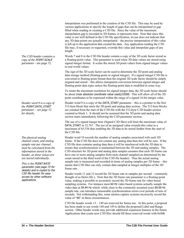interpolation was performed in the creation of the C3D file. This may be used by various applications to specify the length of gaps that can be interpolated or gap filled when reading or creating a C3D file. Since the value of the maximum interpolation gap is recorded in 3D frames, it represents time. Note that since this value is not well defined in the C3D file specification, its use does not indicate that any 3D data points are actually interpolated – the precise interpretation of this value is left up to the application that created the data. Any application reading the C3D file may, if necessary or requested, override this value and interpolate gaps of any length.

Words 7 and 8 in the C3D file header contain a copy of the 3D scale factor stored as a floating-point value. This parameter is used when 3D data values are stored using signed integer format. It scales the stored 3D point values from signed integer values to real world values.

The sign of the 3D scale factor can be used to determine the 3D point and analog data storage method (floating-point or signed integer). If a signed integer C3D file is converted to floating point format then the original 3D scale factor should be simply negated and stored – this allows transparent conversion between signed integer and floating-point data types unless the floating-point data is modified in some way.

To retain the maximum resolution for signed integer data, the 3D scale factor should be about (max absolute coordinate value used)/32000. This will allow all of the 3D point coordinates to be expressed within the range of a signed 16-bit integer value.

Header word 9 is a copy of the DATA\_START parameter – this is a pointer to the first 512-byte block that starts the 3D point and analog data section. The 512-byte blocks are counted from the start of the C3D file with the 512-byte C3D header section counted as block 1. It should not be assumed that the 3D point and analog data section starts immediately following the C3D parameter section.

The use of a signed integer here (Signed C3D files) will limit the maximum value of DATA\_START to 32,767. The use of an unsigned value extends this value to a maximum of 65,536 thus enabling the 3D data to be stored further from the start of the C3D file.

Header word 10 records the number of analog samples associated with each 3D frame. If the C3D file does not contain any analog data then this will be zero. If the C3D file does contains analog data then it will be interleaved with the 3D data to ensure that synchronization is maintained between the 3D and analog samples. The C3D structure for 3D point and analog data samples assumes that each 3D frame can have one or more analog samples from each channel sampled (as determined by the count stored in the third word of the C3D file header). Thus the actual analog sample rate is measured and recorded in terms of analog samples per 3D frame – this means that C3D files can only contain data sampled at integer multiples of the 3D frame rate.

Header words 11 and 12 record the 3D frame rate in samples per second – commonly thought of as Hertz (Hz.). Note that the 3D frame rate parameter is a floating-point value, making it possible to accurately record the 3D frame rate for video based sampling systems. For instance most 60 Hz video based systems actually sample the video data at 59.94 Hz which, while close to the commonly assumed exact 60.00 Hz sample rate, can introduce measurable synchronization errors over periods of tens of seconds. Not withstanding this, some motion capture systems incorrectly record the value of "60" in these circumstances.

C3D file header words 13 – 149 are reserved for future use. At this point, a proposal has been made to use words 148 and 149 to define the proposed Label and Range section. Other header words may provide additional expansion features in the future. Applications that create new C3D files should fill these reserved words with 0x00h

*The C3D header contains a copy of the* POINT:SCALE *parameter - see page [72](#page-75-0).* 

*Header word 9 is a copy of the* POINT:DATA\_START *parameter – see page [72](#page-75-1) for details.* 

*The physical analog channel count, and analog sample rate per channel, must be calculated from the information stored in the header, as these values are not stored individually.* 

*This is the* POINT:RATE parameter (see page 72 for details) and is copied to the C3D file header for easy access by other software applications.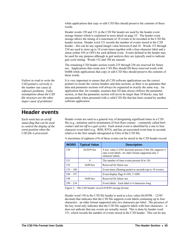while applications that copy or edit C3D files should preserve the contents of these words.

Header words 150 and 151 in the C3D file header are used by the header event storage feature which is explained in more detail on page [35.](#page-38-0) The header event storage allows the timing of a maximum of 18 events to be recorded in the C3D file header section. Header word 151 records the number of events stored in the C3D header – this can be any signed integer value between 0 and 18. Words 153 through 234 are used to store up to 18 event times together with a four-character label and a status (either ON or OFF) for each defined event. Events defined in the header may be used for any purpose although in gait analysis they are typically used to indicate gait cycle timing. Words 152 and 198 are unused.

The remaining C3D header section words 235 through 256 are reserved for future use. Applications that create new C3D files should fill these reserved words with 0x00h while applications that copy or edit C3D files should preserve the contents of these words.

It is very important to ensure that all C3D software applications use the correct pointers to locate the various headers and data sections, as there is no guarantee that data and parameter sections will always be organized in exactly the same way. An application that, for example, assumes that 3D data always follows the parameter section, or that the parameter section will never be larger than 10 blocks, may fail unexpectedly when presented with a valid C3D file that has been created by another software application.

Header events are used as a general way of designating significant times in a C3D file (e.g., initiation and/or termination of foot-floor contact – commonly called *heelcontact* and *toe-off* in a gait cycle). Each stored event is identified by a one to four character event label (e.g. RHS, RTO), and has an associated event time in seconds relative to the first sample (designated as 0.0s) of the C3D file.

| <b>WORD</b> | <b>Typical Value</b> | <b>Description</b>                                                                                                                      |
|-------------|----------------------|-----------------------------------------------------------------------------------------------------------------------------------------|
| 150         | $0x3039$ hex         | A key value (12345 decimal) present if this file supports 4<br>char event labels. An older format supported only 2<br>character labels. |
| 151         | $\theta$             | The number of time events present $(0 \text{ to } 18)$                                                                                  |
| 152         | $0x00$ hex           | Reserved for future use.                                                                                                                |
| $153 - 188$ |                      | Event times (floating-point) in seconds (up to 18 events).                                                                              |
| $189 - 197$ |                      | Event display flags $0=ON$ , $1=OFF$ .                                                                                                  |
| 198         | $0x00$ hex           | Reserved for future use.                                                                                                                |
| $199 - 234$ |                      | Event labels. Each label is 4 characters long                                                                                           |

A maximum of eighteen (18) of these events can be stored in the C3D header record:

*Figure 5 – The C3D header record EVENT storage format.* 

Header word 150 in the C3D file header is used as a key value (0x3039h – 12345 decimal) that indicates that the C3D file supports event labels containing up to four characters - an older format supported only two characters per label. The presence of the key word only indicates that the C3D file *supports* labels with four characters – it does not indicate that any events are actually stored. This is done by header word 151, which records the number of events stored in the C3D header. This can be any

*Failure to read or write the C3D pointers correctly is the number one cause of software problems. False assumptions about the C3D file structure are the other major cause of problems!* 

# <span id="page-38-0"></span>**Header events**

*Each event has an on/off status flag that can be used to control the display of the event position when the C3D file is processed.*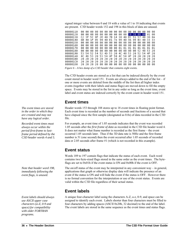signed integer value between 0 and 18 with a value of 1 to 18 indicating that events are present. C3D header words 152 and 198 in this block of data are unused.

00000110 00000120 00 00 00 00 00 00 00 00 00 00 00 39 30 08 00 01 00 00000130 C2 3F 5C 8F 2E 40 7B 14 38 40 EC 51 57 40 3D 0A 00000140 6B 40 1F 85 94 40 E1 7A 99 40 9A 99 B3 40 33 33 00000150 00 00 00 00 00 00 00 00 00 00 00 00 00 88.88 - 00 00000160 00000170 00000180 00 00 00 00 00 00 00 00 00 00 00 00 52 48 53 20 53 54 52 54 52 4D 53 20 4C 48 53 20 52 54 4F 00000190 -20 000001A0 4C 4D 53 20 53 54 4F 50 4C 54 4F 20 20 20 20 20 000001B0 000001C0 000001D0

*Figure 6 – A hex dump of a C3D header that contains eight events.* 

The C3D header events are stored as a list that can be indexed directly by the event count stored in header word 151. Events are always added to the end of the list – if one or more events are deleted from the middle of the list then all higher index events (together with their labels and status flags) are moved down to fill the empty space. Events may be stored in the list in any order so long as the event time, event label and event status are indexed correctly by the event count in header word 151.

# **Event times**

Header words 153 through 188 stores up to 18 event times in floating point format. Each event time is recorded as the number of seconds and fractions of a second that have elapsed since the first sample (designated as 0.0s) of data recorded in the C3D file.

For example, an event time of 1.05 seconds indicates that the event was recorded 1.05 seconds after the *first frame of data* as recorded in the C3D file header word 4. It does not matter what frame number is recorded as the first frame – the event occurred 1.05 seconds later. Thus if the 3D data rate is 50Hz and the first frame number is 51 (one second) then the event occurred after 1.05 seconds of recorded data or 2.05 seconds after frame #1 (which is not recorded in this example).

# **Event status**

Words 189 to 197 contain flags that indicate the status of each event. Each word contains two byte-sized flags stored in the same order as the event times. The byteflags are set to 0x01h if the event status is ON and 0x00h if the event is OFF.

The on/off status of the event may be interpreted in any convenient way  $-$  in general, applications that graph or otherwise display data will indicate the presence of an event if the status is ON and will hide the event if the status is OFF. However there is no formal convention for the interpretation or use of the event status. Events are valid within the C3D file regardless of their actual status.

# **Event labels**

A unique four-character label using the characters A-Z, a-z, 0-9, and space can be assigned to identify each event. Labels shorter than four characters must be filled to four characters by adding spaces (ASCII 0x20h, 32 decimal) to the end of the label. The event labels are stored in the same sequence as the event times and status flags.

*The event times are stored in the order in which they are created and may not have any logical order.* 

*Recorded event times must always occur within the period first-frame to lastframe period defined by the C3D header words 4 and 5.* 

*Note that header word 198, immediately following the event flags, is unused.* 

*Event labels should always use ASCII upper case characters (a-Z, 0-9 and space) for compatibility with older FORTRAN programs.*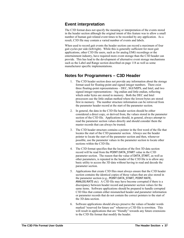# **Event interpretation**

The C3D format does not specify the meaning or interpretation of the events stored in the header section although the original intent of this feature was to allow a small number of human gait related event times to be recorded by any application. As a result, C3D file may contain a varied number of events and labels.

When used to record gait events the header section can record a maximum of four gait cycles per side (left/right). While this is generally sufficient for most gait applications, other C3D file users, such as for analog EMG recordings or the entertainment industry, have required more event storage than the C3D header can provide. This has lead to the development of alternative event storage mechanisms such as the Label and Range section described on page [118](#page-121-0) as well as some manufacturer specific implementations.

# **Notes for Programmers – C3D Header**

- 1. The C3D header section does not provide any information about the storage format used for floating-point and signed integer numbers. There exist three floating-point representations – DEC, SGI/MIPS, and Intel, and two signed integer representations – big endian and little endian, reflecting which order bytes are stored in memory. Both the DEC and Intel processors use the little endian method where the lowest bytes are stored first in memory. The number structure information can be retrieved from the parameter header record at the start of the parameter section.
- 2. In general, the data in the C3D file header section should be either considered a direct copy, or derived from, the values stored in the parameter section of the C3D file. Applications should, in general, always attempt to read the parameter section values directly and should consider them the master records that can always be trusted.
- 3. The C3D header structure contains a pointer in the first word of the file that locates the start of the C3D parameter section. Always use the header pointer to locate the start of the parameter section and then, whenever possible, use the parameter values in the parameter section to locate other sections within the C3D file.
- 4. The C3D format specifies that the location of the first 3D data section record will be read from the POINT:DATA\_START value in the C3D parameter section. The reason that the value of DATA\_START, as well as other parameters, is repeated in the header of the C3D file is to allow any basic utility to access the 3D data without having to read and decode the parameter section.
- 5. Applications that create C3D files must always ensure that the C3D header section contains the identical copies of those values that are also stored in the parameter section (e.g., POINT:DATA\_START, POINT:RATE, ANALOG:RATE etc). A C3D file may have become corrupted if there is a discrepancy between header record and parameter section values for the same items. Software applications should be prepared to handle corrupted C3D files that contain either mismatched header and parameter information or parameter records that do not contain the correct pointers to the start of the 3D data section.
- 6. Software applications should always preserve the values of header words marked "reserved for future use" whenever a C3D file is rewritten. This will result in applications that are "friendly" towards any future extensions to the C3D file format that modify the header.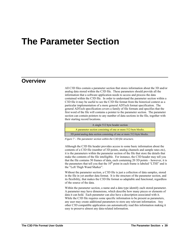# **The Parameter Section**

# **Overview**

All C3D files contain a parameter section that stores information about the 3D and/or analog data stored within the C3D file. These parameters should provide all the information that a software application needs to access and process the data contained within the C3D file. In order to understand the parameter section within a C3D file it may be useful to see the C3D file format from the historical context as a particular implementation of a more general ADTech format specification. The general ADTech specification covers a family of file formats and specifies that the first word of the file will contains a pointer to the parameter section. The parameter section can contain pointers to any number of data sections in the file, together with their starting record locations.



*Figure 7 – The parameter section within the C3D file structure.* 

Although the C3D file header provides access to some basic information about the contents of a C3D file (number of 3D points, analog channels and sample rates etc), it is the parameters within the parameter section of the file that store the details that make the contents of the file intelligible. For instance, the C3D header may tell you that the file contains 50 frames of data, each containing 20 3D points – however, it is the parameters that tell you that the  $10<sup>th</sup>$  point in each frame is labeled "LTHI" and is the "Left Thigh Wand Marker".

Without the parameter section, a C3D file is just a collection of data samples, stored in the file in yet another data format. It is the structure of the parameter section, and its flexibility, that makes the C3D file format so adaptable and functional, regardless of the source of the data.

Within the parameter section, a name and a data type identify each stored parameter. A parameter may have dimensions, which describe how many pieces or elements of data it can hold. Each parameter can also have a description associated with it. While the C3D file requires some specific information to be present as parameters, any user may create additional parameters to store any relevant information. Any other C3D compatible application can automatically read this information making it easy to preserve almost any data-related information.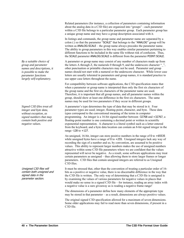Related parameters (for instance, a collection of parameters containing information about the analog data in a C3D file) are organized into "groups" - each parameter within a C3D file belongs to a particular parameter group. Each parameter group has a unique group name and may have a group description associated with it.

In listings and commands, the group name and parameter name are separated by a colon (:) so that the parameter "SCALE" that belongs to the "ANALOG" group will be written as ANALOG:SCALE – the group name always precedes the parameter name. The ability to group parameters in this way enables similar parameters pertaining to different functions to be included in the same file without risk of confusion. Thus, the SCALE parameter ANALOG:SCALE is different from the parameter POINT:SCALE.

A parameter or group name may consist of any number of characters made up from the letters A through Z, the numerals 0 through 9, and the underscore character "\_", other punctuation or printable characters may not be used. Parameter and group names should not start with a numeral or the underscore character. While lower case letters are usually tolerated in parameters and group names, it is standard practice to use upper case letters throughout the name.

For compatibility between software applications, the C3D specification states that when a parameter or group name is interpreted then only the first six characters of the group name and the first six characters of the parameter name are used. Therefore, it is important that all group names, and all parameter names within the group, should show at least one difference in the first six characters. The same names may be used for two parameters if they occur in different groups.

A parameter's type determines the type of data that may be stored in it. Four parameter types are used; integer, floating-point, character, and byte. These data types correspond to the conventional meaning of the terms in computer programming. An integer is a 16-bit signed number between -32768 and +32767, a floating-point number is one containing a decimal point or written in scientific exponential representation. A character is a literal symbol such as a letter entered from the keyboard, and a byte data location can contain an 8-bit signed integer in the range -128 to +127.

An unsigned, 16-bit, integer can store positive numbers in the range of 0 to +65535 while unsigned bytes have a range of 0 to +255. Unsigned integers lack any way of recording the sign of a number and so, by convention, are assumed to be positive values. This ability to represent larger numbers makes the use of unsigned numbers attractive within some C3D file parameters where we are confident that the values represented will never be negative. As a result, some software applications may treat certain parameters as unsigned – thus allowing them to store larger frames or longer parameters. C3D files that contain unsigned integers are referred to as Unsigned C3D files.

It must be stressed that, other than the convention of treating a particular order of 16 bits as a positive or negative value, there is no discernable difference in the way that the C3D file is written. The only way of determining that a C3D file is unsigned is by examining the values of various parameters for negative values in places that would make no sense in a signed C3D file – for instance, reading an array index with a negative value is a sure giveaway as is reading a negative frame range!

The dimensions of a parameter define how many elements of the appropriate type may be stored in that parameter – as a result, dimensions are always positive values.

The original signed C3D specification allowed for a maximum of seven dimensions. Some older applications may fail to read more than seven dimensions, if present in a C3D file.

*By a suitable choice of group and parameter names and descriptions, it is possible to make the parameter functions largely self-explanatory.* 

*Signed C3D files treat all integer and byte data, without exception, as signed numbers that may contain both positive and negative values.* 

Unsigned C3D files will contain both unsigned and signed data in the parameter section.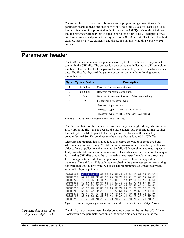The use of the term *dimensions* follows normal programming conventions - if a parameter has no dimensions, then it may only hold one value of its data type. If it has one dimension it is presented in the form such as PARM(4) where the 4 indicates that the parameter called PARM is capable of holding four values. Examples of twoand three-dimensional parameter arrays are PARMA(4,5) and PARMB(3,5,7). The first example has  $4 \times 5 = 20$  elements, and the second parameter holds  $3 \times 5 \times 7 = 105$ entries.

# **Parameter header**

The C3D file header contains a pointer (Word 1) to the first block of the parameter section in the C3D file. The pointer is a byte value that indicates the 512-byte block number of the first block of the parameter section counting the C3D header as block one. The first four bytes of the parameter section contain the following parameter record header:

| <b>Byte</b>   | <b>Typical Value</b> | <b>Description</b>                                |
|---------------|----------------------|---------------------------------------------------|
|               | $0x00$ hex           | Reserved for parameter file use.                  |
| $\mathcal{L}$ | $0x00$ hex           | Reserved for parameter file use.                  |
| 3             | Nn                   | Number of parameter blocks to follow (see below). |
| 4             | 85                   | 83 decimal + processor type.                      |
|               |                      | Processor type $1 =$ Intel                        |
|               |                      | Processor type $2 = DEC$ (VAX, PDP-11)            |
|               |                      | Processor type $3 =$ MIPS processor (SGI/MIPS)    |

*Figure 8 – The parameter section header in a C3D file.* 

The first two bytes of the parameter record are only meaningful if they also form the first word of the file – this is because the more general ADTech file format requires the first byte of a file to point to the first parameter block and the second byte to contain decimal 80. Hence, these two bytes are always ignored in C3D files.

Although not required, it is a good idea to preserve the values of these two bytes when reading and re-writing C3D files in order to maintain compatibility with some older software applications that may not be fully C3D compliant and may expect to find parameter file values in these locations. This is because one common technique for creating C3D files used to be to maintain a parameter "template" as a separate file – an application could then simply create a header block and append the parameter file and data. This technique resulted in the parameter section containing non-zero bytes in the first word, which casual programmers assumed (incorrectly) were valid flags or pointers.

| 00000200 |  | 01 50 09 55 05 FF 50 4F 49 4E 54 17 00 14 33 2D                                              |  |  |  |  |  |  |  |
|----------|--|----------------------------------------------------------------------------------------------|--|--|--|--|--|--|--|
| 00000210 |  | 44 20 70 6F 69 6E 74 20 70 61 72 61 6D 65 74 65                                              |  |  |  |  |  |  |  |
| 00000220 |  |                                                                                              |  |  |  |  |  |  |  |
| 00000230 |  | 6C 6F 67 20 64 61 74 61 20 70 61 72 61 6D 65 74                                              |  |  |  |  |  |  |  |
| 00000240 |  | 65 72 73 0E FD 46 4F 52 43 45 5F 50 4C 41 54 46                                              |  |  |  |  |  |  |  |
| 00000250 |  | 4F 52 4D 1C 00 19 46 6F 72 63 65 20 70 6C 61 74                                              |  |  |  |  |  |  |  |
| 00000260 |  | 66 6F 72 6D 20 70 61 72 61 6D 65 74 65 72 73 0C                                              |  |  |  |  |  |  |  |
| 00000270 |  | 01 44 45 53 43 52 49 50 54 49 4F 4E 53 9B 02 FF                                              |  |  |  |  |  |  |  |
| 00000280 |  | 02    20    14    44    49    53    54    2F    4C    41    54    20    46    4F    4F    54 |  |  |  |  |  |  |  |
| 00000290 |  |                                                                                              |  |  |  |  |  |  |  |

*Figure 9 – A hex dump of a parameter section header record with an invalid first word.* 

*Parameter data is stored in contiguous 512-byte blocks*  The third byte of the parameter header contains a count of the number of 512-byte blocks within the parameter section, counting the first block that contains the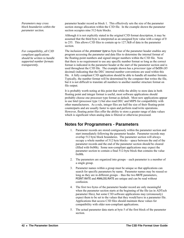*Parameters may cross block boundaries within the parameter section.* 

For compatibility, all C3D *compliant applications should be written to handle supported number formats transparently.* 

parameter header record as block 1. This effectively sets the size of the parameter section storage allocation within the C3D file. In the example shown the parameter section occupies nine 512-byte blocks.

Although it is not explicitly stated in the original C3D format description, it may be assumed that the third byte is interpreted as an unsigned byte value with a range of 0 to 255. This allows C3D files to contain up to 127.5kB of data in the parameter section.

The inclusion of the *processor type* as byte four of the parameter header enables any program accessing the parameter and data files to determine the internal format of the floating-point numbers and signed integer numbers within the C3D file. Note that there is no requirement to use any specific number format so long as the correct format is indicated in the parameter header at the start of the parameter section and is used throughout the C3D file. The example shown has a *processor type* of 0x55h (85 decimal) indicating that the DEC internal number conventions are used within this file. A fully compliant C3D application should be able to handle all number formats. Typically, the number format will be determined by the computer that writes the file, but it is not difficult to translate all numbers to another number structure format on file output.

It is probably worth noting at this point that while the ability to store data in both floating point and integer format is useful, most software applications should probably choose one processor type format as default. Most new applications appear to use Intel (processor type 1) but also read DEC and MIPS for compatibility with other manufacturers. As a rule, integer files are half the size of their floating-point counterparts and are usually faster to open and perform read/write operations. However, floating point files offer the ability to store a greater range of data values which is significant when analog data is filtered or otherwise processed.

# **Notes for Programmers - Parameters**

- 1. Parameter records are stored contiguously within the parameter section and start immediately following the parameter header. Parameter records may overlap 512 byte block boundaries. The parameter section will always occupy a whole number of 512 byte blocks – space between the end of the parameter records and the end of the parameter section should be cleared (filled with 0x00h). Some non-compliant applications may expect the parameter section to contain a final 512-byte block that contains the value 0x00h.
- 2. The parameters are organized into groups each parameter is a member of a single group.
- 3. Parameter names within a group must be unique so that applications can search for specific parameters by name. Parameter names may be reused so long as they are in different groups – thus the two RATE parameters, POINT:RATE and ANALOG:RATE are unique and can be read without confusion.
- 4. The first two bytes of the parameter header record are only meaningful when the parameter section starts at the beginning of the file (as in ADTech parameter files), but some C3D software applications may (erroneously) expect them to be set to the values that they would have in a parameter file. Applications that access C3D files should maintain these values for compatibility with older non-compliant applications.
- 5. The actual parameter data starts at byte 5 of the first block of the parameter section.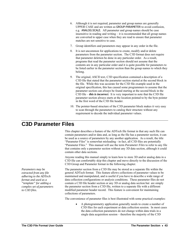- 6. Although it is not required, parameter and group names are generally UPPER CASE and are written as GROUP:PARAMETER to avoid confusion, e.g. ANALOG:SCALE. All parameter and group names should be case insensitive in reading and writing – it is recommended that all group names are converted to upper case when they are read to ensure that parameter matches are not sensitive to case.
- 7. Group identifiers and parameters may appear in any order in the file.
- 8. It is not uncommon for applications to create, modify and/or delete parameters from the parameter section. The C3D format does not require that parameter deletion be done in any particular order. As a result, programs that read the parameter section should not assume that the contents are in any particular order and it is quite possible for parameters to be listed earlier in the parameter section than the group names to which they belong.
- 9. The original, ASCII text, C3D specification contained a description of a C3D file that stated that the parameter section started at the second block in the file. While this was accurate for the C3D file example used in the original specification, this has caused some programmers to assume that the parameter section can *always* be found starting at the second block in the C3D file – *this is incorrect*. It is very important to note that the C3D file parameter section always starts at the location pointed to by the byte pointer in the first word of the C3D file header.
- 10. The pointer-based structure of the C3D parameter block makes it very easy to scan through the parameters to catalog their structure without any requirement to decode the individual parameter values.

# **C3D Parameter Files**

This chapter describes a feature of the ADTech file format in that any such file can contain parameters and/or data and, as long as the file has a parameter section, it can be used as a source of parameters by any another application. As a result, the title "Parameter Files" is somewhat misleading - in fact, all C3D files are potentially "Parameter Files." This manual will use the term *Parameter Files* to refer to any file that contains only a parameter section without any 3D data section, although it could contain other data sections.

Anyone reading this manual simply to learn how to store 3D and/or analog data in a C3D file can comfortably skip this chapter and move directly to the discussion of the C3D Group and Parameter format in the following chapter.

The parameter section from a C3D file may be stored as a separate file within the general ADTech format. This feature allows collections of parameter values to be maintained and manipulated, and is useful if you have to describe a wide range of data collection configurations or analysis conditions. These parameter files do not contain a C3D file header section or any 3D or analog data section but are simply the parameter section from a C3D file, written to a separate file with a different modified parameter header record. This feature is convenient for maintaining collections of parameters.

The convenience of parameter files is best illustrated with some practical examples:

• A photogrammetry application generally needs to create a number of C3D files for each experiment or data collection session. In most cases the data collection parameters do not change within data trials in a single data acquisition session – therefore the majority of the C3D

*Parameters may be extracted from any file adhering to the ADTech format and used as a "template" for adding a complex set of parameters to C3D files.*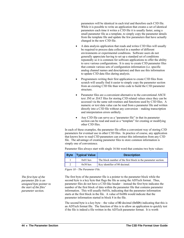parameters will be identical in each trial and therefore each C3D file. While it is possible to write an application that creates a set of identical parameters each time it writes a C3D file it is usually faster, using a small parameter file as a template, to simply copy the parameter details from the template file and update the few parameters that have actually changed in the new C3D file.

- A data analysis application that reads and writes C3D files will usually be required to process data collected in a number of different environments or experimental conditions. Software users do not generally appreciate having to set up a standard set of conditions repeatedly so it is common for software applications to offer the ability to save various configurations. It is easy to create C3D parameter files that contain various sets of configuration information (i.e. specific analog channel names and descriptions) and then use this information to update C3D data files during analysis.
- Programmers writing their first application to create C3D files from scratch will usually find it easier to simply copy the parameter section from an existing C3D file than write code to build the C3D parameter structure.
- Parameter files are a convenient alternative to the conventional ASCII text .INI or .DAT files for storing C3D related values since they can be accessed via the same sub-routines and functions used by C3D files. A numeric or text data value can be read from a parameter file and written directly into a C3D file without any conversion – making transcription and interpretation errors unlikely.
- Any C3D file can serve as a "parameter file" in that its parameter section can be read and used as a "template" for creating or modifying other C3D files.

In each of these examples, the parameter file offers a convenient way of storing C3D parameters for eventual use in other C3D files. In practice of course, any application that knows how to read C3D parameters can extract this information from any C3D file. The advantage of creating parameter files to store common information is simply one of convenience.

Parameter files always start with single 16-bit word that contains two byte values:

| <b>Byte</b> | <b>Typical Value</b> | <b>Description</b>                                            |
|-------------|----------------------|---------------------------------------------------------------|
|             | $0x01$ hex           | The block number of the first block in the parameter section. |
|             | $0x50$ hex           | Key identifier of 80 decimal.                                 |

*Figure 10 – The Parameter File.* 

The first byte of the parameter file is a pointer to the parameter block while the second byte is a key byte that flags the file as using the ADTech format. Thus, parameter files do not have a C3D-like header – instead the first byte indicates the number of the first block of data within the parameter file that contains parameter information. This will usually 0x01h, indicating that the parameter information starts at the first block in the file. A value of 0x08h would indicate that the parameter information started in block 8 in the file.

The second byte is a key byte – the value of 80 decimal (0x50h) indicating that this is an ADTech format file. The function of this is to allow an application to quickly test if the file is indeed a file written in the ADTech parameter format. It is worth

*The first byte of the parameter file is an unsigned byte pointer to the start of the files' parameter section.*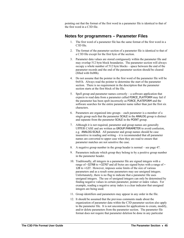pointing out that the format of the first word in a parameter file is identical to that of the first word in a C3D file.

### **Notes for programmers – Parameter Files**

- 1. The first word of a parameter file has the same format of the first word in a C3D file.
- 2. The format of the parameter section of a parameter file is identical to that of a C3D file except for the first byte of the section.
- 3. Parameter data values are stored contiguously within the parameter file and may overlap 512 byte block boundaries. The parameter section will always occupy a whole number of 512 byte blocks – space between the end of the parameter records and the end of the parameter section should be cleared (filled with 0x00h).
- 4. Do not assume that the pointer in the first word of the parameter file will be 0x01h. Always read the pointer to determine the start of the parameter section. There is no requirement in the description that the parameter section starts at the first block of the file.
- 5. Spell group and parameter names correctly a software application that expects to read data from a parameter called FORCE\_PLATFORM may fail if the parameter has been spelt incorrectly as FORCE\_PLATEFORM and the software searches for the entire parameter name rather than just the first six characters.
- 6. Parameters are organized into groups each parameter is a member of a single group such that the parameter SCALE in the ANALOG group is distinct and separate from the parameter SCALE in the POINT group.
- 7. Although it is not required, parameter and group names are generally UPPER CASE and are written as GROUP:PARAMETER to avoid confusion, e.g. ANALOG:SCALE. All parameter and group names should be case insensitive in reading and writing – it is recommended that all parameter names are converted to upper case when they are read to ensure that parameter matches are not sensitive the case.
- 8. A negative group number in the group header is normal see page [47](#page-50-0).
- 9. Parameters indicate which group they belong to by a positive group number in the parameter header.
- 10. Traditionally, all integers in a parameter file are signed integers with a range of –32768 to +32767 and all bytes are signed bytes with a range of – 128 to +127. However, imposes some limits of the size of various parameters and as a result some parameters may use unsigned integers. Unfortunately, there is no flag to indicate that a parameter file uses unsigned integers. The use of unsigned integers can only be determined by finding negative values in certain parameter, pointer or index values. For example, reading a negative array index is a clear indicator that unsigned integers are being used.
- 11. Group identifiers and parameters may appear in any order in the file.
- 12. It should be assumed that the previous comments made about the organization of parameter data within the C3D parameter section also apply to the parameter file. It is not uncommon for applications to create, modify, and/or delete parameters from the parameter section. The parameter file format does not require that parameter deletion be done in any particular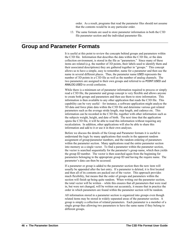order. As a result, programs that read the parameter files should not assume that the contents would be in any particular order.

13. The same formats are used to store parameter information in both the C3D file parameter section and the individual parameter file.

# **Group and Parameter Formats**

It is useful at this point to review the concepts behind groups and parameters within the C3D file. Information that describes the data within the C3D file, or the data collection environment, is stored in the file as "parameters." Since many of these items are related (e.g. the number of 3D points, their labels used to identify them and their associated descriptions) they are gathered together in "groups." This concept allows us to have a simple, easy to remember, name for a parameter and then use the name in several different places. Thus, the parameter name USED represents the number of 3D points in a C3D file as well as the number of analog channels. The two parameters are assigned to their own groups and referred to as POINT:USED and ANALOG:USED to avoid confusion.

While there is a minimum set of parameter information required to process or simply read a C3D file, the parameter and group concept is very flexible and allows anyone to create both groups and parameters and then use them to store information. This information is then available to any other application that reads the C3D file. This capability can be very useful – for instance, a software application might analyze the 3D data and force plate data within the C3D file and determine various gait related parameters such as the average stride length, step length, and cadence etc. This information can be recorded in the C3D file, together with other information such as the subjects weight, height, and date of birth. The next time that the application opens the C3D file, it will be able to read this information without requiring any recalculation. In addition, other applications will also be able to share this information and add to it or use it in their own analyses.

Before we discuss the details of the Group and Parameter formats it is useful to understand the logic by many applications that results in the apparent random assignment of group/parameter numbers, and the random ordering of parameters within the parameter section. Many applications read the entire parameter section into memory as a single vector. To find a parameter within the parameter section, the vector is searched sequentially for the parameter's group name, which then yields the group ID number. The vector is then searched again from the beginning for parameters belonging to the appropriate group ID and having the require name. The parameter's data can then be accessed.

If a parameter or group is added to the parameter section then the new item will usually be appended after the last entry. If a parameter is deleted, it is first located and then all of its contents are packed out of the vector. This approach provides much flexibility, but means that the order of groups and parameters within the section will finish up being quite random. When writing out the parameter section, the total vector will be written – while this ensures that all parameters that were read in, but were not changed, will be written out accurately, it means that in practice the order in which parameters are found within the parameter section will be random.

All information stored in a parameter section is organized into groups even though related items may be stored in widely separated areas of the parameter section. A group is simply a collection of related parameters. Each parameter is a member of a single group thus allowing two parameters to have the same name if they belong to different groups.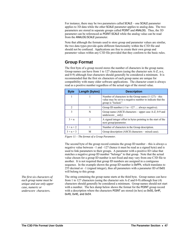For instance, there may be two parameters called SCALE – one SCALE parameter applies to 3D data while the other SCALE parameter applies to analog data. The two parameters are stored in separate groups called POINT and ANALOG. Thus, the 3D parameter can be referenced as POINT:SCALE while the analog value can be read from the ANALOG:SCALE parameter.

Note that although the formats used to store group and parameter values are similar, the two data types provide quite different functionality within the C3D file and should not be confused. Applications are free to create their own group and parameter values within any C3D file provided that they conform to the basic rules.

# <span id="page-50-0"></span>**Group Format**

The first byte of a group record stores the number of characters in the group name. Group names can have from 1 to 127 characters (using the character sets A-Z, a-z, and 0-9) although four characters should generally be considered a minimum. It is recommended that the first six characters of each group name are unique for compatibility with many older software applications. The character count is always read as a positive number regardless of the actual sign of the stored value.

| <b>Byte</b> | Length (bytes) | <b>Description</b>                                                                                                                          |
|-------------|----------------|---------------------------------------------------------------------------------------------------------------------------------------------|
| 1           |                | Number of characters in the Group name $(1-127)$ – this<br>value may be set to a negative number to indicate that the<br>group is "locked." |
| 2           |                | Group ID number $(-1 \text{ to } -127 \dots \text{ always negative}).$                                                                      |
| 3           | N              | Group name (ASCII characters – upper case $A-Z$ , 0-9 and<br>underscore only)                                                               |
| $3 + n$     | $\mathcal{L}$  | A signed integer offset in bytes pointing to the start of the<br>next group/parameter.                                                      |
| $3 + n + 2$ |                | Number of characters in the Group description.                                                                                              |
| $3 + n + 3$ | М              | Group description (ASCII characters – mixed case).                                                                                          |

*Figure 11 – The format of a Group Parameter.* 

The second byte of the group record contains the group ID number – this is always a negative value between –1 and –127 (hence it must be read as a signed byte) and is used to link parameters to their groups. A parameter with a positive ID value that matches a negative group ID number "belongs" to that group. Note that the actual value chosen for a group ID number is not fixed and may vary from one C3D file to another. It is not required that group ID numbers are assigned in a contiguous sequence. In the example shown the group ID number is 0xFFh, which translates to 255 decimal or –1 (signed integer), thus all parameters with a parameter ID of 0x01 will belong to this group.

The string containing the group name starts at the third byte. Group names can have from 1 to 127 characters (using the character sets A-Z and 0-9) although four (4) characters should generally be considered a minimum. Group names should not start with a number. The hex dump below shows the format for the POINT group record with a description where the characters POINT are stored (in hex) as 0x50, 0x4F, 0x49, 0x4E, and 0x54.

*The first six characters of each group name must be unique and use only upper case, numeric or underscore characters.*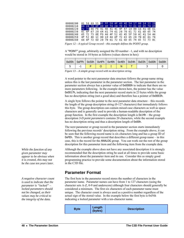| 00000200                                                                                                                                                                                                                                                                                                                            |  |  |  |  |  | 01 50 09 55 05 FF 50 4F 49 4E 54 17 00 14 33 2D |  |  |
|-------------------------------------------------------------------------------------------------------------------------------------------------------------------------------------------------------------------------------------------------------------------------------------------------------------------------------------|--|--|--|--|--|-------------------------------------------------|--|--|
| 00000210                                                                                                                                                                                                                                                                                                                            |  |  |  |  |  | 44 20 70 6F 69 6E 74 20 70 61 72 61 6D 65 74 65 |  |  |
| 00000220                                                                                                                                                                                                                                                                                                                            |  |  |  |  |  | 72 73 06 FE 41 4E 41 4C 4F 47 19 00 16 41 6E 61 |  |  |
| 00000230                                                                                                                                                                                                                                                                                                                            |  |  |  |  |  | 6C 6F 67 20 64 61 74 61 20 70 61 72 61 6D 65 74 |  |  |
| 00000240                                                                                                                                                                                                                                                                                                                            |  |  |  |  |  | 65 72 73 0E FD 46 4F 52 43 45 5F 50 4C 41 54 46 |  |  |
| 00000250                                                                                                                                                                                                                                                                                                                            |  |  |  |  |  | 4F 52 4D 1C 00 19 46 6F 72 63 65 20 70 6C 61 74 |  |  |
| 00000260                                                                                                                                                                                                                                                                                                                            |  |  |  |  |  | 66 6F 72 6D 20 70 61 72 61 6D 65 74 65 72 73 0C |  |  |
| $\mathbf{10}$ $\mathbf{11}$ $\mathbf{12}$ $\mathbf{13}$ $\mathbf{14}$ $\mathbf{15}$ $\mathbf{17}$ $\mathbf{18}$ $\mathbf{18}$ $\mathbf{17}$ $\mathbf{18}$ $\mathbf{18}$ $\mathbf{18}$ $\mathbf{18}$ $\mathbf{18}$ $\mathbf{18}$ $\mathbf{18}$ $\mathbf{18}$ $\mathbf{18}$ $\mathbf{18}$ $\mathbf{18}$ $\mathbf{18}$<br>$\mathbf{r}$ |  |  |  |  |  |                                                 |  |  |

*Figure 12 – A typical Group record – this example defines the POINT group.* 

A "POINT" group, arbitrarily assigned the ID number –1, and with no description would be stored in 10 bytes as follows (values shown in hex):

|  |                 |  | 0x05h   0xFFh   0x50h   0x4Fh   0x49h   0x4Eh   0x54h   0x03h   0x00h   0x00h |  |  |
|--|-----------------|--|-------------------------------------------------------------------------------|--|--|
|  | $-1$ $\sqrt{2}$ |  | N.                                                                            |  |  |

*Figure 13 – A simple group record with no description string.* 

A word pointer to the next parameter data structure follows the group name string unless this is the last parameter in the parameter section. The last parameter in the parameter section always has a pointer value of 0x0000h to indicate that there are no more parameters following. In the example shown here, the pointer has the value 0x0017h, indicating that the next parameter record starts in 23 bytes while the group has no description string (not a good idea) and therefore has a pointer of 0x0003h.

A single byte follows the pointer to the next parameter data structure – this records the length of the group description string (0-127 characters) that immediately follows this byte. The group description can contain mixed case characters as well as space characters and is generally used to provide a human-readable description of the group function. In the first example the description length is 0x14h – the group description *3-D point parameters* contains 20 characters, while the second example has no description string and thus a description length of 0x00h.

The next parameter or group record in the parameter section starts immediately following the previous records' description string. From the example above, it can be seen that the following record name is six characters long and has a group ID of 0xFEh. This is another group record that describes a different group name – in this case, this is the record for the ANALOG group. You can work out the rest of the group description for this parameter item and the following item from the example data.

Although the example above does not have any associated description it is strongly recommended that the description string be used at all times to provide some basic information about the parameter item and its use. Consider this as simply good programming practice to provide some documentation about the information stored in the C3D file.

### **Parameter Format**

The first byte in the parameter record stores the number of characters in the parameter name. Parameter names can have from 1 to 127 characters (using the character sets A-Z, 0-9 and underscore) although four characters should generally be considered a minimum. The first six characters of each parameter name must unique. The character count is always used as a positive number regardless of the actual sign of the stored value. In the example below the first byte is 0xF6h indicating a locked parameter with a ten-character name.

| <b>Byte</b> | Length<br>(bytes) | <b>Description</b> |
|-------------|-------------------|--------------------|
|-------------|-------------------|--------------------|

*While the function of any given parameter may appear to be obvious when it is created, this may not be the case ten years later.* 

*A negative character count is used to indicate that the parameter is "locked" – locked parameters should not be changed, as their values may be critical to the integrity of the data.*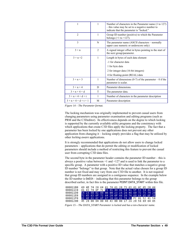| 1                       | 1              | Number of characters in the Parameter name (1 to 127)<br>- this value may be set to a negative number to<br>indicate that the parameter is "locked." |
|-------------------------|----------------|------------------------------------------------------------------------------------------------------------------------------------------------------|
| $\mathfrak{D}$          | 1              | Group ID number (positive) to which the Parameter<br>belongs $(+1$ to $+127$ ).                                                                      |
| 3                       | N              | The parameter name (ASCII characters – normally<br>upper case numeric or underscore only)                                                            |
| $3 + n$                 | $\overline{2}$ | A signed integer offset in bytes pointing to the start of<br>the next group/parameter.                                                               |
| $3 + n + 2$             | 1              | Length in bytes of each data element                                                                                                                 |
|                         |                | -1 for character data                                                                                                                                |
|                         |                | 1 for byte data                                                                                                                                      |
|                         |                | 2 for integer data (16-bit integers)                                                                                                                 |
|                         |                | 4 for floating-point (REAL) data                                                                                                                     |
| $3 + n + 3$             | 1              | Number of dimensions (0-7) of the parameter $-0$ if the<br>parameter is scalar.                                                                      |
| $3 + n + 4$             | D              | Parameter dimensions.                                                                                                                                |
| $3 + n + 4 + d$         | T              | The parameter data.                                                                                                                                  |
| $3 + n + 4 + d + t$     | 1              | Number of characters in the parameter description                                                                                                    |
| $3 + n + 4 + d + t + 1$ | M              | Parameter description                                                                                                                                |

*Figure 14 – The Parameter format.* 

The locking mechanism was originally implemented to prevent casual users from changing parameters using parameter examination and editing programs (such as PRM and the C3Deditor). Its effectiveness depends on the degree to which locking is supported by the currently available utility programs and the consistency with which applications that create C3D files apply the locking property. The fact that a parameter has been locked by one applications does not prevent any other application from changing it – locking simply provides a flag that may be utilized by other *locking aware* applications.

It is strongly recommended that applications do not allow users to change locked parameters – applications that do permit the editing or modification of locked parameters should include a method of restricting this feature to prevent the casual user from corrupting C3D data files.

The second byte in the parameter header contains the parameter ID number – this is always a positive value between  $+1$  and  $+127$  and is used to link the parameter to a specific group. A parameter with a positive ID value that matches a negative group ID number "belongs" to that group. Note that the actual value chosen for a group ID number is not fixed and may vary from one C3D file to another. It is not required that group ID numbers are assigned in a contiguous sequence. In the example below the ID number is 0x01h – indicating that this parameter belongs to the group described earlier, in fact this is the parameter POINT:DATA\_START within this file.

| 000011B0 |  |  |  |  |  |  |  | 69 6E 74 20 64 61 74 61 20 73 63 61 6C 65 20 66 |  |
|----------|--|--|--|--|--|--|--|-------------------------------------------------|--|
| 000011C0 |  |  |  |  |  |  |  | 61 63 74 6F 72 F6 01 44 41 54 41 5F 53 54 41 52 |  |
| 000011D0 |  |  |  |  |  |  |  | 54 2A 00 02 00 0B 00 23 2A 20 46 69 72 73 74 20 |  |
| 000011E0 |  |  |  |  |  |  |  | 72 65 63 6F 72 64 20 6F 66 20 76 69 64 65 6F 2F |  |
| 000011F0 |  |  |  |  |  |  |  | 61 6E 61 6C 6F 67 20 64 61 74 61 FC 01 52 41 54 |  |
| 00001200 |  |  |  |  |  |  |  | 45 20 00 04 00 48 43 00 00 17 2A 20 56 69 64 65 |  |

*Figure 15 – The DATA\_START Parameter is locked and has a ten-character name.*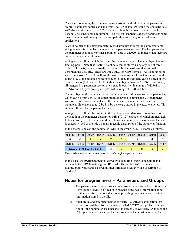The string containing the parameter name starts at the third byte in the parameter record. Parameter names can have from 1 to 127 characters (using the character sets A-Z, 0-9 and the underscore "\_" character) although four (4) characters should generally be considered a minimum. The first six characters of each parameter name must be unique within its group for compatibility with many older software applications.

A word pointer to the next parameter record structure follows the parameter name string unless this is the last parameter in the parameter section. The last parameter in the parameter section always has a pointer value of 0x0000h to indicate that there are no more parameters following.

A single byte follows which describes the parameter type – character, byte, integer or floating-point. Note that floating-point data can be stored using any one of three different formats, which is usually determined by the hardware that originally generated the C3D file. These are Intel, DEC, or MIPS formats. All floating-point values in a given C3D file will use the same floating-point format as recorded in the fourth byte of the parameter record header. Signed integer data can be stored in two different ways (little endian for DEC/Intel, and big endian for MIPS). Traditionally, all integers in a parameter section are signed integers with a range of –32768 to +32767 and all bytes are signed bytes with a range of –128 to +127.

The next byte in the parameter record is the number of dimensions in the parameter, which can be from zero (0) to a maximum of seven (7) dimensions. A parameter with zero dimensions is a scalar. If the parameter is a matrix then the actual parameter dimensions (e.g.  $2 \text{ by } 3$ , 6 by 6 etc) are stored in the next two bytes. This is then followed by the parameter data itself.

A single byte follows the pointer to the next parameter data structure – this records the length of the parameter description string (0-127 characters), which immediately follows this byte. The parameter description can contain mixed case characters and is generally used to provide a human-readable description of the parameter function.

| 0xFCh | 0xFFh | 0x52h                         | 0x41h | 0x54h | 0x45h | 0x0Eh | 0x00h | 0x04h | 0x00  |
|-------|-------|-------------------------------|-------|-------|-------|-------|-------|-------|-------|
| -4    | -1    |                               |       |       |       |       |       |       |       |
| 0x00h | 0x00h | 0xF0h                         | 0x42h | 0x05h | 0x56h | 0x69h | 0x64h | 0x65h | 0x6Fh |
|       |       | 120.00 (Intel floating-point) |       |       |       |       |       |       |       |

In the example below, the parameter RATE in the group POINT is stored as follows:

*Figure 16 - A simple parameter record stored as a floating-point value.* 

In this case, the RATE parameter is correctly locked (the length is negative) and it belongs to the GROUP with a group ID of  $-1$ . The POINT:RATE parameter is a floating-point value and is stored in Intel format as a scalar with a description of "Video."

### **Notes for programmers – Parameters and Groups**

- 1. The parameter and group formats both provide space for a description string – this should always be filled in to provide some basic information about the item and its use – consider this as providing documentation about the information stored in the file.
- 2. Spell group and parameter names correctly a software application that expects to read data from a parameter called OFFSET will probably fail to find it if the parameter has been spelt incorrectly as OFFSETS. Although the C3D specification states that the first six characters must be unique, the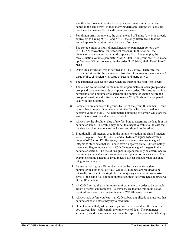specification does not require that applications treat similar parameter names in the same way. In fact, many modern applications will consider that these two names describe different parameters.

- 3. For all non-array parameters, the usual method of having  $d = 0$  is directly equivalent to having ' $d = 1$ ' and ' $t = 1$ ', the only difference is that the second approach requires one extra byte of storage.
- 4. The storage order of multi-dimensioned array parameters follows the FORTRAN convention (for historical reasons). In this format, the dimension that changes more rapidly appears first. For example, the reconstruction volume (parameter "DATA\_LIMITS" in group "SEG") is made up from two 3D vectors stored in the order MinX, MinY, MinZ, MaxX, MaxY, MaxZ
- 5. Using the convention, this is defined as a 3 by 2 array. Therefore, the correct definition for the parameter is Number of parameter dimensions  $= 2$ , Value of first dimension  $= 3$ , Value of second dimension  $= 2$
- 6. The parameter data section ends when the index to the next item is zero.
- 7. There is no count stored for the number of parameters in each group and all group and parameter records can appear in any order. This means that it is permissible for a parameter to appear in the parameter section before the group information and software accessing a C3D file should be prepared to deal with this situation.
- 8. Parameters are connected to groups by use of the group ID number. Group records have unique ID numbers within the file, which are stored as a negative value in byte 2. All parameters belonging to a group will store the same ID as a positive value, also in byte 2.
- 9. Always use the absolute value of the first byte to determine the length of the parameter name. This value may be set to a negative value to indicate that the data item has been marked as locked and should not be edited.
- 10. Traditionally, all integers used in the parameter section are signed integers with a range of –32768 to +32767 and all bytes are signed bytes with a range of –128 to +127. However, some parameters may use unsigned integers to store data that will never have a negative value. Unfortunately, there is no flag to indicate that a C3D file uses unsigned integers in the parameter section. The use of unsigned integers can only be determined by finding negative values in certain parameter, pointer or index values. For example, reading a negative array index is a clear indicator that unsigned integers are being used.
- 11. Be aware that a group ID number may not be the same for a given parameter in a given set of files. Group ID numbers are required to be internally consistent in a single file but may vary even within successive saves of the same file, although in practice, most software tends to preserve Group ID numbers.
- 12. All C3D files require a minimum set of parameters in order to be portable across different environments – always ensure that the minimum set of required parameters are present in every C3D file – see page [69.](#page-72-0)
- 13. Always look before you leap all C3D software applications must test that parameters exist before they try to read them.
- 14. Do not assume that just because a parameter exists and has the name that you expect, that it will contain the same type of data. The parameter structure provides a means to determine the type of the parameter (floating-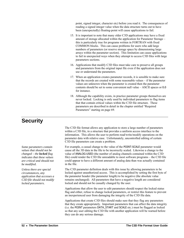point, signed integer, character etc) before you read it. The consequences of reading a signed integer value when the data structure turns out to have been (unexpectedly) floating-point will cause applications to fail.

- 15. It is important to note that many older C3D applications may have a fixed amount of storage allocated within the application for Parameter Storage – this is particularly true for programs written in FORTRAN with fixed COMMON blocks. This can cause problems for users who add large numbers of parameters (or reserve storage space by dimensioning large arrays within the parameter section). This limitation can cause applications to fail in unexpected ways when they attempt to access C3D files with large parameters sections.
- 16. Applications that modify C3D files must take care to preserve all groups and parameters from the original input file even if the application does not use or understand the parameters.
- 17. When an application creates parameter records, it is sensible to make sure that the records are created with some reasonable values – if the parameter values are unknown when the parameter is created then the parameter contents should be set to some convenient null value – ASCII spaces or 0.0 for instance.
- 18. Although the capability exists, in practice parameter groups themselves are never locked. Locking is only used by individual parameters to flag items that that contain critical values within the C3D file structure. These parameters are described in detail in the chapter entitled "[Required](#page-72-0)  [Parameters](#page-72-0)" starting on page [69.](#page-72-0)

# **Security**

*values that should not be changed – the locked flag indicates that these values are critical and should not be modified.* 

*Unless there are special circumstances, any application that accesses a C3D file should not modify locked parameters.* 

The C3D file format allows any application to store a large number of parameters within a C3D file, in a structure that provides a uniform access interface to the information. This allows the user to perform read/write/modify operations on the parameter data with relative ease. Unfortunately, uncontrolled editing of certain C3D file parameters can create a problem.

Some parameters contain **For example, a casual change to the value of the POINT:SCALE parameter would** cause all the 3D data in the file to be incorrectly scaled. Likewise a change to the value of ANALOG:USED (the number of analog channels contained within the C3D file) could render the C3D file unreadable to most software programs – the C3D file could appear to have a different amount of analog data than was actually contained in the file.

> The C3D parameter definition deals with this issue by allowing parameters to be locked against unauthorized access. This is accomplished by setting the first byte of the parameter header (the parameter length) to be negative (the absolute value remains unchanged). All parameters that have a negative length are considered locked and should not be casually changed by the user.

> Applications that allow the user to edit parameters should respect the locked status flag and either, refuse to change locked parameters, or restrict this feature to prevent an inexperienced user from damaging the integrity of the C3D file data.

> Applications that create C3D files should make sure that they flag any parameters that they create appropriately. Important parameters that can affect the data integrity (i.e. the POINT parameters DATA\_START and SCALE etc.) must be flagged as locked so that any user editing the C3D file with another application will be warned before they can do any serious damage.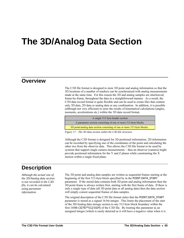# **The 3D/Analog Data Section**

# **Overview**

The C3D file format is designed to store 3D point and analog information so that the 3D locations of a number of markers can be synchronized with analog measurements made at the same time. For this reason the 3D and analog samples are interleaved, frame-by-frame, throughout the data in a straightforward manner. As a result, the C3D data record format is quite flexible and can be used to create files that contain only 3D data, 2D data or analog data or any combination. In addition, it is possible (although not very efficient) to store the results of kinematical calculations (angles, moments, accelerations etc.) within the 3D data record format.

A single 512 byte header section A parameter section consisting of one or more 512-byte blocks. 3D point/analog data section consisting of one or more 512-byte blocks.

*Figure 17 – The 3D data section within the C3D file structure.* 

Although the C3D format is designed for 3D positional information, 2D information can be recorded by specifying one of the coordinates of the point and calculating the other two from the observer data. This allows the C3D file format to be used by systems that support single camera measurements – thus an observer (camera) might provide positional information for the Y and Z planes while constraining the X motion within a single fixed plane.

# **Description**

*Although the actual size of the 3D/Analog data section is not recorded in the C3D file, it can be calculated using parameter information.* 

The 3D point and analog data samples are written as sequential frames starting at the beginning of the first 512-byte block specified by in the POINT:DATA\_START parameter. If the stored data contains both 3D point and analog information then the 3D point frame is always written first, starting with the first frame of data. If there is only a single type of data (all 3D point data or all analog data) then the data section will simply consist sequential frames of data samples.

The original description of the C3D file format states that the POINT:DATA\_START parameter is stored as a signed 16-bit integer. This limits the placement of the start of the 3D/Analog data storage section to any 512-byte block boundary within the first 16Mb (32767\*512/1024) of the C3D file. By treating this parameter as an unsigned integer (which is easily detected as it will have a negative value when it is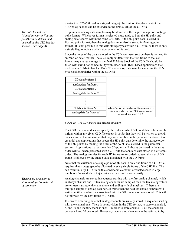*The data format used (signed integer or floatingpoint) can be determined by reading the C3D header section – see page [31.](#page-34-0)* 

greater than 32767 if read as a signed integer) the limit on the placement of the 3D/Analog section can be extended to the first 32Mb of the C3D file.

3D point and analog data samples may be stored in either signed integer or floatingpoint format. Whichever format is selected must apply to both the 3D point and analog data records within the same C3D file. If the 3D point data is stored in floating point format, then the analog data must also be stored in floating point format. It is not possible to mix data storage types within a C3D file, as there is only a single flag to indicate which storage method is used.

Since the range of the data is stored in the C3D parameter section there is no need for an "end-of-data" marker - data is simply written from the first frame to the last frame. Any unused storage in the final 512-byte block of the C3D file should be filled with 0x00h for compatibility with older FORTRAN based applications that read data in 512-byte blocks. Both 3D and analog data samples can cross the 512 byte block boundaries within the C3D file.



*Figure 18 – The 3D / analog data storage structure.* 

The C3D file format does not specify the order in which 3D point data values will be written within any given C3D file except in so far that they will be written to the 3D data section in the same order that they are described in the parameter section. It is essential that applications that access the 3D point data determine the storage order of the 3D points by reading the order of the point labels stored in the parameter section. Applications that assume that 3D points will always be stored in the same order will fail when presented with a C3D file that contains data stored in a different order. The analog samples for each 3D frame are recorded sequentially – each 3D frame is followed by the analog data associated with the 3D frame.

Note that the existence of a single point of 3D data in only one frame of a C3D file requires that storage space be allocated in every single frame of the C3D file. This can result in large C3D file with a considerable amount of wasted space if large numbers of unused, short trajectories are preserved unnecessarily.

Analog channels are stored in sequence starting with the first analog channel, which is always channel one. If ten analog channels are sampled then the ten analog values are written starting with channel one and ending with channel ten. If there are multiple sample of analog data per 3D frame then the next ten analog samples will written until all analog data associated with the 3D frame was been stored. This will be followed by the next frame of 3D data.

It is worth observing here that analog channels are usually stored in sequence starting with the channel one. There is no provision, in the C3D format, to store channels 2, 8, and 10 and identify them as such – in order to store channel 10 all the channels between 1 and 10 be stored. However, since analog channels can be referred to by

*There is no provision to store analog channels out of sequence.*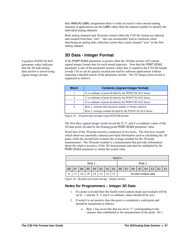their ANALOG:LABEL assignments there is really no need to store unused analog channels if applications use the LABEL rather than the channel number to identify the individual analog channels.

Both analog channels and 3D points stored within the C3D file format are indexed and counted from base "one" – this can occasionally lead to confusion when interfacing an analog data collection system that counts channel "zero" as the first analog channel.

# **3D Data - Integer Format**

If the POINT: SCALE parameter is positive then the 3D data section will contain signed integer format data for each stored trajectory. Note that the POINT:SCALE parameter is one of the parameter section values that is copied to the C3D file header (words 7-8) as can be quickly located and read by software applications without requiring a detailed search of the parameter section. The 3D integer point record is organized as follows:

| Word                          | <b>Contents (signed integer format)</b>                     |
|-------------------------------|-------------------------------------------------------------|
|                               | X co-ordinate of point divided by the POINT:SCALE factor.   |
| $\mathfrak{D}_{\mathfrak{p}}$ | Y co-ordinate of point divided by the POINT:SCALE factor.   |
| 3                             | Z co-ordinate of point divided by the POINT: SCALE factor.  |
| 4                             | Byte 1: cameras that measures marker (1 bit per camera)     |
|                               | Byte 2: average residual divided by the POINT:SCALE factor. |

*Figure 19 – 3D point data storage using INTEGER format.* 

The first three signed integer words record the X, Y, and Z co-ordinate values of the 3D data point, divided by the floating point POINT:SCALE parameter value.

Word four of the 3D point record is comprised of two bytes. The first byte records which observers (normally cameras) provided information used in calculating the 3D point, while the second byte contains the average residual for the 3D point measurement. The 3D point residual is a measurement that provides information about the relative accuracy of the 3D measurement and must be multiplied by the POINT:SCALE parameter to obtain the scaled value.

|    | Word 4 |    |           |                |                |                |           |                         |           |           |           |                |    |           |           |
|----|--------|----|-----------|----------------|----------------|----------------|-----------|-------------------------|-----------|-----------|-----------|----------------|----|-----------|-----------|
|    | Byte 1 |    |           |                |                | Byte 2         |           |                         |           |           |           |                |    |           |           |
| B8 | B7     | B6 | <b>B5</b> | B <sub>4</sub> | B <sub>3</sub> | B <sub>2</sub> | <b>B1</b> | B <sub>8</sub>          | <b>B7</b> | <b>B6</b> | <b>B5</b> | B <sub>4</sub> | B3 | <b>B2</b> | <b>B1</b> |
|    |        | С6 |           | C4             | C3             | c۵             |           | 3D point residual value |           |           |           |                |    |           |           |

*Figure 20 - Residual and mask storage - Integer format.*

#### *Notes for Programmers – Integer 3D Data*

- 1. If a point is invalid then the fourth word (camera mask and residual) will be set to –1 and the X, Y and Z co-ordinate values should all be zero.
- 2. If word 4 is not positive then the point is considered a valid point and should be interpreted as follows:
	- a. Byte 1 has seven bits that are set to "1" corresponding to the cameras that contributed to the measurement of the point - bit 1

*A positive POINT:SCALE parameter value indicates that the 3D and analog data section is stored using signed integer format.*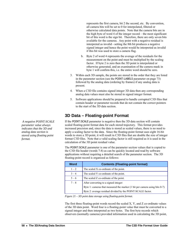represents the first camera, bit 2 the second, etc. By convention, all camera bits will be set to 0 for interpolated, filtered or otherwise calculated data points. Note that the camera bits are in the high byte of word 4 of the integer record – the most significant bit of this word is the sign bit. Therefore, there are only seven bits available for the cameras. Any point with a negative residual is interpreted as invalid - setting the 8th bit produces a negative signed integer and hence the point would be interpreted as invalid if this bit was used to store a camera flag.

- b. Byte 2 of word 4 represents the average of the residuals for the measurement on the point and must be multiplied by the scaling factor. If byte 2 is zero then the 3D point is interpolated or otherwise generated, and an examination of the camera mask in byte 1 will confirm this, i.e. the entire word should be zero.
- 3. Within each 3D sample, the points are stored in the order that they are listed in the parameter section (see the POINT:LABELS parameter on page [73](#page-76-0)) followed by the analog data (ordering by frames) if any analog data is present.
- 4. When a C3D file contains signed integer 3D data then any corresponding analog data values must also be stored in signed integer format.
- 5. Software applications should be prepared to handle corrupted C3D files that contain header or parameter records that do not contain the correct pointers to the start of the 3D data section.

# **3D Data – Floating-point Format**

If the POINT: SCALE parameter is negative then the 3D data section will contain scaled floating-point format data for each stored trajectory. This format provides increased precision and, since the data is stored as scaled values, there is no need to apply a scaling factor to the data. Since the floating-point format uses eight 16-bit words to store a 3D point, it will result in C3D files that are double the size of integer format C3D files. Note that a valid scaling factor is still required as it is used in the calculation of the 3D point residual value.

The POINT:SCALE parameter is one of the parameter section values that is copied to the C3D file header (words 7-8) as can be quickly located and read by software applications without requiring a detailed search of the parameter section. The 3D floating-point record is organized as follows:

| <b>Word</b> | <b>Contents (Floating-point format)</b>                                    |
|-------------|----------------------------------------------------------------------------|
| $1 - 2$     | The scaled X co-ordinate of the point.                                     |
| $3 - 4$     | The scaled Y co-ordinate of the point.                                     |
| $5 - 6$     | The scaled Z co-ordinate of the point.                                     |
| $7 - 8$     | After converting to a signed integer:                                      |
|             | Byte 1: cameras that measured the marker (1 bit per camera using bits 0-7) |
|             | Byte 2: average residual divided by the POINT:SCALE factor.                |

*Figure 21 – 3D point data storage using floating-point format.* 

The first three floating-point words record the scaled X, Y, and Z co-ordinate values of the 3D data point. Word four is a floating-point value that must be converted to a signed integer and then interpreted as two bytes. The first byte records which observers (normally cameras) provided information used in calculating the 3D point,

*A negative POINT:SCALE parameter value always indicates that the 3D and analog data section is stored using floating point format.*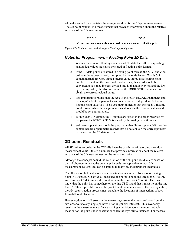while the second byte contains the average residual for the 3D point measurement. The 3D point residual is a measurement that provides information about the relative accuracy of the 3D measurement.

| Word 7                                                                      | Word 8 |  |  |  |
|-----------------------------------------------------------------------------|--------|--|--|--|
| 3D point residual value and camera mask integer converted to floating-point |        |  |  |  |

*Figure 22 - Residual and mask storage – Floating-point format.* 

### *Notes for Programmers – Floating Point 3D Data*

- 1. When a file contains floating-point scaled 3D data then all corresponding analog data values must also be stored in floating-point format.
- 2. If the 3D data points are stored in floating point format, the X, Y, and Z coordinates have been already multiplied by the scale factor. Words 7-8 contain normal 4th word signed integer value stored as a floating-point number. To extract the mask and residual data, this word should be converted to a signed integer, divided into high and low bytes, and the low byte multiplied by the absolute value of the POINT:SCALE parameter to obtain the correct residual value.
- 3. It is important to realize that the *sign* of the POINT:SCALE parameter and the *magnitude* of the parameter are treated as two independent factors in floating point data files. The *sign* simply indicates that the file is a floatingpoint format, while the magnitude is used to scale the residual values and should be set appropriately.
- 4. Within each 3D sample, the 3D points are stored in the order recorded by the parameter POINT:LABELS followed by the analog data, if present.
- 5. Software applications should be prepared to handle corrupted C3D files that contain header or parameter records that do not contain the correct pointers to the start of the 3D data section.

# **3D point Residuals**

All 3D points recorded in the C3D file have the capability of recording a residual measurement value – this is a number that provides information about the relative accuracy of the 3D measurement of the associated point

Although the concepts behind the calculation of the 3D point residual are based on optical photogrammetry, the general principals are applicable to most 3D measurement systems and can be applied to many 3D measurement techniques.

The illustration below demonstrates the situation when two observers see a single point in 3D space. Observer C1 measures the point to be in the direction C1 to D1, and observer C2 determines the point to be in the direction C2 to D2. Thus, we know that the point lies somewhere on the line C1-D1, and that it must lie on the line C2-D2. This is possible only if the point lies at the intersection of the two rays; thus, the 3D reconstruction process must calculate the locations of intersections of rays from different observers.

However, due to small errors in the measuring system, the measured rays from the two observers to any single point will not, in general intersect. This invariably results in the measurement software making a decision about the most probable location for the point under observation when the rays fail to intersect. For the two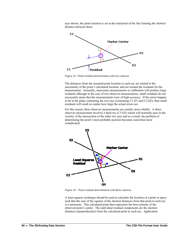rays shown, the point location is set at the mid-point of the line forming the shortest distance between them.



*Figure 23 - Point residual determination with two cameras.* 

The distances from the assumed point location to each ray are related to the uncertainty of the point's calculated location, and are termed the residuals for the measurement. Generally, inaccurate measurements or calibration will produce large residuals although in the case of two-observer measurements, small residuals do not necessarily mean that the measurements were of high accuracy. If the errors happen to be in the plane containing the two rays (containing C1-D1 and C2-D2), then small residuals will result no matter how large the actual errors are.

For this reason, three observer measurements are usually more reliable. A threeobserver measurement involves a third ray (C3-D3) which will normally pass in the vicinity of the intersection of the other two rays and as a result, the problem of determining the point's most probable position becomes somewhat more complicated.



*Figure 24 – Point residual determination with three cameras.* 

A least-squares technique should be used to calculate the location of a point in space such that the sum of the squares of the shortest distances from that point to each ray is a minimum. This calculated point then represents the best estimate of the observed point's center. The individual residual components are the shortest distances (perpendiculars) from the calculated point to each ray. Application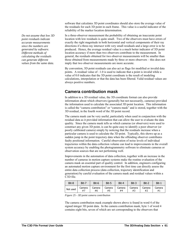*Do not assume that low 3D point residuals indicate accurate measurements since the numbers are generated by software. Different methods of calculating the residuals can generate different values from the same data.* 

software that calculates 3D point coordinates should also store the average value of the residuals for each 3D point in each frame. This value is a useful indicator of the reliability of the marker location determination.

In a three-observer measurement the probability of obtaining an inaccurate point location with low residuals is quite small. Two of the observers must have errors of exactly the right magnitude in both horizontal and vertical components of their ray directions if a three-ray intersect with very small residuals and a large error is to be produced. Hence, the average residual value is a much better indicator of 3D point location accuracy if more than two observers contribute to the measurement. In general, the residuals obtained for two observer measurements will be smaller than those obtained from measurements made by three or more observers – this does not imply that two observer measurements are more accurate.

By convention, 3D point residuals can also act as flags for modified or invalid data points. A residual value of –1.0 is used to indicate that a point is invalid while a value of 0.0 indicates that the 3D point coordinate is the result of modeling calculations, interpolation or that the data has been filtered. Valid residual values are always positive numbers.

# **Camera contribution mask**

In addition to a 3D residual value, the 3D coordinate format can also provide information about which observers (generally but not necessarily, cameras) provided the information used to calculate the associated 3D point location. This information is called the "camera contribution" or "camera mask" and is stored, together with the 3D residual, in the fourth word of the 3D point record.

The camera mask can be very useful, particularly when used in conjunction with the residual data as it provided information that can allow the user to evaluate the data quality. Since the camera mask tells us which cameras (or observers) were used to construct any given 3D point, is can be quite easy to identify a poor observer (or poorly calibrated camera) simply by noticing that the residuals increase when a particular camera is used to calculate the 3D point. Typically, this shows up as a sudden jump in the point trajectory data when the offending observer contributes faulty positional information. Careful observation of noise levels of individual trajectories within the data collection volume can lead to improvements in the overall system accuracy by enabling the photogrammetry software to eliminate cameras or observation sources that are not performing well.

Improvements in the automation of data collection, together with an increase in the number of cameras in motion capture systems make the routine evaluation of the camera mask an essential part of quality control. In addition, engineers configuring an automated motion capture environment for the first time can directly assess the entire data collection process (data collection, trajectory identification and generation) by careful evaluation of the camera mask and residual values within a C3D file.

| Bit-8    | Bit-7  | Bit-6  | Bit-5  | Bit-4  | Bit-3  | Bit-2  | Bit-1  |
|----------|--------|--------|--------|--------|--------|--------|--------|
| Not used | Camera | Camera | Camera | Camera | Camera | Camera | Camera |
|          | #7     | #6     | #5     | #4     | #3     | #2     | #1     |

*Figure 25 - 3D point camera contribution*

The camera contribution mask example shown above is found in word 4 of the signed integer 3D point data. In the camera contribution mask, byte 1 of word 4 contains eight bits, seven of which are set corresponding to the observers that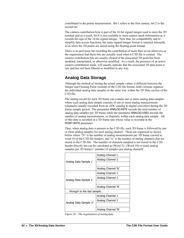contributed to the points measurement. Bit-1 refers to the first camera, bit-2 to the second etc.

The camera contribution byte is part of the 16-bit signed integer used to store the 3D residual and as a result, bit-8 is not available to store camera mask information as it records the sign of the 16-bit signed integer. Note that, for compatibility and to simplify data access functions, the same signed-integer format is retained internally even when the 3D points are stored using the floating-point format.

There is no provision for recording the contribution of more than seven observers or the requirement that these bits are actually used when a C3D file is created. The camera contribution bits are usually cleared if the associated 3D point has been modeled, interpolated, or otherwise modified. As a result, the presence of an active camera contribution mask, will usually indicate that the associated 3D data point is raw and has not been filtered or modified in any way.

# **Analog Data Storage**

Although the method of storing the actual sample values is different between the Integer and Floating Point versions of the C3D file format, both versions organize the individual analog data samples in the same way within the 3D Data section of the C3D file.

The analog record for each 3D frame can contain one or more analog data samples where each analog data sample consists of one or more analog measurements (channels) usually recorded from an ADC (analog to digital converter) during the 3D frame sample period. The parameter ANALOG:RATE records the total number of analog data samples per 3D frame while the parameter ANALOG:USED records the number of analog measurements, or channels, within each analog data sample. All of this data is recorded at a 3D frame rate whose value is recorded in the POINT:RATE parameter.

Thus, when analog data is present in the C3D file, each 3D frame is followed by one or more analog samples for each analog channel. These are organized as shown below where "N" is the number of analog measurements per 3D frame (stored in word 10 of the C3D file header), and "n" is the number of analog channels that are stored in the C3D file. The number of channels sampled is not stored in the C3D header directly but can be calculated as (Word 3) / (Word 10) or (total analog samples per 3D frame) / (number of samples per analog channel):

|                            | Analog Channel 1   |  |  |
|----------------------------|--------------------|--|--|
| Analog Data Sample 1       | Analog Channel 2   |  |  |
|                            |                    |  |  |
|                            | Analog Channel 'N' |  |  |
|                            | Analog Channel 1   |  |  |
|                            | Analog Channel 2   |  |  |
| Analog Data Sample 2       |                    |  |  |
|                            | Analog Channel 'N' |  |  |
| through to the last sample |                    |  |  |
|                            | Analog Channel 1   |  |  |
| Analog Data Sample 'n'     | Analog Channel 2   |  |  |
|                            |                    |  |  |
|                            | Analog Channel 'N' |  |  |

<span id="page-65-0"></span>*Figure 26 – The organization of analog data*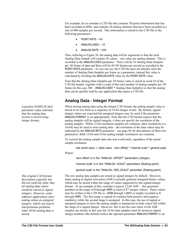For example, let us consider a C3D file that contains 3D point information that has been recorded at 60Hz, and contains 30 analog channels that have been recorded at a rate of 600 samples per second. This information is stored in the C3D file in the following parameters:

- $POINT:RATE = 60$
- $ANALOG:USED = 30$
- $ANALOG:RATE = 600$

Thus, referring to [Figure 26](#page-65-0), the analog data will be organized so that the each *Analog Data Sample* will contain 30 values – one value per analog channel. This is recorded in the ANALOG:USED parameter. There will be 10 *Analog Data Samples* per 3D frame of data and there will be 60 3D frames per second as recorded in the POINT:RATE parameter. As you can see, the C3D file does not directly store the number of *Analog Data Samples* per frame as a parameter; instead this value is calculated by dividing the ANALOG:RATE value by the POINT:RATE value.

Note that the *Analog Data Samples* per 3D frame value is stored in word 10 of the C3D file header, together with a count of the total number of analog samples per 3D frame (in this case 300 – ANALOG:USED \* *Analog Data Samples*) so that the analog data can be quickly read by any application that opens a C3D file.

# **Analog Data - Integer Format**

When storing analog data using the integer C3D format, the analog sample value is stored in its raw form as a sequence of 16-bit integer words. By default, signed integer values are expected but unsigned integers may be used if the parameter ANALOG:FORMAT is set appropriately. Note that the C3D format expects that the analog samples will be signed integers; it does not specify the resolution of the analog samples. While 12-bit resolution samples are common, other resolutions (i.e. 16-bit) may be used to store analog data – the resolution of the data values may be indicated by the ANALOG:BITS parameter – see page [86](#page-89-0) for descriptions of these two parameters. Both 12-bit and 16-bit analog sample resolutions are common.

To convert the analog sample data into real world units, regardless of the actual sample resolution:

real world value = (data value - zero offset)  $*$  channel scale  $*$  general scale Where:

'zero offset' is in the "ANALOG: OFFSET" parameters (integer)

'channel scale' is in the "ANALOG: SCALE" parameters (floating-point)

'general scale' is the "ANALOG: GEN\_SCALE" parameter (floating-point)

The raw analog data samples are stored as signed integers by default. However, many analog to digital converters (ADCs) actually generate unsigned binary values, which may be stored within the range of values supported by the signed-integer format. As an example of this, consider a typical 12-bit ADC – this generates numbers in the range of 0 through 4095 (a total of  $2^{12}$  unique values). These values may be written to the C3D file as –2048 through +2047 or simply recorded as 0 through 4095. The first range is signed (it contains both positive and negative numbers), while the second range is unsigned. In this case, the use of signed or unsigned integers to store the analog sample is immaterial as both values fall within the range of a signed integer. However, this is not the case when 16-bit ADC samples are stored; in this case the 16-bit data samples must be stored as signed integer numbers (the default) unless the optional parameter ANALOG:FORMAT is set

*A positive POINT:SCALE parameter value indicates that the analog data section is stored using integer format.* 

*The original C3D format description expected, but did not explicitly state, that all analog data values would be stored as signed integers. However, some software applications store analog values as unsigned integers, which can lead to interpretation problems when 16-bit analog data is stored.*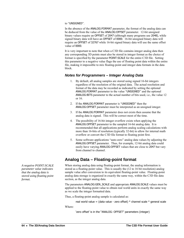#### to "UNSIGNED".

In the absence of the ANALOG:FORMAT parameter, the format of the analog data can be deduced from the value of the ANALOG:OFFSET parameter. 12-bit unsigned binary values require an OFFSET of 2047 (although many programs use 2048), while signed binary data will have an OFFSET of 0000. 16-bit unsigned binary data will require an OFFSET of 32767 while 16-bit signed binary data will use the same offset value of 0000.

It is very important to note that when a C3D file contains integer analog data then any corresponding 3D points must also be stored in integer format as the choice of format is specified by the parameter POINT:SCALE for the entire C3D file. Setting this parameter to a negative value flags the use of floating point data within the entire file, making it impossible to mix floating-point and integer data formats in the data block.

#### *Notes for Programmers – Integer Analog Data*

- 1. By default, all analog samples are stored using signed 16-bit integers regardless of the resolution of the original data. The actual resolution and format of the data may be recorded as indicated by setting the optional ANALOG:FORMAT parameter to the value "UNSIGNED" and the optional ANALOG:BITS parameter to the actual number of bits used, i.e., the value 12 or 16.
- 2. If the ANALOG:FORMAT parameter is "UNSIGNED" then the ANALOG:OFFSET parameter must be interpreted as an unsigned integer.
- 3. If the ANALOG:FORMAT parameter does not exists then assume that the analog data is signed. This will be correct most of the time.
- 4. The possibility of 16-bit integer overflow exists when applying the ANALOG:OFFSET parameter to the sampled 16-bit analog data. It is recommended that all applications perform analog scaling calculations with more than 16-bits of resolution (typically 32-bit) to allow for internal math overflow or convert the C3D file format to floating point first.
- 5. Some software applications "auto-zero" analog data values by adjusting the ANALOG:OFFSET parameter. Thus, for example, 12-bit analog data could easily have varying ANALOG:OFFSET values that are close to 2047 but vary from channel to channel.

# **Analog Data – Floating-point format**

When storing analog data using floating-point format, the analog information is stored as a floating-point value. This is usually the (12 to 16 bit resolution) analog sample value after conversion to its equivalent floating-point value. Floating-point analog data storage is organized in exactly the same way, within the C3D file data section, as the integer analog data.

The parameters ANALOG:GEN\_SCALE and appropriate ANALOG:SCALE values must be applied to the floating-point value to obtain real world units in exactly the same way as we scale the integer formatted data.

Thus, a floating-point analog sample is calculated as:

real world value = (data value - zero offset) \* channel scale \* general scale

Where:

'zero offset' is in the "ANALOG: OFFSET" parameters (integer)

<span id="page-67-0"></span>*A negative POINT:SCALE parameter value indicates that the analog data is stored using floating point format.*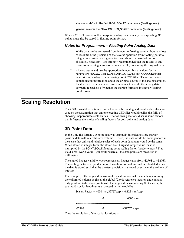'channel scale' is in the "ANALOG: SCALE" parameters (floating-point)

'general scale' is the "ANALOG: GEN\_SCALE" parameter (floating-point)

When a C3D file contains floating-point analog data then any corresponding 3D points must also be stored in floating-point format.

#### *Notes for Programmers – Floating Point Analog Data*

- 1. While data can be converted from integer to floating point without any loss of resolution, the precision of the reverse operation from floating point to integer conversion is not guaranteed and should be avoided unless absolutely necessary. It is strongly recommended that the results of any conversion to integer are stored in a new file, preserving the original data.
- 2. Always create and use the appropriate integer format values for the parameters ANALOG:GEN\_SCALE, ANALOG:SCALE and ANALOG:OFFSET when storing analog data in floating point C3D files. These parameters contain useful information about the original source of the analog samples. Ideally these parameters will contain values that scale the analog data correctly regardless of whether the storage format is integer or floating point format.

# **Scaling Resolution**

The C3D format description requires that sensible analog and point scale values are used on the assumption that anyone creating C3D files would realize the folly of choosing inappropriate scale values. The following sections discuss some factors that influence the choice of scaling factors for both point and analog data.

### **3D Point Data**

In the C3D file format, 3D point data was originally intended to store marker position data within a calibrated volume. Hence, the data would be homogeneous in the sense that units and relative scales of each point data item would be the same. When stored in integer form, the stored 16-bit signed integer value must be multiplied by the POINT:SCALE floating-point scaling factor (header words 7-8) to yield a real world value – generally where all the data points are measured in millimeters.

The signed integer variable type represents an integer value from -32768 to +32767. The scaling factor is dependent upon the calibration volume and is calculated when the data is stored such that the greatest precision is allowed over the entire volume of interest.

For example, if the largest dimension of the calibration is 4 meters then, assuming the calibrated volume begins at the global (0,0,0) reference location and contains only positive X-direction points with the largest dimension being  $X=4$  meters, the scaling factor for length units expressed in mm would be

Scaling Factor =  $4000 \text{ mm}/32767$ step =  $0.122 \text{ mm}/\text{step}$ 

| -32768 | $+32767$ steps |
|--------|----------------|

Thus the resolution of the spatial locations is: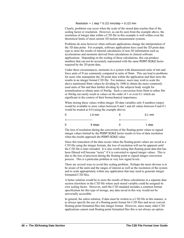Resolution =  $1$  step  $*$  0.122 mm/step = 0.122 mm

Clearly, problems can occur when the scale of the stored data reaches that of the scaling factor or resolution. However, as can be seen from the example above, the resolution of integer data within a C3D file in this example is well within even the theoretical limits of most current 3D motion measurement systems.

Problems do arise however when software applications change the interpretation of the 3D data point. For example, software applications have used the 3D point data type to store the results of internal calculations of non-3D information such as accelerations and moments derived from calculations in clinical software applications. Depending on the scaling of these calculations, this can produce numbers that can not be accurately represented with the same POINT:SCALE factor required by the 3D point data.

Under these circumstances, moments in a system with dimensional units of *mm* and force units of *N* are commonly computed in units of *Nmm*. This can lead to problems for users who manipulate the 3D point data within the application and then store the results in an integer format C3D file. For instance, users may wish to scale the above mentioned *Nmm* values by dividing by 1000 to obtain the more commonly used units of *Nm* and then further dividing by the subjects body weight for normalization to obtain units of *Nm/kg*. Such a conversion from *Nmm* to either *Nm* or *Nm/kg* can easily result in values on the order of 1 or even 0.1 which are significant in the context of their biomechanical importance.

When storing these values within integer 3D data variables only 8 numbers (steps) would be available to store values between 0 and 1 and all values between 0 and 0.1 would be treated as 0.0 (using the example above).

| $\mathbf{0}$               | $1.0 \text{ mm}$ |                         | $0.1$ mm |  |
|----------------------------|------------------|-------------------------|----------|--|
| -------------------------- |                  | ----------------------- |          |  |
| $\mathbf{0}$               | 8 steps          |                         | 1 step   |  |

The loss of resolution during the conversion of the floating-point values to signed integer values limited by the POINT:SCALE factor results in loss of data resolution when the results approach the POINT:SCALE value.

Since this truncation of the data occurs when the floating-point values are saved to a C3D file using the integer formats, the loss of resolution will not be apparent until the C3D file is later reloaded. It is also worth noting that floating point data that has been filtered will become "noisy" if it is converted to signed integer values. This is due to the loss of precision during the floating point to signed integer conversion process. This is a particular problem at very low signal levels.

There are several ways to avoid this scaling problem. Perhaps the most obvious is to be aware of the units and the ranges of interest as well as the resolution of the system and to scale appropriately within any application that may need to generate integer formatted C3D files.

A better solution would be to store the results of these calculations in a separate data section elsewhere in the C3D file where each stored variable could be assigned its own scaling factor. However, until the C3D standard includes a common format specification for this type of storage, any data saved in this way would not be universally accessible.

In general, the safest solution, if data must be written to a C3D file in this manner, is to always specify the use of a floating-point format for C3D files and never convert floating-point formatted files into integer format. However, since many older C3D applications cannot read floating-point formatted files this is not always an option.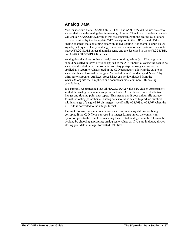# **Analog Data**

You must ensure that all ANALOG:GEN\_SCALE and ANALOG:SCALE values are set to values that scale the analog data in meaningful ways. Thus force plate data channels will contain ANALOG: SCALE values that are consistent with the scaling calculations that are required by the force plate TYPE description in the C3D manual. Other analog channels that containing data with known scaling - for example strain gauge signals, or torque, velocity, and angle data from a dynamometer system etc - should have ANALOG: SCALE values that make sense and are described in the ANALOG: LABEL and ANALOG:DESCRIPTION entries.

Analog data that does not have fixed, known, scaling values (e.g. EMG signals) should be scaled in terms of "volts applied to the ADC input", allowing the data to be viewed and scaled later in sensible terms. Any post-processing scaling can be applied as a separate value, stored in the C3D parameters, allowing the data to be viewed either in terms of the original "recorded values", or displayed "scaled" by third-party software. An Excel spreadsheet can be downloaded from the www.c3d.org site that simplifies and documents most common C3D scaling calculations.

It is strongly recommended that all ANALOG:SCALE values are chosen appropriately so that the analog data values are preserved when C3D files are converted between integer and floating point data types. This means that if your default file storage format is floating point then all analog data should be scaled to produce numbers within a range of a signed 16-bit integer - specifically −32,768 to +32,767 when the C3D file is converted to the integer format.

Failure to follow this recommendation may result in analog data values being corrupted if the C3D file is converted to integer format unless the conversion operation goes to the trouble of rescaling the affected analog channels. This can be avoided by choosing appropriate analog scale values or, if you are in doubt, always storing your data in integer formatted C3D files.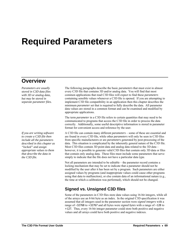# **Required Parameters**

## **Overview**

*Parameters are usually stored in C3D data files with 3D or analog data, but may be stored in separate parameter files.* 

*If you are writing software to create a C3D file then include all the parameters described in this chapter as "locked" and assign appropriate values to them that describe the data in the C3D file.* 

The following paragraphs describe the basic *parameters* that must exist in almost every C3D file that contains 3D and/or analog data. You will find that most common applications that read C3D files will expect to find these *parameters* containing sensible values whenever a C3D file is opened. If you are attempting to implement C3D file compatibility in an application then this chapter describes the minimum *parameter* set that is required to fully describe the data. All parameter data values are stored in a common format and can be examined and modified by appropriate applications.

The term *parameter* in a C3D file refers to certain quantities that may need to be communicated to programs that access the C3D file in order to process the data correctly. Additionally, some useful descriptive information is stored in parameter format for convenient access and reference by the user.

A C3D file can contain many different *parameters* – some of these are essential and are found in every C3D file, while other *parameters* will only be seen in C3D files from specific manufacturers or are *parameters* generated by post-processing of the data. This situation is complicated by the inherently general nature of the C3D file. Most C3D files contain 3D point data and analog data related to the 3D data – however, it is possible to generate valid C3D files that contain only 3D data or files that contain only analog data. These files must include some parameters that serve simply to indicate that the file does not have a particular data type.

Not all parameters are intended to be editable – the parameter record contains a locking mechanism that may be set to indicate that a parameter should not be modified by the user after it has been set by a program. Such parameters are either assigned values by programs (and inappropriate values could cause other programs using that data to malfunction), or else contain data of an informational nature (e.g., the time at which a calibration was performed), which should not be changed.

### **Signed vs. Unsigned C3D files**

Some of the parameters in C3D files store data values using 16-bit integers, while all of the arrays use an 8-bit byte as an index. In the original C3D specification it was assumed that all integers used in the parameter section were *signed integers* with a range of –32768 to +32767 and all bytes were *signed bytes* with a range of –128 to +127. Thus, every 16-bit integer parameter could store both positive and negative values and all arrays could have both positive and negative indexes.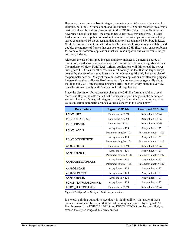However, some common 16-bit integer parameters never take a negative value, for example, both the 3D frame count, and the number of 3D points recorded are always positive values. In addition, arrays within the C3D file (which use an 8-bit index) never use a negative index – the array index values are always positive. This has lead some software application writers to assume that some parameters are actually stored as unsigned 16-bit values and that all arrays use unsigned 8-bit byte indexes. While this is convenient, in that it doubles the amount of array storage available, and doubles the number of frames that can be stored in a C3D file, it may cause problems for some older software applications that will read negative values for frame ranges and array indexes.

Although the use of unsigned integers and array indexes is a potential source of problems for older software applications, it is unlikely to become a significant issue. The majority of older, FORTRAN written, applications will fail to read the newer "unsigned" C3D files for other reasons, most notably the fact that the larger arrays created by the use of unsigned bytes as array indexes significantly increases size of the parameter section. Many of the older software applications, written using signed integers throughout, allocate fixed amounts of parameter storage (generally about 10kb) and any C3D file that uses unsigned array indexes is very likely to overflow this allocation – usually with fatal results for the application.

Since the discussion above does not change the C3D file format at a binary level there is no flag to indicate that a C3D file uses unsigned integers in the parameter section. The use of unsigned integers can only be determined by finding negative values in certain parameter or index values as shown in the table below:

| <b>Signed C3D file</b>   | <b>Unsigned C3D file</b> |
|--------------------------|--------------------------|
| Data value $\leq$ 32768  | Data value $>$ 32767     |
| Data value $<$ 32768     | Data value $>$ 32767     |
| Data value $<$ 32768     | Data value $>$ 32767     |
| Array index $\leq 128$   | Array index $> 127$      |
| Parameter length $<$ 128 | Parameter length $> 127$ |
| Array index $\leq 128$   | Array index $> 127$      |
| Parameter length $<$ 128 | Parameter length $> 127$ |
| Data value < 32768       | Data value $>$ 32767     |
| Array index $\leq 128$   | Array index $> 127$      |
| Parameter length $<$ 128 | Parameter length $> 127$ |
| Array index $<$ 128      | Array index $> 127$      |
| Parameter length $<$ 128 | Parameter length $> 127$ |
| Array index < 128        | Array index $> 127$      |
| Array index $\leq 128$   | Array index $> 127$      |
| Array index $\leq 128$   | Array index $> 127$      |
| Array index $\leq 128$   | Array index $> 127$      |
| Data value $<$ 32768     | Data value $>$ 32767     |
|                          |                          |

*Figure 27 – Signed vs. Unsigned C3D file parameters.* 

It is worth pointing out at this stage that it is highly unlikely that many of these parameters will ever be required to exceed the ranges supported by a signed C3D file. In general, the POINT:LABELS and DESCRIPTIONS are the most likely to exceed the signed range of 127 array entries.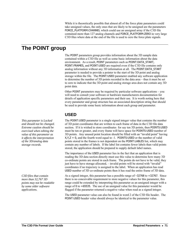While it is theoretically possible that almost all of the force plate parameters could take unsigned values, the only ones that are likely to be unsigned are the parameters FORCE\_PLATFORM:CHANNEL which could use an unsigned array if the C3D file contained more than 127 analog channels and FORCE\_PLATFORM:ZERO in very large C3D files where data at the end of the file is used to zero the force plate signals.

# **The POINT group**

The POINT parameters group provides information about the 3D sample data contained within a C3D file as well as some basic information about the data environment. As a result, POINT parameters such as POINT:DATA\_START, POINT:FRAMES, and POINT:USED are required even if the C3D file contains only analog information without any 3D information at all. The POINT:DATA\_START parameter is needed to provide a pointer to the start of the 3D point and analog storage within the file. The POINT:USED parameter enabled any software application to determine the number of 3D points recorded in the data area – thus it must be set to zero to indicate that the 3D point and analog storage area does not contain any 3D point data.

Other POINT parameters may be required by particular software applications – you will need to consult your software or hardware manufacturers documentation for details of application specific parameters and their use. It is worth noting here that every parameter and group structure has an associated description string that should be used to provide some basic information about each group and parameter.

### **USED**

The POINT:USED parameter is a single signed integer value that contains the number of 3D point coordinates that are written to each frame of data in the C3D file data section. If it is wished to store coordinates for say ten 3D points, then POINTS:USED must be ten or greater, and every frame will have space for POINTS:USED number of 3D points. Any unused point location should be filled with an "invalid point" having  $X_1Y_1Z = 0$ , and the fourth word equal to -1. POINTS: USED or the number of valid points stored in the frames is not dependent on the POINT:LABLES list, which may contain any number of labels. If the label list contains fewer labels than valid points stored, the application should be prepared to supply default label names.

The importance of the USED parameter lies in the fact that an application that is reading the 3D data section directly must use this value to determine how many 3D co-ordinate points are stored in each frame. The points do not have to be valid, they just have to have storage allocated, – invalid points will be stored with "invalid" coordinates if no trajectory is assigned to the label. When an application has read USED number of 3D co-ordinate points then it has read the entire frame of 3D data.

As a signed integer, this parameter has a possible range of –32768 to +32767. Since there is no conceivable requirement to store negative values for this parameter, this range could be extended by interpreting this parameter as an unsigned integer with a range of 0 to +65535. The use of an unsigned value for this parameter would be flagged if the parameter returned a negative value when read as a signed integer.

The USED parameter value can also be found in word 2 of the C3D file header. The POINT:USED header value should always be identical to the parameter value.

*This parameter is Locked and should not be changed. Extreme caution should be exercised when editing the value of this parameter as it affects the interpretation of the 3D/analog data storage records.* 

*C3D files that contain more than 32,767 3D points may not be readable by some older software applications.*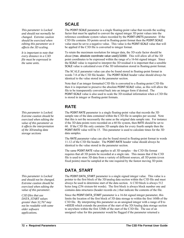*This parameter is Locked and should not normally be changed. Extreme caution should be exercised when editing this parameter as it affects the 3D scaling.* 

*It is important to note that every distance in a C3D file must be expressed in the same units.* 

*This parameter is Locked. Extreme caution should be exercised when editing the value of this parameter as it affects the interpretation of the 3D/analog data storage sections* 

*This parameter is Locked and should not be changed. Extreme caution should be exercised when editing the value of this parameter.* 

*C3D files that use DATA\_START values greater than 32,767 may not be readable with some older software applications.* 

### **SCALE**

The POINT: SCALE parameter is a single floating-point value that records the scaling factor that must be applied to convert the signed integer 3D point values into the reference coordinate system values recorded by the POINT:UNITS parameter. If the C3D file contains 3D points saved in floating-point format then the POINT:SCALE value must be set to a negative value. This value is the POINT:SCALE value that will be applied if the C3D file is converted to integer format.

To retain the maximum resolution for integer data, the 3D scale factor should be about (max. absolute coordinate value used)/32000. This will allow all of the 3D point coordinates to be expressed within the range of a 16-bit signed integer. Since the SCALE value is required to interpret the 3D residual it is important that a sensible SCALE value is calculated even if the 3D information stored in floating-point format.

The SCALE parameter value can also be found stored in floating-point format in words 7-8 of the C3D file header. The POINT:SCALE header value should always be identical to the value stored in the parameter section.

Note that if an integer formatted C3D file is converted to a floating-point C3D file then it is important to preserve the absolute POINT:SCALE value, as this will allow the file to be transparently converted back into an integer form if desired. The POINT:SCALE value is also used to scale the 3D residual information when a C3D file is stored in integer or floating-point formats.

## **RATE**

The POINT:RATE parameter is a single floating-point value that records the 3D sample rate of the data contained within the C3D file in samples per second. Note that this is not the necessarily the same as the original data sample rate. For instance if the 3D data points were recorded on a 60 Hz system, then RATE should be set to 60. If the C3D file only contains 3D sample data for every fourth sample then the POINT:RATE value will be 15. This parameter is used to calculate times for the 3D data samples.

The RATE parameter value can also be found stored in floating-point format in words 11-12 of the C3D file header. The POINT:RATE header value should always be identical to the value stored in the parameter section.

The same POINT:RATE value applies to all 3D samples – the C3D file format requires that all 3D points be recorded at a single rate. This means that if the C3D file is used to store 3D data from a variety of different sources, all 3D points (even fixed points) must be sampled at the rate required by the fastest moving 3D point.

## **DATA\_START**

The POINT:DATA\_START parameter is a single signed integer value. This value is a pointer to the first block of the 3D/analog data section within the C3D file and must always be used to determine start of the data section. A C3D block is always 512 bytes long (256 sixteen-bit words). The first block is always block number one and contains data structures (header records etc.) that indicate the contents of the file.

Since the POINT:DATA\_START parameter is a 16-bit signed integer parameter, this limits the location of the first block of 3D data storage to within the first 16Mb of the C3D file. By interpreting this parameter as an unsigned integer with a range of 0 to +65535 which extends the position of the start of the 3D/Analog data storage section to anywhere within the first 32Mb of the start of the C3D file. The use of an unsigned value for this parameter would be flagged if the parameter returned a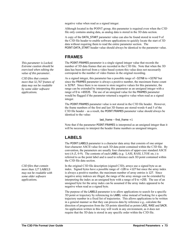negative value when read as a signed integer.

Although located in the POINT group, this parameter is required even when the C3D file only contains analog data, as analog data is stored in the 3D data section.

A copy of the DATA\_START parameter value can also be found stored in word 9 of the C3D file header to enable software applications to quickly locate the start of 3D data without requiring them to read the entire parameter section. The POINT:DATA\_START header value should always be identical to the parameter value.

### **FRAMES**

The POINT:FRAMES parameter is a single signed integer value that records the number of 3D data frames that are recorded in the C3D file. Note that when the 3D data has been derived from a video based system this value does not necessarily correspond to the number of video frames in the original recording.

As a signed integer, this parameter has a possible range of –32768 to +32767 but since the FRAMES parameter is always a positive number, the maximum frame count is 32767. Since there is no reason to store negative values for this parameter, the range can be extended by interpreting this parameter as an unsigned integer with a range of 0 to +65535. The use of an unsigned value for the FRAMES parameter would be flagged if the parameter returned a negative value when read as a signed integer.

The POINT:FRAMES parameter value is not stored in the C3D file header. However, the frame numbers of the first and last 3D frames are stored words 4 and 5 of the C3D file header – as a result, the POINT:FRAMES parameter value should always be identical to the value:

last frame – first frame  $+1$ 

Note that if the parameter POINT:FRAMES is interpreted as an unsigned integer than it will be necessary to interpret the header frame numbers as unsigned integers.

## **LABELS**

The POINT:LABELS parameter is a character data array that consists of one *unique* four-character ASCII value for each 3D data point contained within the C3D file. By convention, the parameters are usually four characters of upper-case standard ASCII text (A-Z, 0-9). The contents of each LABEL (e.g. LASI, RASI, LTOE etc.) is referred to as the point label and is used to reference each 3D point contained within the C3D file data section.

In the original C3D file description (signed C3D), arrays use a signed byte as an index. Signed bytes have a possible range of –128 to +127 but since the array index is always a positive number, the maximum number of array entries is 127. Since negative array indexes are illegal, the range of the array storage can be extended by interpreting the index as an unsigned byte with a range of 0 to +255. The use of an unsigned byte for the array index can be assumed if the array index appeared to be negative when read as a signed byte.

The purpose of the LABELS parameter is to allow applications to search for a specific 3D point or trajectory by referencing its LABEL value instead of looking for a specific trajectory number in a fixed list of trajectories. This allows applications to be written in a general manner so that they can process data by reference e.g., calculate the direction of progression from the 3D points identified as points LASI, RASI and SACR. An application written in this way will work in any environment, as it does not require that the 3D data is stored in any specific order within the C3D file.

**This parameter is Locked.** *Extreme caution should be exercised when editing the value of this parameter.* 

*C3D files that contain more that 32,767 frames of data may not be readable by some older software applications.* 

*C3D files that contain more than 127 LABELS may not be readable with some older software applications.*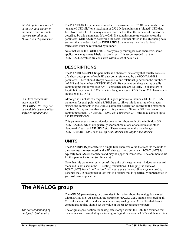3D data points are stored *in the 3D data section in the same order in which they are stored in the* 

*more than 127 DESCRIPTIONS may not be readable by some older software applications.* 

POINT:LABELS parameter can refer to a maximum of 127 3D data points in an "unsigned C3D file" or a maximum of 255 3D data points in a "signed" C3D data file. Note that a C3D file may contain more or less than the number of trajectories described by this parameter. If the C3D file contains more trajectories (read the POINT:LABELS *parameter.* parameter POINT:USED to determine the actual number stored in the 3D/analog data section) than are described by POINT:LABELS parameters then the additional trajectories must be referenced by number.

> Note that while the POINT:LABELS are typically four upper case characters, some applications may create labels that are larger. It is recommended that the POINT:LABELS values are consistent within a set of data files.

### **DESCRIPTIONS**

The POINT:DESCRIPTIONS parameter is a character data array that usually consists of a short description of each 3D data point referenced by the POINT:LABELS parameter. There should always be a one to one relationship between the number of LABELS and the number of DESCRIPTIONS. By convention, these entries usually contain upper and lower case ASCII characters and are typically 32 characters in length but may be up to 127 characters long in a signed C3D file or 255 characters in an unsigned C3D file.

*C3D files that contain* Although it is not strictly required, it is good practice to include a DESCRIPTIONS parameter for each point with a LABELS entry. Since this is an array of character strings, the comments in the LABELS parameter description regarding the maximum number of array entries also apply to this parameter. Signed C3D files cannot contain more than 127 DESCRIPTIONS while unsigned C3D files may contain up to 255 DESCRIPTIONS.

> This parameter exists to provide documentation about each of the individual 3D POINT:LABELS, which are generally short abbreviations of anatomical or other "landmarks" such as LASI, RKNE etc. These names generally have longer POINT:DESCRIPTIONS such as *Left ASIS Marker* and *Right Knee Marker*.

### **UNITS**

The POINT:UNITS parameter is a single four-character value that records the units of distance measurement used by the 3D data e.g. mm, cm, m etc. POINT:UNITS is typically four ASCII characters and may be upper or lower case. The common value for this parameter is mm (millimeters).

Note that this parameter only *records* the units of measurement – it does not control them and is not used in the 3D scaling calculations. Changing the value of POINT:UNITS from "mm" to "cm" will not re-scale the coordinate system used to generate the 3D data points unless this is a feature that is specifically implemented in your software application.

# **The ANALOG group**

*The correct handling of unsigned 16-bit analog* 

The ANALOG parameters group provides information about the analog data stored within a C3D file. As a result, the parameter ANALOG:USED should be stored in all C3D files even if the file does not contain any analog data. C3D files that do not contain analog data should set the value of the USED parameter to zero.

The original specification for analog data storage within the C3D file assumed that data values were sampled by an Analog to Digital Converter (ADC) and then written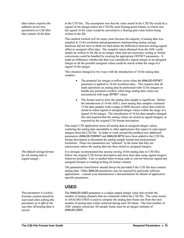*data values requires the addition of two new parameters to C3D files that contain 16-bit data.*  to the C3D file. The assumption was that the value stored in the C3D file would be a signed 16-bit integer unless the C3D file used floating-point format, in which case the signed 16-bit value would be converted to a floating-pint value before being written to the file.

This method worked well for many years because the majority of analog data was sampled at 12-bit resolution and programmers implementing analog storage functions did not have to think too hard about the differences between storing signed offset or unsigned offset data. The sampled values obtained from the ADC could simply be written to the file as an integer value and any necessary scaling or format conversions could be handled by creating the appropriate OFFSET parameters. It made no difference whether the data was considered a signed integer or an unsigned integer as all the possible unsigned values could be stored within the range of a signed 16-bit integer.

This situation changed in two ways with the introduction of 16-bit analog data samples:

- The potential for integer overflow exists when the ANALOG:OFFSET parameter is applied to 16-bit resolution data.. This requires that all math operations on analog data be performed with 32-bit integers to handle any potential overflow when large analog data values are encountered with large OFFSET values.
- The format used to store the analog data sample is significant. Before the introduction of 16-bit ADCs, most analog data samples contained 12-bit data samples with a range of 4096 discreet values that could be stored as either signed or unsigned integer values within the range of a signed 16-bit integer. The introduction of 16-bit data samples changed this and required that the analog values are stored as signed integers, as required by the original C3D format description.

One major C3D application stores all analog data as unsigned integer values, rendering the analog data unreadable to other applications that expect to read signed integers from the C3D file. In order to work around this problem two additional parameters (ANALOG:FORMAT and ANALOG:BITS) have been added to the C3D file format description to document the analog sample format and measurement resolution. These two parameters are "optional" in the sense that they are unnecessary unless the analog data has been stored as unsigned integers.

It is strongly recommended that anyone storing 16-bit analog data in C3D files follow the original C3D format description and store their data using signed integers wherever possible. Care is needed when writing code to convert between signed and unsigned formats or reading/writing all format variants.

The parameters listed below should always be provided if the C3D file does contain analog data. Other ANALOG parameters may be required by particular software applications – consult your manufacturer's documentation for details of application specific parameters.

### **USED**

ANALOG:USED parameter is a single signed integer value that records the number of analog channels that are contained within the C3D file. The value stored in ANALOG:USED is used to compute the analog data frame rate from the total number of analog data words collected during each 3D frame. The total number of ADC samples stored per 3D sample frame must be an integer multiple of ANALOG:USED.

*The default storage format for all analog data is signed integer.* 

*This parameter is Locked. Extreme caution should be exercised when editing this parameter as it affects the way that 3D/analog data is stored.*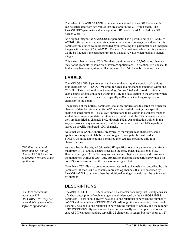The value of the ANALOG:USED parameter is not stored in the C3D file header but can be calculated from two values that are stored in the C3D file header. The ANALOG:USED parameter value is equal to C3D header word 3 divided by C3D header Word 10.

As a signed integer, the ANALOG:USED parameter has a possible range of –32768 to +32767. Since there is no conceivable requirement to store negative values for this parameter, this range could be extended by interpreting this parameter as an unsigned integer with a range of 0 to +65535. The use of an unsigned value for this parameter would be flagged if the parameter returned a negative value when read as a signed integer.

This means that in theory, C3D files that contain more than 32,767analog channels may not be readable by some older software applications. In practice, it is unusual to find analog hardware systems collecting more than 64 channels of analog data.

## <span id="page-79-0"></span>**LABELS**

The ANALOG:LABELS parameter is a character data array that consists of a unique four-character ASCII (A-Z, 0-9) string for each analog channel contained within the C3D file. This is referred to as the *analog channel label* and is used to reference each channel of data contained within the C3D file data section in the order in which the channels are stored. Labels are typically 4-30 characters long (4 upper case characters is the default).

The purpose of the LABELS parameter is to allow applications to search for a specific channel of data by referencing its LABEL value instead of looking for a specific analog channel number. This allows applications to be written in a general manner so that they can process data by reference e.g. analyze all the EMG channels where they are identified as channels EM01 through EM32. An application written in this way will work in any environment, as it does not require that the EMG signals be stored on specific numbered ADC channels.

Note that while ANALOG:LABELS are typically four upper case characters, some applications may create labels that are longer. If compatibility with older FORTRAN based applications is required then LABELS should be only four characters long.

As described in the original (signed) C3D specifications, this parameter can refer to a maximum of 127 analog channels because the array index uses a signed byte. However, unsigned C3D files may use an unsigned byte as an array index to extend the number of LABELS to 255. Any application that reads a negative array index for LABELS should assume that the index is an unsigned byte.

Note that a C3D file may contain more or less analog channels than described by this parameter. If the C3D file contains more analog channels than are described by ANALOG:LABELS parameters then the additional analog channels must be referenced by number.

### **DESCRIPTIONS**

The ANALOG:DESCRIPTIONS parameter is a character data array that usually consists of a short description of each analog channel referenced by the ANALOG:LABELS parameter. There should always be a one to one relationship between the number of LABELS and the number of DESCRIPTIONS. Although it is not essential, there should generally be a one to one relationship between the number of LABELS and the number of DESCRIPTIONS. By convention, these entries usually contain upper and lower case ASCII characters and are typically 32 characters in length but may be up to 127

*C3D files that contain more than 127 analog channel LABELS may not be readable by some older applications.* 

*C3D files that contain more than 127 DESCRIPTIONS may not be readable by some older software applications.*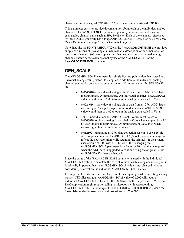characters long in a signed C3D file or 255 characters in an unsigned C3D file.

This parameter exists to provide documentation about each of the individual analog channels. The ANALOG:LABELS parameter generally stores a short abbreviation of each analog channel name such as 1FX, EM05 etc. Each of the channels referenced by these LABELS generally has a longer ANALOG:DESCRIPTIONS such as *Force Plate One – Fx channel* and *Left Extensor Hallucis Longus* etc.

Note that, like the POINTS:DESCRIPTIONS, the ANALOG:DESCRIPTIONS are provided simply as a means of providing a human readable description or documentation of the analog channel. Software applications that need to access individual analog channels should access each channel by use of the ANALOG:LABEL, not the ANALOG:DESCRIPTION parameter.

### **GEN\_SCALE**

The ANALOG:GEN\_SCALE parameter is a single floating-point value that is used as a universal analog scaling factor. It is applied in addition to the individual analog channel scaling factors and acts on all channels. Common values for GEN\_SCALE are:

- 0.0048828 the value of a single bit of data from a 12-bit ADC that is measuring a ±10V input range. An individual channel ANALOG:SCALE value would then be 1.00 to obtain the analog data scaled in Volts.
- 0.0024414 the value of a single bit of data from a 12-bit ADC that is measuring a  $\pm$ 5V input range. An individual channel ANALOG: SCALE value would then be 1.00 to obtain the analog data scaled in Volts.
- 1.00 individual channel ANALOG:SCALE values must be set to 0.0048828 to obtain analog data scaled in Volts when sampled by a 12 bit ADC that is measuring a  $\pm 10V$  input range, or 0.0024414 when measuring with a  $\pm$ 5V ADC input range.
- 0.062500 upgrading a 12-bit data collection system to use a 16-bit ADC requires only that the ANALOG:GEN SCALE parameter change to reflect the new resolution while retaining the original . If the system used a value of 1.00 with a 12-bit ADC then changing the ANALOG:GEN\_SCALE parameter by a factor of 16 is all that is required when the ADC card is upgraded to continue using the original 12-bit ANALOG:SCALE values unchanged.

Since the value of the ANALOG:GEN\_SCALE parameter is used with the individual ANALOG:SCALE values to calculate the correct value of each analog channel signal, it is critically important that the ANALOG:GEN\_SCALE value is not changed without considering its effect on the individual ANALOG:GEN\_SCALE values.

It is important to take into account the possible scaling ranges when selecting scaling values. C3D files using an ANALOG:GEN\_SCALE value of 1.000 will require individual ANALOG:SCALE values of 0.0048828 to scale the output data in Volts, an EMG application might require scaling in microvolts with corresponding ANALOG:SCALE value in the range of 0.0000048828 to 0.0000000048828, while the force plate, scaled in Newtons would use values of 100 – 300.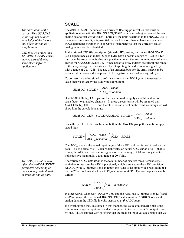### **SCALE**

<span id="page-81-0"></span>*The calculation of the correct value requires detailed knowledge of the factors that affect the analog sample values.* 

*C3D files with more than 127* ANALOG:SCALE *entries may be unreadable by some older software applications.* 

*The ADC\_resolution may affect the* ANALOG:OFFSET *parameter depending on the encoding method used to store the analog data.* 

The ANALOG: SCALE parameter is an array of floating-point values that must be ANALOG:SCALE applied (together with the ANALOG:GEN\_SCALE parameter value) to convert the raw analog data to real world values – normally the units described in the ANALOG:UNITS parameter. As a result, it is essential that each analog channel have an associated SCALE parameter together with an OFFSET parameter so that the correctly scaled analog values can be calculated.

> In the original C3D file description (signed C3D), arrays, such as ANALOG:SCALE, use a signed byte as an index. Signed bytes have a possible range of –128 to +127 but since the array index is always a positive number, the maximum number of array entries for ANALOG:SCALE is 127. Since negative array indexes are illegal, the range of the array storage can be extended by interpreting the index as an unsigned byte with a range of 0 to +255. The use of an unsigned byte for the array index can be assumed if the array index appeared to be negative when read as a signed byte.

To convert the analog signal to *volts measured at the ADC inputs*, the necessary scale factor is given by the following expression:

$$
ANALOG: SCALE = \frac{ADC\_range}{ADC\_resolution}
$$

 The ANALOG:GEN\_SCALE parameter may be used to apply an additional uniform scale factor to all analog channels. In these discussions it will be assumed that ANALOG:GEN  $SCALE = 1.0$  and therefore has no effect on the results although we will show it in the calculations thus:

$$
ANALOG: GEN\_SCALE*ANALOG: SCALE = \frac{ADC\_range}{ADC\_resolution}
$$

Since the two C3D file variables are both in the ANALOG group, this can be simply stated thus:

$$
SCALE = \left(\frac{ADC\_range}{ADC\_resolution}\right) / GEN\_SCALE
$$

The *ADC\_range* is the actual input range of the ADC card that is used to collect the data. This is normally ±10Volts, which yields an actual *ADC\_range* of 20 – that is to say; the ADC card can record signals as over the range of 10 volts negative to 10 volts positive magnitude, a total range of 20 Volts.

The variable *ADC* resolution is the total number of discrete measurement steps available to measure the ADC input signal, which is related to the ADC precision. An ADC with 12-bit precision can report the value of its input with a resolution of 1 part in  $2^{12}$  – this translates to an *ADC\_resolution* of 4096. Thus our equation can be written:

$$
SCALE = \left(\frac{20}{4096}\right) / 1.00 = 0.00488281
$$

In other words, when GEN\_SCALE = 1.00 and the ADC has 12-bit precision  $(2^{12})$  and a 20Volt range, the individual ANALOG:SCALE value must be 0.004883 to scale the analog data in the C3D file in *volts measured at the ADC input*.

It's worth noting that, calculated in this manner, the value 0.00488281 volts is the minimum change in input voltage that is required to increase the ADC output count by one. This is another way of saying that the smallest input voltage change that we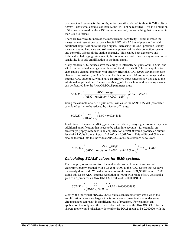can detect and record (for the configuration described above) is about 0.0049 volts or 4.9mV – any signal change less than 4.9mV will not be recorded. This is a limitation of the precision used by the ADC recording method, not something that is inherent in the C3D file format.

There are two ways to increase the measurement sensitivity – either increase the measurement resolution (i.e. use a 16-bit ADC with  $2^{16}$  bits of precision) or add additional amplification to the input signal. Increasing the ADC precision usually means changing hardware and software components of the data collection system and generally affects all the analog channels. This can be both expensive and technically challenging. As a result, the common method of increasing measurement sensitivity is to add amplification to the input signal.

Many modern ADC devices have the ability to internally set gains of x1, x2, x4, and x8 etc on individual analog channels within the device itself. The gain applied to each analog channel internally will directly affect the *ADC\_range* variable for each channel. For instance, an ADC channel with a nominal  $\pm 10$  volt input range and an internal *ADC\_gain* of x2 would have an effective input range of ±5Volts due to the additional amplification. The internal *ADC\_gain* for each individual analog channel can be factored into the ANALOG:SCALE parameter thus:

$$
SCALE = \left(\frac{ADC\_range}{(ADC\_resolution * ADC\_gain)}\right) / GEN\_SCALE
$$

Using the example of a *ADC\_gain* of x2, will cause the ANALOG:SCALE parameter calculated earlier to be reduced by a factor of 2, thus:

$$
SCALE = \left(\frac{20}{4096 * 2}\right) / 1.00 = 0.00244141
$$

In addition to the internal *ADC\_gain* discussed above, many signal sources may have additional amplification that needs to be taken into account – for example, an electromyography system with an amplification of x5000 would produce an output level of ±5 Volts from an input of ±1mV or ±0.001 Volt. This additional *Gain* can also be factored into the individual ANALOG:SCALE calculations as follows:

$$
SCALE = \left(\frac{ADC\_range}{(ADC\_resolution * ADC\_gain) * Gain}\right) / GEN\_SCALE
$$

#### *Calculating SCALE values for EMG systems*

For example, to use a case from the real world, we will connect an external electromyography channel with a *Gain* of x5000 to the ADC system that we have previously described. We will continue to use the same GEN\_SCALE value of 1.00. Using this 12-bit ADC (internal resolution of 4096) with range of  $\pm 10$  volts and a gain of x2, produces an ANALOG:SCALE value of 0.0000004883

$$
SCALE = \left(\frac{20}{(4096 * 2) * 5000}\right) / 1.00 = 0.0000004883
$$

Clearly, the individual ANALOG:SCALE values can become very small when the amplification factors are large – this is not always convenient, and under some circumstances can result in significant loss of precision. For example, any application that only read the first six decimal places of the ANALOG:SCALE factor shown above would mistakenly determine the SCALE factor to be 0.000000 with the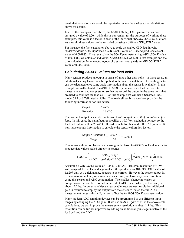result that no analog data would be reported – review the analog scale calculations above for details.

In all of the examples used above, the ANALOG:GEN\_SCALE parameter has been assigned a value of 1.00 – while this is convenient for the purposes of working these examples, this value is a factor in each of the individual ANALOG:SCALE calculations. As a result, these values can be re-scaled by using a different GEN\_SCALE value.

For instance, the first calculation above to scale the analog C3D data in *volts measured at the ADC input* used a GEN\_SCALE value of 1.00 and produced a SCALE value of 0.004883. If we recalculate the SCALE parameter using a GEN\_SCALE value of 0.004883, we obtain an individual ANALOG:SCALE of 1.00 in that example and the prior calculation for an electromyography system now yields an ANALOG:SCALE value of 0.00010006.

### *Calculating SCALE values for load cells*

Many sensors produce an output in terms of units other than volts – in these cases, an additional scaling factor must be applied to the scale calculation. This scaling factor can be calculated once some basic information about the sensor is available. In this example we will calculate the ANALOG:SCALE parameter for a load cell used to measure tension and compression so that we record the output in the same units that are used to calibrate the load cell. For this example we will use a Sensotec, Inc., model 31 Load Cell rated at 50lbs. The load cell performance sheet provides the following information for this device:

| Output     | 2mV/V    |
|------------|----------|
| Excitation | 10.0 VDC |

The load cell output is specified in terms of *volts output* per *volt of excitation* at *full load.* In this case, the manufacturer specifies a 10.0 Volt excitation voltage, so the load cell output will be 20mVat full load, which, for this load cell, is 50 pounds. We now have enough information to calculate the *sensor* calibration factor:

$$
\frac{Output*Excitation}{Range} = \frac{0.002*10}{50} = 0.0004
$$

This sensor calibration factor can be using in the basic ANALOG:SCALE calculation to produce data values scaled directly in pounds:

$$
SCALE = \left(\frac{ADC\_range}{(ADC\_resolution * ADC\_gain)}\right) / GEN\_SCALE / 0.0004
$$

Assuming a GEN\_SCALE value of 1.00, a 12-bit ADC (internal resolution of 4096) with range of  $\pm 10$  volts, and a gain of x1, this produces an ANALOG: SCALE value of 12.207 that, at a quick glance, appears to be correct. However the sensor output is, even at maximum load, very small and as a result, we have very poor resolution using this sensor and ADC combination. The smallest change in tension or compression that can be recorded is one bit of ADC data – which, in this case, is about 12.2lbs. In order to achieve a reasonable measurement resolution additional gain is required to amplify the output from the sensor to match the full ADC measurement range – this will, in turn, affect the ANALOG:SCALE parameter value.

Many modern ADC sampling devices can be programmed to use different input ranges by changing the ADC gain. If we use an *ADC\_gain* of x8 in the above scale calculations, we can improve the measurement resolution to about 1.5 lbs. This resolution can be further improved by adding an additional gain stage in between the load cell and the ADC.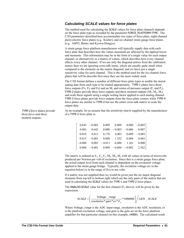### *Calculating SCALE values for force plates*

<span id="page-84-0"></span>The method used for calculating the SCALE values for force plate channels depends on the force plate type as recorded by the parameter FORCE\_PLATFORM:TYPE. The C3D parameters described here accommodate two types of force plate, eight-channel piezo-electric force plates (e.g. Kistler), and six-channel strain gauge force plates (e.g. AMTI, Bertec and Kyowa-Dengyo).

A strain gauge force platform manufacturer will typically supply data with each force plate that describes how the values measured are affected by the applied forces and moments. This information may be in the form of a single value for each output channel, or alternatively as a matrix of values, which describes how every channel affects every other channel. If we use only the diagonal entries from the calibration matrix then we are ignoring cross-talk terms, which are usually quite small when compared to the elements on the matrix diagonal, and we have just a single sensitivity value for each channel. This is the method used for the six-channel force plates that will be describe first since they are the most widely used.

The C3D format defines a number of different force plate types to enable the stored analog data from each type to be treated appropriately. TYPE-1 plates have three force outputs (Fx, Fy and Fz) and an  $M_z$  and center-of-pressure output ( $P_x$  and  $P_y$ ). TYPE-2 plates provide three force outputs and three moment outputs  $(M_x, M_y, M_z)$ and scale these signals using a single scaling factor applied to each analog channel. TYPE-3 force plates provide force outputs from the force plate corners while TYPE-4 force plates are similar to TYPE-2 but use the entire cross-talk matrix to scale the output data.

TYPE-2 *force plates provide three force and three moment outputs.* 

As an example, let us assume that the *sensitivity matrix* supplied by the manufacturer of a TYPE-2 force plate is:

|  | $0.643 - 0.003$ $0.009$ $0.009$ $0.000$ $-0.005$                                 |  |  |
|--|----------------------------------------------------------------------------------|--|--|
|  | $0.001$ $0.642$ $0.000$ $-0.003$ $-0.006$ $0.007$                                |  |  |
|  | $0.010$ $0.011$ $0.170$ $0.001$ $0.009$ $-0.001$                                 |  |  |
|  | $0.015 - 0.001$ $0.008$ $1.352$ $0.004$ $0.001$                                  |  |  |
|  | $-0.008$ 0.005 $-0.011$ 0.000  1.361  0.000                                      |  |  |
|  | $\begin{vmatrix} 0.004 & -0.001 & 0.009 & -0.004 & -0.002 & 2.562 \end{vmatrix}$ |  |  |

The matrix is ordered as  $F_x$ ,  $F_y$ ,  $F_z$ ,  $M_x$ ,  $M_y$ ,  $M_z$  with all values in terms of microvolts produced per Newton per volt of excitation. Since this is a strain gauge force plate, the actual output level from each channel is dependent on the excitation voltage applied to the strain gauge bridge. Typically, the excitation voltage (*ex* in the equation below) is in the range of five to ten volts.

If a matrix was not supplied then we would be given just the six major diagonal elements from top left to bottom right which are the only parts of the matrix that are used in calculating the SCALE values for TYPE-1 and TYPE-2 force plates.

The ANALOG: SCALE value for the first channel  $(F_x$  above), will be given by the expression:

$$
SCALE = \left(\frac{Voltage\_range}{resolution * gain * ex * F_x} * 1000000\right) / GEN\_SCALE
$$

Where *Voltage\_range* is the ADC input range, *resolution* is the ADC resolution, *ex* is the platform excitation voltage, and *gain* is the gain set on the force platform amplifier for that particular channel (in this example, x4000). The calculated result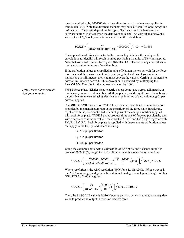must be multiplied by 1000000 since the calibration matrix values are supplied in microvolts (μV). Note that different channels may have different *Voltage\_range* and *gain* values. These will depend on the type of hardware, and the hardware and software settings in effect when the data were collected. As with all analog SCALE values, the GEN\_SCALE parameter is included in the calculation:

$$
SCALE = \left(\frac{20}{4096 * 4000 * 10 * 0.643} * 1000000\right) / 1.00 = 0.1898
$$

The application of this scale factor to the raw analog data (see the analog scale calculations for details) will result in an output having the units of Newtons applied. Note that you must enter all force plate ANALOG:SCALE factors as negative values to produce an output in terms of reactive force.

If the calibration values are supplied in units of Newton-meters per volt for the force moments, and the measurement units specifying the locations of your reference markers are in millimeters, then you must convert the values referring to moments to Newton-millimeters per volt. This conversion is achieved by multiplying the ANALOG:SCALE results for the moment channels by 1000.

TYPE-3 force plates (Kistler piezo-electric plates) do not use a cross-talk matrix, or produce any moment outputs. Instead, these plates provide eight force channels with outputs that are measured using electrical charge in terms of pico-columbs (pC) per Newton applied.

> The ANALOG:SCALE values for TYPE-3 force plate are calculated using information provided by the manufacturer about the sensitivity of the force plate transducers, together with the, user-controlled, channel gains of the charge amplifier supplied with each force plate. TYPE-3 plates produce three sets of force output signals, each with a separate calibration value – these are  $Fx^{1-2}$ ,  $Fx^{3-4}$  and  $Fy^{1-4}$ ,  $Fy^{2-3}$  together with  $Fz<sup>1</sup>$ ,  $Fz<sup>2</sup>$ ,  $Fz<sup>3</sup>$ ,  $Fz<sup>4</sup>$ . Each force plate is supplied with three separate calibration values that apply to the Fx, Fy, and Fz channels e.g.

Fx 7.87 pC per Newton

Fy 7.85 pC per Newton

Fz 3.89 pC per Newton

Using the example above with a c*alibration* of 7.87 pC/N and a charge amplifier range of 5000pC (*fs\_range*) for a 10 volt output yields a scale factor would be:

$$
SCALE = \left(\frac{Voltage\_range}{resolution * calibration} * \left(\frac{fs\_range}{10} / gain\right)\right) / GEN\_SCALE
$$

Where *resolution* is the ADC resolution (4096 for a 12-bit ADC), *Voltage\_range* is the ADC input range, and *gain* is the individual analog channel gain (if any). With a GEN\_SCALE of 1.00 this gives:

$$
SCALE = \left(\frac{20}{4096 * 7.87} * \left(\frac{5000}{10}/1\right)\right) / 1.00 = 0.310217
$$

Thus, the Fx SCALE value is 0.310 Newtons per volt, which is entered as a negative value to produce an output in terms of reactive force.

TYPE-3 *force plates provide eight force outputs.*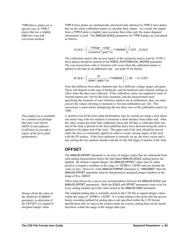TYPE-4 *force plates are a special case of* TYPE-2 *plates that use a slightly different cross-talk correction method.*

*This simple test is available in a commercial package that uses a test device (MTD-2) and software (CalTester) to provide a report of the force plate performance.* 

*Always check the value of the ANALOG:FORMAT parameter to determine if the OFFSET is a signed or unsigned integer value.* 

TYPE-4 force plates are mechanically and electrically identical to TYPE-2 force plates but use the entire calibration matrix to calculate their output. As a result, the output from a TYPE-4 plate is slightly more accurate then when only the major diagonal information is used. The ANALOG:SCALE parameters for TYPE-4 plates are calculated as follows:

$$
SCALE = \left(\frac{Voltage\_range}{resolution * gain * ex} * 1000000\right) / GEN\_SCALE
$$

The *calibration matrix* (the inverse matrix of the *sensitivity matrix* used by TYPE-2 force plates) should be entered in the FORCE\_PLATFORM:CAL\_MATRIX parameter. The conversion from volts to Newtons will occur when the calibration matrix is applied to the data as an additional step – see page [94](#page-97-0) for details.

$$
SCALE = \left(\frac{20}{4096 * 4000 * 10} * 1000000\right) / 1.00 = 0.12207
$$

Note that different force plate channels may have different voltage ranges and gains. These will depend on the type of hardware, and the hardware and software settings in effect when the data were collected. If the calibration values are supplied in units of Newton-meters per volt for the force moments, and the measurement units specifying the locations of your reference markers are in millimeters, then you must convert the values referring to moments to Newton-millimeters per volt. This conversion is achieved by multiplying the last three rows of the calibration matrix by 1000.

A sensitive test of the force plate performance may be carried out using a stick about one meter long with two markers at locations a short distance from either end. After the video system has been fully calibrated, force and 3D data is collected while one end of the stick is placed on the force platform and a force directed along the stick is applied to the upper end of the stick. The upper end of the stick should be moved while the force is continually applied in order to create varying angles of the stick with the FP surface. If the force platform is correctly set up, the force vector and a line joining the two markers should coincide for the full range of motion of the stick.

### **OFFSET**

The ANALOG:OFFSET parameter is an array of integer values that are subtracted from each analog measurement before the individual ANALOG:SCALE scaling factors are applied. By default a signed integer, the ANALOG:OFFSET values may be either positive or negative numbers in the range of –32768 to +32767 and can include the value of zero. However, if the ANALOG:FORMAT parameter is "UNSIGNED" then the ANALOG:OFFSET parameter must be interpreted as unsigned integer numbers in the range of 0 to +65537.

There must always be a one to one correspondence between the ANALOG:SCALE and ANALOG:OFFSET parameters. Both the SCALE and OFFSET parameters must exist for every analog channel up to the value stored in the ANALOG:USED parameter.

The sampled analog data is normally stored in the C3D file as signed integer values within the range of -32768 to +32767. It's worth noting at this point that the precise binary encoding method for analog data is not specified within the C3D format specification and, so long as the scaled results are correct, analog data can be stored anywhere within the range of the integer data type.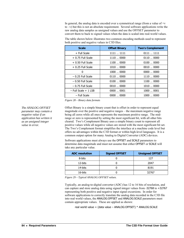In general, the analog data is encoded over a symmetrical range (from a value of  $+v$ ) to –v) but this is not an absolute requirement. Several software applications write the raw analog data samples as unsigned values and use the OFFSET parameter to convert them to back to signed values when the data is scaled into real-world values.

**Scale Offset Binary Two's Complement** + Full Scale  $\begin{array}{|c|c|c|c|c|c|c|c|c|} \hline \text{+} & \text{1111 }... & \text{1111 } & \text{1111 }... & \text{1111 } \hline \end{array}$ + 0.75 Full Scale  $\vert$  1110 ... 0000  $\vert$  0110 ... 0000 + 0.50 Full Scale  $\vert$  1100 ... 0000  $\vert$  0100 ... 0000 + 0.25 Full Scale | 1010 ... 0000 | 0010 ... 0000 0  $1000...0000$  0000 0000 0000  $-0.25$  Full Scale  $-0.25$  Full Scale  $-0.110$   $\ldots$  0000  $-0.50$  Full Scale  $\begin{array}{|c|c|c|c|c|c|} \hline \text{--} & 0100 & \text{...} & 0000 & \text{...} & 1100 & \text{...} & 0000 \hline \end{array}$  $-0.75$  Full Scale  $0010$  ... 0000  $-0.75$  Full Scale  $-$  Full Scale + 1 LSB  $\vert$  0000 ... 0001  $\vert$  1000 ... 0001 – Full Scale  $\begin{array}{c|c} - 1000 & - 1000 & - 1000 & - 0000 \end{array}$ 

The table shown below illustrates two common encoding methods used to represent both positive and negative values in C3D files.

*Figure 28 – Binary data formats* 

Offset Binary is a simple binary count that is offset in order to represent equal magnitude over the positive and negative ranges – the maximum negative range being all zeros while all ones represents the maximum positive range. The midrange or zero is represented by setting the most significant bit, with all other bits cleared. Two's Complement Binary uses a simple binary count to represent all positive values while all negative values are stored with the most significant bit set. The Two's Complement format simplifies the interface at a machine code level but offers no advantages within the C3D format or within high-level languages. It is a common output option for many Analog to Digital Converter (ADC) devices.

Software applications must always use the OFFSET and SCALE parameters to determine data magnitude and must not assume that either OFFSET or SCALE will take any particular value.

| <b>ADC</b> resolution | <b>Signed OFFSET</b> | <b>Unsigned OFFSET</b> |
|-----------------------|----------------------|------------------------|
| 8-bits                |                      | 127                    |
| 12-bits               |                      | 2047                   |
| 14-bits               |                      | 8191                   |
| 16-bits               |                      | 32767                  |

*Figure 29 – Typical ANALOG:OFFSET values.* 

Typically, an analog-to-digital converter (ADC) has 12 to 16 bits of resolution, and can capture and store analog data using signed integer values from -32768 to +32767 representing both positive and negative input signal excursions. In order for software applications to correctly translate the analog data recorded in the C3D file into real world values, the ANALOG:OFFSET and ANALOG:SCALE parameters must contain appropriate values. These are applied as shown:

real world value = (data value – ANALOG:OFFSET) \* ANALOG:SCALE

*The ANALOG:OFFSET parameter may contain a negative value if an application has written it as an unsigned integer value in error.*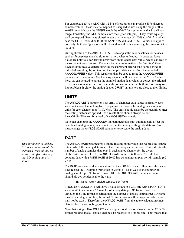For example, a  $\pm$ 5 volt ADC with 12-bits of resolution can produce 4096 discreet samples values – these may be mapped as unsigned values using the range of 0 to +4095 (in which case the OFFSET would be +2047 for a symmetrical +5 to –5 volt range, translating the ADC samples into the signed integers). They could equally well be mapped directly as signed integers in the range of  $-2048$  to  $+2047$  in which case the OFFSET would be 0. If the ANALOG:SCALE and OFFSET values are applied correctly, both configurations will return identical values covering the range of +5 to –5 volts.

One application of the ANALOG:OFFSET is to adjust the zero baselines for devices such as force plates that should return a zero when unloaded. In practice, force plates are notorious for drifting away from an unloaded zero value, which can lead to measurement errors in use. There are two common methods for "zeroing" these devices, both involve determining the measurement error during some period of unloaded sampling, by subtracting the sampled data values from the recorded ANALOG:OFFSET value. This result can then be used to reset the ANALOG:OFFSET parameters to new values (each analog channel will have a different "error" value here) or, can be used to adjust the sampled analog data values or correct the original offset measurement error. Both methods are in common use; both methods may run into problems if either the analog data or OFFSET parameters are close to their limits.

### **UNITS**

The ANALOG:UNITS parameter is an array of character data values (normally each value is 4 characters in length). This parameter records the analog measurement units for each channel (e.g. V, N, Nm). The units should describe the quantities after the scaling factors are applied – as a result, there should always be one ANALOG:UNITS entry for a total of ANALOG:USED channels.

Note that changing the ANALOG:UNITS parameter does not automatically affect the calculated analog values, as it is not used in the analog scaling calculations. You must change the ANALOG:SCALE parameter to re-scale the analog data.

## **RATE**

The ANALOG:RATE parameter is a single floating-point value that records the sample rate at which the analog data was collected in samples per second. This indicates the number of analog samples that exist in each analog channel for the given POINT:RATE value. THUS, an ANALOG:RATE value of 600 for a C3D file that contains data with a POINT:RATE of 60.00 has 10 analog samples per 3D sample (60 x 10).

The RATE parameter value is not stored in the C3D file header. However, the header does record the 3D sample frame rate in words 11-12 as well as the number of analog samples per 3D frame in word 10. The ANALOG:RATE parameter value should always be identical to the value:

3D\_frame\_rate \* analog samples per frame

THUS, an ANALOG:RATE will have a value of 600 in a C3D file with a POINT:RATE value of 60 that contains 10 samples of analog data per 3D frame. Note that although the C3D format specified that the number of analog samples per 3D frame must be an integer number, the actual 3D frame rate is a floating-point value since it may not be exact. Therefore, the ANALOG:RATE (from the above calculation) must also be stored as a floating-point value.

Note that a single ANALOG:RATE value applies to all analog channels – the C3D file format requires that all analog channels be recorded at a single rate. This means that

**This parameter is Locked.** *Extreme caution should be exercised when editing its value as it affects the way that 3D/analog data is stored.*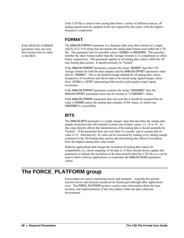if the C3D file is used to store analog data from a variety of different sources, all analog signals must be sampled at the rate required by the source with the highest frequency components.

### **FORMAT**

The ANALOG: FORMAT parameter is a character data array that consists of a single ASCII (A-Z, 0-9) string that documents the analog data format used within the C3D file. The parameter has two possible values: SIGNED or UNSIGNED. This specifies whether the 'data' format (rather than the 'storage' format) is 2's compliment or offset binary respectively. This parameter applies to all analog data values within the 3D and Analog data section. It should normally be "locked".

If the ANALOG:FORMAT parameter contains the string "SIGNED" then the C3D 'storage' format for both the data samples and the ANALOG:OFFSET parameters must also be "SIGNED". This is the default storage method for all analog data values, irrespective of resolution and allows data to be stored using signed integer values from -32768 to +32767 representing both positive and negative input signal excursions.

If the ANALOG:FORMAT parameter contains the string "UNSIGNED" then the ANALOG:OFFSET parameters must also be treated as "UNSIGNED" values.

If the ANALOG:FORMAT parameter does not exist the it should be assumed that its value is SIGNED unless the analog data contains 16-bit values, in which case UNSIGNED is a possibility.

## **BITS**

The ANALOG:BITS parameter is a single integer value that describes the analog data sample resolution and will normally contain one of three values, 12, 14 or 16. As this value directly affects the interpretation of the analog data it should normally be "locked". If the parameter does not exist then it is usually safe to assume that its value is 12. Alternatively, its value can be measured by reading every analog sample contained in the 3D/Analog data section and determining the effective resolution from the highest analog data value found.

Software applications that change the resolution of analog data values for compatibility (i.e. down sampling 16-bit data to 12-bits) should always update this parameter to indicate the resolution of the data stored within the C3D file as it can be used to allow software applications to recalculate the ANALOG:SCALE parameter values.

# **The FORCE\_PLATFORM group**

Force-plates are used to measuring forces and moments – typically the ground reaction forces and moments produced by human gait although other applications exist. The FORCE PLATFORM group is used to store information about the type, location, and implementation of the force plates within the data collection environment.

If the ANALOG:FORMAT *parameter does not exist then assume that its value is SIGNED.*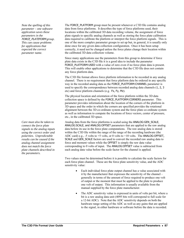*Note the spelling of this parameter – one software application saves these parameters in the*  FORCE\_PLATEFORM *group. This can cause problems for applications that expected the correct parameter name.* 

*connect the force plate signals to the analog inputs using the correct order and polarities. Unpredictable results can be caused if the analog channel assignment does not match the force plate channels described in the parameters.* 

FORCE\_PLATFORM group must be present whenever a C3D file contains analog data from force platforms. It describes the type of force platforms used, their locations within the calibrated 3D data recording volume, the assignment of force plate signals to specific analog channels as well as storing the force plate calibration data required to calibrate the platform or interpret the force platform signals. This is one of the more complex parameter groups to set up but, in general, it is usually only done once for any given data collection configuration. Once it has been setup correctly, it need not be changed unless the force plates change their location within the calibrated 3D data collection volume.

Since many applications use the parameters from this group to determine if force plate data exists in the C3D file it is a good idea to include the parameter FORCE PLATFORM: USED with a value of zero even if no force plate data is present. This will enable other applications to determine that the C3D file does not contain any force platform data.

The C3D file format allows force platform information to be recorded in any analog channel. There is no requirement that force platform data be ordered in any specific way in the recorded analog data as the FORCE\_PLATFORM:CHANNEL parameter is used to specify the correspondence between recorded analog data channels (1, 2, 3 etc) and force platform channels (e.g. Fx, Fy, Mz).

The physical location and orientation of the force platform within the 3D data collection space is defined by the FORCE\_PLATFORM:CORNERS parameter. This parameter provides information about the location of the corners of the platform in 3D space and the order in which the corners are specified provides the rotational alignment between the 3D co-ordinate system and the force plate co-ordinate system as well as information to compute the locations of force vectors, center of pressure, etc., in the calibrated 3D space.

*Care must also be taken to* Analog data from the force platforms is scaled using the ANALOG:GEN\_SCALE, ANALOG:SCALE, and ANALOG:OFFSET parameters that are applied to the raw analog data before its use in the force plate computations. The raw analog data is stored within the C3D file within the range of the range of the recording hardware (the ADC card) e.g., -5 volts to +5 volts, or 0 volts to +10 volts. The ANALOG:OFFSET, SCALE and GEN\_SCALE factors are used to convert the recorded raw analog data to force and moment values while the OFFSET is simply the raw data value corresponding to 0 volts of input. The ANALOG:OFFSET value is subtracted from each analog data value before the scale factor for the channel is applied.

> Two values must be determined before it is possible to calculate the scale factors for each force plate channel. These are the force plate sensitivity value, and the ADC sensitivity value:

- Each individual force plate output channel has a value associated with it by the manufacturer that expresses the sensitivity of the channel – generally in terms of the amount of force required to produce one volt of output or the moment that must be applied to the plate to produce one volt of output. This information is usually available from the manual supplied by the force plate manufacturer.
- The ADC sensitivity value is expressed in units of volts per bit, where a bit is a raw analog data unit (4095 bits will correspond to full scale for a 12-bit ADC). Note that the ADC sensitivity depends on both the hardware range setting of the ADC as well as any gains that are applied to the signal, in either hardware or software before the data is recorded.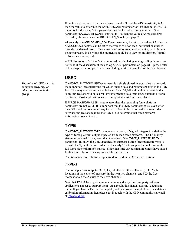If the force plate sensitivity for a given channel is S, and the ADC sensitivity is A, then the value to enter into the ANALOG:SCALE parameter for that channel is A\*S, i.e. the units for the scale factor parameter must be force/bit or moment/bit. If the parameter ANALOG:GEN\_SCALE is not set to 1.0, then the value of A must be first divided by the value used in ANALOG:GEN\_SCALE (see page [77\)](#page-79-0).

Alternately, the ANALOG:GEN\_SCALE parameter may be set to the value of A, then the ANALOG:SCALE factors can be set to the values of S for each individual channel to provide the desired result. Care must be taken to use consistent units, i.e. if force is being expressed in Newtons, the moments should be in Newton-millimeters (Nmm) or Newton-meters (Nm).

A full discussion of all the factors involved in calculating analog scaling factors can be found if the discussion of the analog [SCALE](#page-81-0) parameters on page [81](#page-84-0) – please refer to this chapter for complete details (including worked examples) of the calculations.

### **USED**

FORCE\_PLATFORM:USED parameter is a single signed integer value that records the number of force platforms for which analog data and parameters exist in the C3D file. This may contain any value between 0 and 32,767 although it is possible that some applications will have problems interpreting data from large numbers of force platforms. Most applications seem to support at least four force plates.

If FORCE\_PLATFORM:USED is set to zero, then the remaining force platform parameters are not valid. It is important that the USED parameter exists even when the C3D file does not contain any force platform information – this allows older software applications reading the C3D file to determine that force platform information does not exist.

## **TYPE**

The FORCE\_PLATFORM:TYPE parameter is an array of signed integers that define the type of force platform output expected from each force platform. The TYPE array size must be equal to or greater than the value of the FORCE\_PLATFORM:USED parameter. Initially, the C3D specification supported three force platform types (1- 3), with the Type-4 platform added in the early 90's to support the inclusion of the full force plate calibration matrix. Since that time various manufacturers have added further force platform descriptions as the need arises.

The following force platform types are described in the C3D specification:

### *TYPE-1*

The force platform outputs FX, FY, FX, into the first three channels, PX, PY (the locations of the center of pressure) in the next two channels, and MZ (the free moment about the Z-axis) to the sixth channel.

Note that TYPE-1 force plates are uncommon and very few third party software applications appear to support them. As a result, this manual does not document them. If you have a TYPE-1 force plate, and can provide sample force plate data and calibration information then please get in touch with the C3D community via email at [info@c3d.org](mailto:info@c3d.org).

*The value of USED* sets the *minimum array size of other parameters in this group.*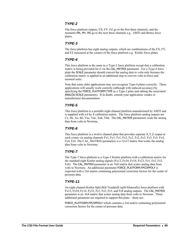### *TYPE-2*

The force platform outputs, FX, FY, FZ go to the first three channels, and the moments MX, MY, MZ go to the next three channels e.g. AMTI and Bertec force plates.

### *TYPE-3*

The force platform has eight analog outputs, which are combinations of the FX, FY, and FZ measured at the corners of the force platform e.g. Kistler force plates.

### *TYPE-4*

This force platform is the same as a Type-2 force platform except that a calibration matrix is being provided for it via the CAL\_MATRIX parameter. For a Type-4 force plate the SCALE parameter should convert the analog data to volts only because the calibration matrix is applied in an additional step to convert volts to force and moment units.

Note that some older applications may not recognize Type-4 plates correctly. These applications will usually work correctly (although with reduced accuracy) by specifying the FORCE\_PLATFORM:TYPE as a Type-2 plate and editing the associated ANALOG:SCALE parameters. If in doubt, consult your application vendor or manufacturer documentation.

### *TYPE-5*

This force platform is a portable eight channel platform manufactured by AMTI and is supplied with a 6 by 8 calibration matrix. The force platform analog outputs are Cz, Dz, Az, Bz, Yac, Ydc, Xab, Ybd. The CAL\_MATRIX parameters scale the analog data from volts to Newtons.

### *TYPE-6*

This force platform is a twelve channel plate that provides separate X,Y,Z output at each corner via analog channels Fx1, Fy1, Fz1, Fx2, Fy2, Fz2, Fx3, Fy3, Fz3, Fx4, Fy4, Fz4. The CAL MATRIX parameters is a  $12x12$  matrix that scales the analog data from volts to Newtons.

### *TYPE-7*

The Type-7 force platform is a Type-3 Kistler platform with a calibration matrix for the standard eight Kistler analog signals (Fx12, Fx34, Fy14, Fy23, Fz1, Fz2, Fz3, Fz4). The CAL\_MATRIX parameter is an 8x8 matrix that scales analog data from volts to Newtons. An additional parameter FORCE\_PLATFORM:FPCOPPOLY is expected with a 2x6 matrix containing polynomial correction factors for the center of pressure data.

### *TYPE-11*

An eight channel Kistler Split Belt Treadmill (split bilaterally) force platform with Fx12, Fx34, Fy14, Fy23, Fz1, Fz2, Fz3, and Fz4 analog outputs. The CAL\_MATRIX parameter is an 8x8 matrix that scales analog data from volts to Newtons. Three additional parameter are required to support this plate – these are:

FORCE\_PLATFORM:FPCOPPOLY which contains a 2x6 matrix containing polynomial correction factors for the center of pressure data.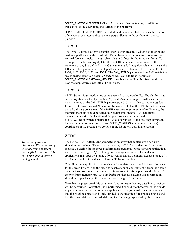FORCE\_PLATFORM:FPCOPTRANS a 1x2 parameter that containing an addition translation of the COP along the surface of the platform.

FORCE\_PLATFORM:FPCOPTOR is an additional parameter that describes the rotation of the center of pressure about an axis perpendicular to the surface of the force platform.

### *TYPE-12*

The Type 12 force platform describes the Gaitway treadmill which has anterior and posterior platforms on the treadmill. Each platform of the treadmill contains four vertical force channels. All eight channels are defined for the force platforms. To distinguish the left and right plates the ORIGIN parameter is interpreted as the parameters a, c, d as defined in the Gaitway manual. A negative value in a means the left side is being computed. Each platform has eight channels, Fz11, Fz12, Fz13, Fz14, Fz21, Fz22, Fz23, and Fz24. The CAL\_MATRIX parameter is an 8x8 matrix that scales analog data from volts to Newtons while an additional parameter FORCE\_PLATFORM:GAITWAY\_MIDLINE describes the midline for bisecting the two new pseudoplatforms into left and right sides.

### *TYPE-21*

AMTI-Stairs - four interlocking stairs attached to two treadmills. The platform has six analog channels Fx, Fy, Fz, Mx, My, and Mz and is supplied with a calibration matrix entered as the CAL\_MATRIX parameter, a 6x6 matrix that scales analog data from volts to Newtons and Newton-millimeters. Note that the C3D format assumes that all units are consistent. If the POINT data are stored in units of millimeters, the moment channels should be scaled to Newton-millimeters. Two additional parameters describe the location of the platform superstructure – this are STEP1 CORNERS which contains the  $(x,y,z)$  coordinates of the first step corners in the laboratory coordinate system and STEP2\_CORNERS, containing the  $(x,y,z)$ coordinates of the second step corners in the laboratory coordinate system.

## **ZERO**

The FORCE\_PLATFORM:ZERO parameter is an array that contains two non-zero signed integer values. These specify the range of 3D frames that may be used to provide a baseline for the force platform measurements. Most software applications seem to set the range to 1,10 although other ranges are acceptable and some applications may specify a range of 0,10, which should be interpreted as a range of 1 to 10 since the C3D file does not have a 3D frame number 0.

This allows any application that reads the force plate data to read in the analog data for the given frames, find the mean for each channel, and subtract it from the analog data for the corresponding channel as it is accessed for force platform displays. If the two frame numbers provided are *both zero* then no baseline-offset correction should be applied - any other value defines a range of 3D frames.

Note that the presence of this parameter does not mean that any baseline correction *will* be performed – only that *if* it is performed it should use these values. If you do implement baseline correction in an application then you must be careful to ensure that the baseline correction is only applied to the specified force plate channels and that the force plates are unloaded during the frame rage specified by the parameter.

*The ZERO parameter is always specified in terms of valid 3D frame numbers for the file in question. It is never specified in terms of analog samples.*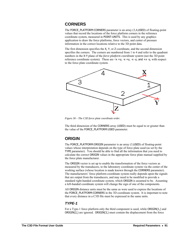### **CORNERS**

The FORCE\_PLATFORM:CORNERS parameter is an array (3,4,USED) of floating-point values that record the locations of the force platform corners in the reference coordinate system, measured in POINT:UNITS. This is used by any graphics application to draw the force platforms, force vectors, and center of pressure information in the correct locations relative to the 3D point data.

The first dimension specifies the X, Y, or Z coordinate, and the second dimension specifies the corners. The corners are numbered from 1 to 4 and refer to the quadrant numbers in the X-Y plane of the *force platform coordinate system* (not the 3D point reference coordinate system). These are  $+x +y$ ,  $-x +y$ ,  $-x -y$ , and  $+x -y$ , with respect to the force plate coordinate system.



*Figure 30 – The C3D force plate coordinate order.* 

The third dimension of the CORNERS array (USED) must be equal to or greater than the value of the FORCE\_PLATFORM:USED parameter.

### **ORIGIN**

The FORCE\_PLATFORM:ORIGIN parameter is an array (3,USED) of floating-point values whose interpretation depends on the type of force plate used (as set by the TYPE parameter). You should be able to find all the information that you need to calculate the correct ORIGIN values in the appropriate force plate manual supplied by the force plate manufacturer.

The ORIGIN vector is set up to enable the transformation of the force vectors as measured by the transducers, to the laboratory coordinate system via the center of the working surface (whose location is made known through the CORNERS parameter). The manufacturers' force platform coordinate system really depends upon the signals that are output from the transducers, and may need to be modified to provide a standard right-handed coordinate system, which ORIGIN is assumed to be. Assuming a left-handed coordinate system will change the sign of one of the components.

All ORIGIN distance units must be the same as were used to express the locations of the FORCE\_PLATFORM:CORNERS in the 3D coordinate system. It is important to note that every distance in a C3D file must be expressed in the same units.

### *TYPE-1*

For a Type-1 force platform only the third component is used, while ORIGIN(1,) and ORIGIN(2,) are ignored. ORIGIN(3,) must contain the displacement from the force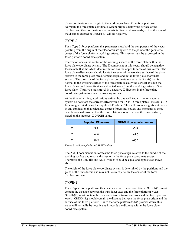plate coordinate system origin to the working surface of the force platform. Normally the force plate coordinate system origin is below the surface of the platform and the coordinate system z-axis is directed downwards, so that the sign of the distance entered in ORIGIN(3,) will be negative.

### *TYPE-2*

For a Type-2 force platform, this parameter must hold the components of the vector pointing from the origin of the FP coordinate system to the point at the geometric center of the force platform working surface. This vector must be expressed in the force platform coordinate system.

The vector locates the center of the working surface of the force plate within the force plate coordinate system. The Z component of this vector should be negative. Please note that the AMTI documentation has the opposite sense of this vector. The force plate offset vector should locate the center of the working surface of the plate relative to the force plate measurement origin and in the force plate coordinate system. The direction of the force plate coordinate system axis (Z axis) that is normal to the working surface of the force plate (usually the vertical axis but the force plate could be on its side) is directed away from the working surface of the force plate. Thus, you must travel in a negative Z direction in the force plate coordinate system to reach the working surface.

At the time of writing, applications written by one well known motion capture system do not store the correct ORIGIN value for TYPE-2 force plates. Instead, C3D files are generated using the supplied FP values. This will produce significant errors in any application that calculates center of pressure, power, and moments as these calculations will assume that the force plate is mounted above the force surface, based on the incorrect Z ORIGIN value.

| <b>Supplied FP values</b> | <b>ORIGIN parameter values</b> |
|---------------------------|--------------------------------|
| 3.9                       | $-3.9$                         |
| $-4.6$                    | $+4.6$                         |
| 40.2                      | $-40.2$                        |

*Figure 31 – Force platform ORIGIN values* 

The AMTI documentation locates the force plate origin relative to the middle of the working surface and reports this vector in the force plate coordinate system. Therefore, the C3D file and AMTI values should be equal and opposite as shown above.

The origin of the force plate coordinate system is determined by the positions and the gains of the transducers and may not lie exactly below the center of the force platform surface.

### *TYPE-3*

For a Type-3 force platform, these values record the sensor offsets. ORIGIN(1,) must contain the distance between the transducer axes and the force platform y-axis. ORIGIN(2,) must contain the distance between transducer axes and the force platform x-axis. ORIGIN(3,) should contain the distance between the force plate origin and the surface of the force platform. Since the force platform z-axis projects down, this value will normally be negative as it records the distance within the force plate coordinate system.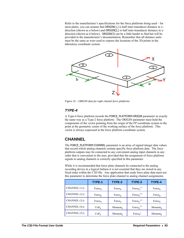Refer to the manufacturer's specifications for the force platforms being used – for most plates, you can assume that ORIGIN(1,) is half inter-transducer distance in xdirection (shown as *a* below) and ORIGIN(2,) is half inter-transducer distance in ydirection (shown as *b* below). ORIGIN(3) can be a little harder to find but will be provided in the manufacturer's documentation. Remember that all distance units must be the same as were used to express the locations of the 3D points in the laboratory coordinate system.



*Figure 32 – ORIGIN data for eight channel force platforms.* 

### *TYPE-4*

A Type-4 force platform records the FORCE\_PLATFORM:ORIGIN parameter in exactly the same way as a Type-2 force platform. The ORIGIN parameter must hold the components of the vector pointing from the origin of the FP coordinate system to the point at the geometric center of the working surface of the force platform. This vector is always expressed in the force platform coordinate system.

## **CHANNEL**

The FORCE PLATFORM: CHANNEL parameter is an array of signed integer data values that record which analog channels contain specific force platform data. The force platform outputs may be connected to any convenient analog input channels in any order that is convenient to the user, provided that the assignment of force platform signals to analog channels is correctly specified in this parameter.

While it is recommended that force plate channels be connected to the analog recording device in a logical fashion it is not essential that they are stored in any fixed order within the C3D file. Any application that reads force plate data must use this parameter to determine the force plate channel to analog channel assignments.

|               | TYPE-1             | TYPE-2              | TYPE-3                                | TYPE-4              |
|---------------|--------------------|---------------------|---------------------------------------|---------------------|
| CHANNEL (1,i) | Force <sub>x</sub> | Force <sub>x</sub>  | Force <sub>x</sub> <sup>1,2</sup>     | Force <sub>x</sub>  |
| CHANNEL (2,i) | $Force_V$          | $Force_V$           | Force <sub>x</sub> <sup>3,4</sup>     | $Force_V$           |
| CHANNEL (3,i) | Force <sub>z</sub> | Force <sub>z</sub>  | $Force_V^{1,4}$                       | Force <sub>z</sub>  |
| CHANNEL (4,i) | CoP <sub>x</sub>   | Moment <sub>x</sub> | Force <sub><math>v^{2,3}</math></sub> | Moment <sub>x</sub> |
| CHANNEL (5,i) | $CoP_V$            | $Moment_V$          | Force <sub>z</sub> <sup>1</sup>       | Moment <sub>y</sub> |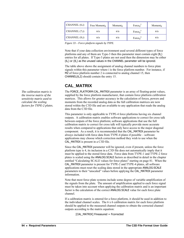| CHANNEL $(6,i)$  | Free Moment <sub>z</sub> | Moment <sub>z</sub> | Force <sub>z</sub> <sup>2</sup> | Moment <sub>z</sub> |
|------------------|--------------------------|---------------------|---------------------------------|---------------------|
| CHANNEL $(7, i)$ | n/a                      | n/a                 | Force <sub>z</sub> <sup>3</sup> | n/a                 |
| CHANNEL (8,i)    | n/a                      | n/a                 | Force <sub>7</sub> <sup>4</sup> | n/a                 |

*Figure 33 – Force platform signals by TYPE.* 

Note that if your data collection environment used several different types of force platforms and any of them are Type-3 then this parameter must contain eight (8,) entries for all plates. If Type-3 plates are not used then the dimension may be either (6,) or (8,) as the unused values in the CHANNEL parameter will be ignored.

The table above shows the assignment of analog channel numbers to force plate signals within this parameter where i is the force platform number. For instance, if MZ of force platform number 2 is connected to analog channel 15, then CHANNEL(6,2) should contain the entry 15.

## **CAL\_MATRIX**

The FORCE\_PLATFORM:CAL\_MATRIX parameter is an array of floating-point values, supplied by the force platform manufacturer, that contain force platform *calibration* matrices. This allows for greater accuracy in the calculation of forces, powers and moments from the recorded analog data as the full calibration matrices are now stored within the C3D file and are available to any application that reads the analog data from the C3D file.

This parameter is only applicable to TYPE-4 force platforms having six channel outputs. A calibration matrix enables software applications to correct for cross talk between outputs of the force platform; software applications that use the full calibration matrix to correct for cross talk will typically provide more accurate results when compared to applications that only have access to the major diagonal component. As a result, it is recommended that the CAL\_MATRIX parameter be always included with force data from TYPE-4 plates if possible – software applications may choose which correction method they wish to use when the CAL MATRIX is present in a C3D file.

Since the CAL\_MATRIX parameter will be ignored, even if present, unless the force platform type is 4, its inclusion in a C3D file does not automatically imply that it must be applied to the stored force data. Force data from TYPE-1 and TYPE-2 force plates is scaled using the ANALOG:SCALE factors as described in detail in the chapter entitled "[Calculating SCALE values for force plates](#page-84-0)" starting on page [81.](#page-84-0) When the CAL\_MATRIX parameter is present for TYPE-2 and TYPE-4 plates, all software applications must reset the scaling data stored in the appropriate ANALOG:SCALE parameters to their "unscaled" values before applying the CAL\_MATRIX parameter information.

Note that most force plate systems include some degree of variable amplification of the signals from the plate. The amount of amplification applied to each force signal must be taken into account when applying the calibration matrix and is an important factor is the calculation of the correct ANALOG:SCALE value for each force plate channel.

If a calibration matrix is entered for a force platform, it should be used in addition to the individual channel scales. The  $6 \times 6$  calibration matrix for each force platform should be applied to the measured channel outputs to obtain the corrected channel outputs according to the matrix equation:

[CAL\_MATRIX] Fmeasured = Fcorrected

<span id="page-97-0"></span>*The calibration matrix is the inverse matrix of the sensitivity matrix used to calculate the scaling factors for TYPE-2 plates.*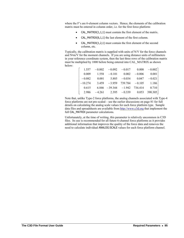where the F's are 6-element column vectors. Hence, the elements of the calibration matrix must be entered in column order, i.e. for the first force platform:

- $CAL$ \_MATRIX $(1,1,1)$  must contain the first element of the matrix.
- CAL\_MATRIX(6,1,1) the last element of the first column.
- CAL\_MATRIX(1,2,1) must contain the first element of the second column, etc.

Typically, the calibration matrix is supplied with units of N/V for the force channels and N•m/V for the moment channels. If you are using distance units of millimeters in your reference coordinate system, then the last three rows of the calibration matrix must be multiplied by 1000 before being entered into CAL\_MATRIX as shown below:

|          | $1.557 -0.002 -0.092 -0.017 -0.008 -0.002$      |  |  |
|----------|-------------------------------------------------|--|--|
| 0.009    | $1.558 - 0.101$ $0.002 - 0.006$ $0.001$         |  |  |
| $-0.082$ | $0.001$ 5.885 $-0.034$ 0.047 $-0.021$           |  |  |
|          | $-10.274$ 3.459 $-3.959$ 739.784 $-0.105$ 1.186 |  |  |
| 0.615    | $6.846 - 39.344 - 1.942$ 734.414 0.710          |  |  |
|          | $2.986 -4.261$ $2.395 -0.339$ $0.053$ $390.305$ |  |  |

Note that, unlike Type-2 force platforms, the analog channels associated with Type-4 force platforms are not pre-scaled – see the earlier discussions on page [81](#page-84-0) for full details on calculating the analog scale values for each force platform type. Sample data files and spreadsheets are available from [http://www.c3d.org](http://www.c3d.org/) that implement the full CAL\_MATRIX parameter calculations.

Unfortunately, at the time of writing, this parameter is relatively uncommon in C3D files. Its use is recommended for all future 6-channel force platforms as it provides additional information that improves the quality of the force data and removes the need to calculate individual ANALOG:SCALE values for each force platform channel.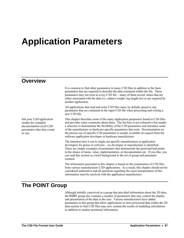# **Application Parameters**

### **Overview**

*Ask your C3D application vendor for complete documentation of all C3D parameters that they create or use.* 

It is common to find other parameters in many C3D files in addition to the basic parameters that are required to describe the data contained within the file. These parameters may not exist in every C3D file – many of them record values that are either associated with the data (i.e. subject weight, leg length etc) or are required by another application.

All applications that read and write C3D files must, by default, preserve any parameters that are contained in the input C3D file when processing and writing a new C3D file.

This chapter describes some of the many application parameters found in C3D files and provides some comments about them. The list here is not exhaustive but simply a selection to demonstrate the flexibility of the C3D parameters and introduce some of the manufacturer or hardware specific parameters that exist. Documentation on the precise use of specific C3D parameters is usually available on request from the software application developer or hardware manufacturer.

The intention here is not to single out specific manufacturers or application developers for praise or criticism – no developer or manufacturer is identified. These are simply examples of parameters that demonstrate the good and bad points in the choice of name, value, implementation, or documentation etc. If you like, you can read this section as a brief background to the *art* of group and parameter creation.

The information presented in this chapter is based on the examination of C3D files from various manufacturers C3D applications. As a result, this chapter should not be considered authorative and all questions regarding the exact interpretation of this information must be resolved with the application manufacturer.

## **The POINT Group**

Although initially conceived as a group that provided information about the 3D data, the POINT group also contains a number of parameters that may control the display and presentation of the data to the user. Various manufacturers have added parameters to this group that allow applications to store *processed* data within the 3D data section so that C3D files may now contain the results of modeling calculations in addition to marker positional information.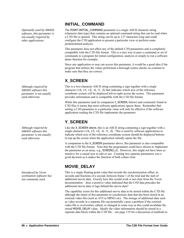*Optionally used by AMASS software, this parameter is not usually required by other applications.* 

*Although required by AMASS software this parameter is not usually used otherwise.* 

*Although required by AMASS software this parameter is not usually used otherwise.* 

*Introduced by Vicon workstation software but not commonly used.* 

### **INITIAL\_COMMAND**

The POINT:INITIAL\_COMMAND parameter is a single ASCII character string (character data type) that contains an optional command string that can be read when a C3D file is opened. This string can be up to 127 characters long and could configure the C3D application to present a particular view or perform some predetermined analysis.

This parameter does not affect any of the default C3D parameters and is completely compatible with the C3D file format. This is a nice way to pass a command or set of commands to a program for initial configuration, analysis or simply to run a software demo function for example.

Since any application or user can access this parameter, it would be a good idea if the program that utilizes the values performed a thorough syntax checks on contents to make sure that they are correct.

# **X\_SCREEN**

This is a two-character ASCII string containing a sign together with a single character  $(+X, +Y, +Z, -X, -Y, -Z)$  that indicates which axis of the reference coordinate system will be displayed left-to-right across the screen. This parameter provides information and is compatible with the C3D file format.

While this parameter (and its companion Y\_SCREEN, below) and commonly found in C3D files it seems that most software applications ignore them. Remember that setting a C3D parameter to a particular value will only be effective if the software application reading the C3D file implements the parameter.

# **Y\_SCREEN**

Like the X\_SCREEN above, this is an ASCII string containing a sign together with a single character  $(+X, +Y, +Z, -X, -Y, -Z)$ . This is used by software applications to indicate which axis of the reference coordinate system should be displayed bottomto-top up the screen when the application initially opens the file.

A companion to the X\_SCREEN parameter above, this parameter is also compatible with the C3D file format. Note that the programmer could have chosen to implement the parameter as an array, e.g., SCREEN(1,2). However, this might not have been as intuitive for a casual user to edit or use. Creating two separate parameters was a good decision as it makes the function of both values clear.

## **MOVIE\_DELAY**

This is a single floating-point value that records the synchronization offset, in seconds and fractions of a second, between frame 1 of the trial and the start of additional movie data. Exactly how this would work is not clear from the Vicon documentation – does a positive value indicated that the C#D data precedes the additional movie data or lags behind the movie data?

The capability exists for this additional movie data to be stored within the C3D file although the intent of this parameter to synchronize data that has been stored in an external video file (such as AVI or MPEG etc). The storage of additional data such as video records in a separate file can potentially cause a problem if the external video file is overwritten, edited, or changed in some way as this could invalidate the stored MOVIE\_DELAY value. Ideally the video information should be stored in a separate data block within the C3D file – see page [119](#page-122-0) for a discussion of methods to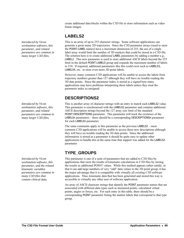*Introduced by Vicon workstation software, this parameter, and related parameters are common in many larger C3D files.* 

*workstation software, this parameter, and related parameters are common in many larger C3D files.* 

*Introduced by Vicon workstation software, this parameter, and the related kinematic variables parameters are common in many C3D files that contain clinical data.* 

create additional data blocks within the C3D file to store information such as video frame images.

## **LABELS2**

This is an array of up to 255 character strings. Some software applications can generate a great many 3D trajectories. Since the C3D parameter arrays (used to store the POINT:LABEL names) have a maximum dimension of 255, the use of a single label array would limit the number of 3D markers that could be stored in a C3D file. The solution here is to create additional LABEL parameters by adding a number e.g., LABEL2. This new parameter is used to store additional ASCII labels beyond the 255 limit in the default POINT:LABELS group and expands the maximum number of labels to 510. If required, additional parameters like this could exist such as LABELS3, LABELS4, etc. to store even more 3D point labels.

However, many common C3D applications will be unable to access the labels from trajectory numbers greater than 127 although they will have no trouble reading the 3D data points. Since the parameter index is stored as a signed byte many applications may have problems interpreting these labels unless they treat the parameter index as unsigned.

## **DESCRIPTIONS2**

*Introduced by Vicon* This is another array of character strings with an entry to match each LABELS2 value. This parameter is synchronized with the LABELS2 parameter and contains additional ASCII description strings beyond the 127 array size limit of the standard POINT:DESCRIPTIONS parameter. This parameter will track the existence of the LABELSn parameters – there should be a corresponding DESCRIPTIONSn parameter for each LABELSn parameter.

> The same comments apply to this parameter as the previous LABELS2 – most common C3D applications will be unable to access these new descriptions although they will have no trouble reading the 3D data points. Since the additional information is stored as a parameter it should be quite easy to update other applications to handle this at the same time that support was added for the LABELS2 parameter.

## **TYPE\_GROUPS**

This parameter is one of a suite of parameters that are added to C3D files by applications that store the results of kinematic calculations in C3D files by storing the results as additional POINT values. While this method appears rather untidy, in that it can add large numbers of very "odd" data values to the 3D point group, it has the major advantage that it is compatible with virtually all existing C3D software applications. Thus, kinematic data that has been generated and stored this way is accessible to virtually any other user of software application.

An array of ASCII character strings that identify the POINT parameter names that are associated with different data types such as measured points, calculated virtual points, angles or forces, etc. For each entry in this table, there should be a corresponding POINT parameter listing the marker labels that correspond to that type group.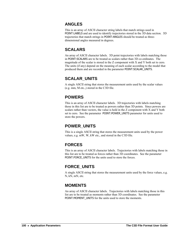### **ANGLES**

This is an array of ASCII character string labels that match strings used in POINT:LABELS and are used to identify trajectories stored in the 3D data section. 3D trajectories that match strings in POINT:ANGLES should be treated as threedimensional angles measured in degrees.

### **SCALARS**

An array of ASCII character labels. 3D point trajectories with labels matching those in POINT:SCALARS are to be treated as scalars rather than 3D co-ordinates. The magnitude of the scalar is stored in the Z component with X and Y both set to zero. The units (if any) depend on the meaning of each scalar according to the model that produced them and are recorded in the parameter POINT:SCALAR\_UNITS.

## **SCALAR\_UNITS**

A single ASCII string that stores the measurement units used by the scalar values (e.g. mm, M etc.,) stored in the C3D file.

## **POWERS**

This is an array of ASCII character labels. 3D trajectories with labels matching those in this list are to be treated as powers rather than 3D points. Since powers are scalars rather than vectors, the value is held in the Z component with X and Y both set to zero. See the parameter POINT:POWER\_UNITS parameter for units used to store the powers.

## **POWER\_UNITS**

This is a single ASCII string that stores the measurement units used by the power values, e.g. mW, W, kW etc., and stored in the C3D file.

## **FORCES**

This is an array of ASCII character labels. Trajectories with labels matching those in this list are to be treated as forces rather than 3D coordinates. See the parameter POINT:FORCE\_UNITS for the units used to store the forces.

## **FORCE\_UNITS**

A single ASCII string that stores the measurement units used by the force values, e.g. N, kN, mN, etc.

## **MOMENTS**

An array of ASCII character labels. Trajectories with labels matching those in this list are to be treated as moments rather than 3D coordinates. See the parameter POINT: MOMENT UNITS for the units used to store the moments.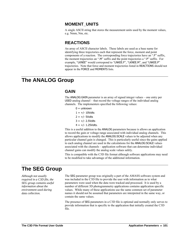### **MOMENT\_UNITS**

A single ASCII string that stores the measurement units used by the moment values, e.g. Nmm, Nm, etc.

### **REACTIONS**

An array of ASCII character labels. These labels are used as a base name for identifying three trajectories each that represent the force, moment and point components of a reaction. The corresponding force trajectories have an ".F" suffix, the moment trajectories an ".M" suffix and the point trajectories a ".P" suffix. For example, "LKNEE" would correspond to "LNKEE.F", "LKNEE.M", and "LNKEE.P" trajectories. Note that force and moment trajectories listed in REACTIONS should not appear in the FORCE and MOMENTS lists.

# **The ANALOG Group**

### **GAIN**

The ANALOG:GAIN parameter is an array of signed integer values – one entry per USED analog channel – that record the voltage ranges of the individual analog channels. The implementers specified the following values:

- $0 =$ unknown
- $1 = +/- 10$ Volts
- $2 = +/-5$ Volts
- $3 = +/- 2.5$ Volts
- $4 = +/- 1.25$ Volts.

This is a useful addition to the ANALOG parameters because is allows an application to record the gain or voltage range associated with individual analog channels. This allows applications to modify the ANALOG:SCALE values to be adjusted when any particular channel gain is changed. This is particularly useful since the gains applied to each analog channel are used in the calculations for the ANALOG:SCALE values associated with the channels – application software that can determine individual channel gains can modify the analog scale values safely.

This is compatible with the C3D file format although software applications may need to be modified to take advantage of the additional information.

# **The SEG Group**

*Although not usually required in a C3D file, the SEG group contains useful information about the environment used during data collection.* 

The SEG parameter group was originally a part of the AMASS software system and was included in the C3D file to provide the user with information as to what parameters were used when the data were tracked and processed. It is used by a number of different 3D photogrammetry applications contains application specific values. While many of these applications use the same common set of parameter names it should not be assumed that parameters are interpreted in the same way, or contain the same values.

The presence of SEG parameters in a C3D file is optional and normally only serves to provide information that is specific to the application that initially created the C3D file.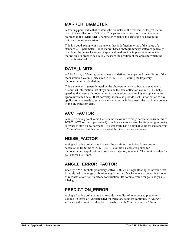### **MARKER\_DIAMETER**

A floating-point value that contains the diameter of the markers, or largest marker used, in the collection of 3D data. This parameter is measured using the units recorded in the POINT:UNITS parameter, which is the same unit as used in the reference coordinate system.

This is a good example of a parameter that is defined in terms of the value of a standard C3D parameter. Since marker based photogrammetry software generally calculates the center locations of spherical markers it is important to know the marker size in order to accurately measure the position of the object to which the marker is attached.

### **DATA\_LIMITS**

A 3 by 2 array of floating-point values that defines the upper and lower limits of the reconstruction volume (measured in POINT:UNITS) during the trajectory photogrammetry calculations.

This parameter is generally used by the photogrammetry software to enable it to discard 3D information that strays outside the data collection volume. This helps speed up the intense photogrammetry computations by allowing an application to ignore unwanted data. If set correctly, it can also provide useful information to any application that needs to set up a view window as it documents the maximum bounds of the 3D trajectory data.

## **ACC\_FACTOR**

A single floating point value that sets the maximum average acceleration (in terms of POINT:UNITS seconds, per second) over five successive samples for photogrammetry software to start a new segment. This generally has a nominal value for gait analysis of 50mm/sec/sec but this may be varied for other trajectory sources.

# **NOISE\_FACTOR**

A single floating point value that sets the maximum deviation from constant acceleration (in terms of POINT:UNITS) over five successive points for photogrammetry applications to start new trajectory segment. The nominal value for gait analysis is 10mm.

## **ANGLE\_ERROR\_FACTOR**

Used by AMASS photogrammetry software, this is a single floating-point value that is multiplied to average calibration angular error of each camera to determine "cone of reconstruction" for trajectory construction. Its nominal value for gait analysis is 2.0 degrees.

## **PREDICTION\_ERROR**

A single floating point value that records the radius of extrapolated prediction volume (in terms of POINT:UNITS) for trajectory segment continuity in AMASS software – the nominal value for gait analysis with 25mm markers is 25mm.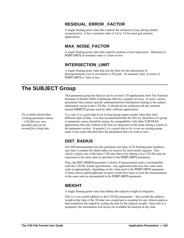### **RESIDUAL\_ERROR \_FACTOR**

A single floating point value that controls the inclusion of rays during marker reconstruction. It has a nominal value of 2.0 to 3.0 for most gait analysis applications.

## **MAX\_NOISE\_FACTOR**

A single floating point value that controls creation of new trajectories. Measured in POINT:UNITS its nominal value is 12mm or less.

### **INTERSECTION\_LIMIT**

A single floating point value that sets the limit for the intersection of photogrammetric rays to reconstruct a 3D point. Its nominal value, in terms of POINT:UNITS is 7mm or less.

# **The SUBJECT Group**

*Try to think ahead when creating parameter names – C3D files are very portable and can be around for a long time.* 

This parameter group has been in use by several C3D applications from The National Institutes of Health (NIH) in Bethesda, MD for a number of years. It stores various parameters that contain specific anthropometrical information relating to the subject information stored in the C3D file. It should not be confused with the similarly named SUBJECTS groups used by other software applications.

As a rule, it is a good idea to try to keep group names unique when they store different types of data. It is also recommended that the first six characters of a group or parameter names should be unique for compatibility with older FORTRAN applications that only looked at the first six characters of the name during a search of the parameter section. In general, it is a good idea to try to use an existing group name if one exists that describes the parameters that you want to save.

## **DIST\_RADIUS**

The NIH documentation for this parameter (an array of 20 floating-point numbers) says that it contains the distal radius (in meters) for each model segment. This clearly violates one of the basic C3D rules that every distance in a C3D file must be expressed in the same units as specified in the POINT:UNITS parameter.

Thus, the DIST\_RADIUS parameter's choice of measurement units is incompatible with the C3D file format specification. Any application that uses this value must scale in appropriately, depending on the value used in the POINT:UNITS parameter. A better choice (philosophically at least) would have been to store the measurements in the same units as documented in the POINT:UNITS parameter.

## **WEIGHT**

A single floating-point value that defines the subjects weight in kilograms.

This is a very useful addition to the C3D file parameters – this records the subjects weight at the time of the 3D data was created and is essential for any clinical analysis that normalizes the output by scaling the data by the subjects weight. Since this is a parameter, the information will always be available for analysis at any time.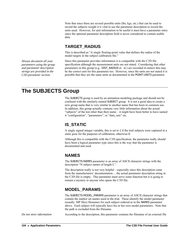Note that since there are several possible units (lbs, kgs, etc.) that can be used to record the subjects weight it is vital to use the parameter description to record the units used. However, for unit information to be useful it must have a parameter entry since the optional parameter description field is never considered to contain usable data.

### **TARGET\_RADIUS**

This is described as "A single floating-point value that defines the radius of the model targets in the subject calibration file."

Since this parameter provides information it is compatible with the C3D file specification although the measurement units are not stated. Considering that other parameters in this group (e.g. DIST\_RADIUS et. al.) are recorded in meters this may be the correct unit for this parameter too. However, since the units are not stated it is possible that they are the same units as documented in the POINT:UNITS parameter.

# **The SUBJECTS Group**

The SUBJECTS group is used by an animation-modeling package and should not be confused with the similarly named SUBJECT group. It is not a good idea to create a new group name that is very similar to another name that has been in common use. In addition, this group actually contains very little information about the actual "subjects" of the test other than their name – it might have been better to have named it "configuration", "parameters", or "data\_sets" etc.

### **IS\_STATIC**

A single signed integer variable, this is set to 1 if the trial subjects were captured in a static pose for the purposes of calibration, otherwise 0.

Although this is compatible with the C3D specification, the parameter really should have been a logical parameter type since this is the way that the parameter is documented and used.

### **NAMES**

The SUBJECTS:NAMES parameter is an array of ASCII character strings with the description "N subject names of length L".

The description really is not very helpful – especially since this description came from the manufacturers' documentation… the actual parameter description string in the C3D file is empty. This parameter must serve some function but it is going to remain a mystery to anyone who opens the C3D file.

## **MODEL\_PARAMS**

The SUBJECTS:MODEL\_PARAMS parameter is an array of ASCII character strings that contain the marker set names used in the trial. These identify the model parameter (usually .MP files) filenames for each subject ordered as in the NAMES parameter above. Each subject will typically have his or her own model parameters. Note that the path is excluded from the filename.

*Do not store information* **According to the description**, this parameter contains the filename of an external file

*Always document all your parameters using the group and parameter description strings are provided in the C3D parameter section.*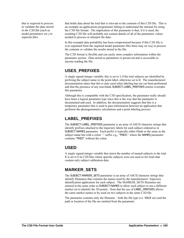*that is required to process or validate the data stored in the C3D file (such as model parameters etc.) in separate files.* 

that holds data about the trial that is relevant to the contents of this C3D file. This is an example an applications programmer failing to understand the rational for using the C3D file format. The implication of this parameter is that, if it is used, the resulting C3D file will probably not contain details of all of the parametric values needed to process or interpret the data.

In this example data portability has been compromised because if this C3D file is ever separated from the required model parameter files there may no way to process the contents or validate the results stored in the file.

The C3D format is flexible and can easily store complex information within the parameter section. Data stored as parameters is preserved and is accessible to anyone reading the file.

#### **USES\_PREFIXES**

A single signed integer variable, this is set to 1 if the trial subjects are identified by prefixing the subject name to the point label, otherwise set to 0. The manufacturers' documentation states that this is only used when labeling has not yet been performed and that the presence of any non-blank SUBJECT:LABEL\_PREFIXES entries overrides this parameter.

Although this is compatible with the C3D specification, the parameter really should have been a logical parameter type since this is the way that the parameter is documented and used. In addition, the documentation suggests that this is a temporary parameter that is used to pass information between an application that performs the photogrammetry calculations and a point labeling process.

### **LABEL\_PREFIXES**

The SUBJECT:LABEL\_PREFIXES parameter is an array of ASCII character strings that identify prefixes attached to the trajectory labels for each subject ordered as in SUBJECT:NAMES parameter. Each prefix is typically either blank or the same as the subject name but with a colon ':' suffix e.g., "FRED:" where the NAMES parameter contains "FRED" without the colon.

#### **USED**

A single signed integer variable that stores the number of named subjects in the trial. It is set to 0 in C3D files where specific subjects were not used or for trials that contain only subject calibration data.

## **MARKER\_SETS**

The SUBJECT:MARKER\_SETS parameter is an array of ASCII character strings that identify filenames that contains the names used by the manufacturers' trajectory identification application for each subject. The MARKER\_SETS filenames are entered in the same order as SUBJECT:NAMES to allow each subject to use a different marker set to identify the 3D points. Note that the use of LABEL\_PREFIXES allows the same marker names to by used on two subjects in the same C3D file.

The parameter contains only the filename – both the file type (i.e. MKR etc) and the path or location of the file are omitted from the parameter.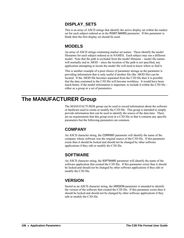#### **DISPLAY\_SETS**

This is an array of ASCII strings that identify the active display set within the marker set for each subject ordered as in the POINT:NAMES parameter. If this parameter is blank then the first display set should be used.

#### **MODELS**

An array of ASCII strings containing marker set names. These identify the model filenames for each subject ordered as in NAMES. Each subject may use a different model. Note that the path is excluded from the model filename – model file names will normally end in .MOD – since the location of the path is not specified, any application attempting to locate the model file will need to know where to find it.

This is another example of a poor choice of parameter storage as the parameter is providing information that is only useful if another file (the .MOD file) can be located. If the .MOD file becomes separated from the C3D file then it is possible that the data contained in the C3D file will become worthless. It would have been much better, if the model information is important, to include it within the C3D file – either as a group or a set of parameters.

# **The MANUFACTURER Group**

The MANUFACTURER group can be used to record information about the software or hardware used to create or modify the C3D file. This group is intended to simply provide information that can be used to identify the source of the data later. There are no requirements that this group exist in a C3D file or that it contains any specific parameters but the following parameters are common.

#### **COMPANY**

An ASCII character string, the COMPANY parameter will identify the name of the company whose software was the original source of the C3D file. If this parameter exists then it should be locked and should not be changed by other software applications if they edit or modify the C3D file.

#### **SOFTWARE**

An ASCII character string, the SOFTWARE parameter will identify the name of the software application that created the C3D file. If this parameter exists then it should be locked and should not be changed by other software applications if they edit or modify the C3D file.

#### **VERSION**

Stored as an ASCII character string, the VERSION parameter is intended to identify the version of the software that created the C3D file. If this parameter exists then it should be locked and should not be changed by other software applications if they edit or modify the C3D file.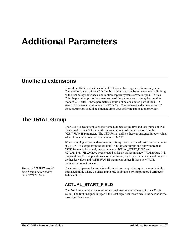# **Additional Parameters**

## **Unofficial extensions**

Several unofficial extensions to the C3D format have appeared in recent years. These address areas of the C3D file format that are have become somewhat limiting as the technology advances, and motion capture systems create larger C3D files. This chapter attempts to document some of the parameters that may be found in modern C3D files – these parameters should not be considered part of the C3D standard or even a requirement in a C3D file. Comprehensive documentation of these parameters should be obtained from your software application provider.

## **The TRIAL Group**

The C3D file header contains the frame numbers of the first and last frames of trial data stored in the C3D file while the total number of frames is stored in the POINT:FRAMES parameter. The C3D format defines these as unsigned integer values which limits these to a maximum value of 65535.

When using high-speed video cameras, this equates to a trial of just over two minutes at 240Hz. To escape from the existing 16-bit integer limits and allow more than 65535 frames to be stored, two parameters (ACTUAL\_START\_FIELD and ACTUAL\_END\_FIELD) have been created as 32-bit values in a new TRIAL group. It is proposed that C3D applications should, in future, read these parameters and only use the header values and POINT:FRAMES parameter values if these new TRIAL parameters are not present.

*The word "*FRAME*" would* The choice of parameter *name* is unfortunate as many video systems sample in the interlaced mode where a 60Hz sample rate is obtained by sampling **odd and even fields** at 30Hz.

## **ACTUAL\_START\_FIELD**

The first frame number is stored in two unsigned integer values to form a 32-bit value. The first unsigned integer is the least significant word while the second is the most significant word.

*have been a better choice than "*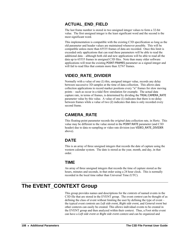#### **ACTUAL\_END\_FIELD**

The last frame number is stored in two unsigned integer values to form a 32-bit value. The first unsigned integer is the least significant word and the second is the most significant word.

This implementation is compatible with the existing C3D specification so long as the old parameter and header values are maintained whenever possible. This will be compatible unless more than 65535 frames of data are recorded. Once this limit is exceeded only applications that can read these parameters will be able to read the additional data – although both old and new applications will be able to read all the data up to 65535 frames in unsigned C3D files. Note than many older software applications will treat the existing POINT:FRAMES parameter as a signed integer and will fail to read files that contain more than 32767 frames.

#### **VIDEO\_RATE\_DIVIDER**

Normally with a value of one (1) this, unsigned integer value, records any delay between successive 3D samples at the time of data collection. This allows data collection applications to record marker positions every "n" frames for slow moving points – such as occur in a tidal flow simulation for example. The actual data capture rate, in terms of frames, is determined by dividing the TRIAL:CAMERA\_RATE parameter value by this value. A value of one (1) indicates that there is no delay between frames while a value of two (2) indicates that data is only recorded every second frame.

### **CAMERA\_RATE**

This floating-point parameter records the *original* data collection rate, in Hertz. This value may be different to the value stored in the POINT:RATE parameter (and C3D header) due to data re-sampling or video rate division (see VIDEO\_RATE\_DIVIDER above).

#### **DATE**

This is an array of three unsigned integers that records the date of capture using the western calendar system. The date is stored as the year, month, and day, in that order.

#### **TIME**

An array of three unsigned integers that records the time of capture stored as the hours, minutes and seconds, in that order using a 24 hour clock. This is normally recorded in the local time rather than Universal Time (UTC).

# **The EVENT\_CONTEXT Group**

This group provides names and descriptions for the *contexts* of named events in the C3D file that are stored in the EVENT group. The event *context* can be thought of as defining the class of event without limiting the user by defining the type of event – the typical event *contexts* are *Left side event*, *Right side event*, and *General event* but other contexts can easily be created. This allows individual events to be created in the EVENT group and then analyzed within their context. Thus, a Foot strike event can have a *Left side event* or *Right side event* context and can be organized and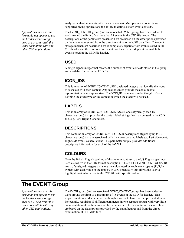*format do not appear to use the header event storage area at all- as a result this is not compatible with any other C3D applications.* 

analyzed with other events with the same context. Multiple event contexts are supported giving applications the ability to define custom event contexts.

Applications that use this **The EVENT\_CONTEXT** group (and an associated EVENT group) have been added to work around the limit of no more that 18 events in the C3D file header. The descriptions of the parameters presented here are based on the descriptions provided by the manufacturer and from the direct examination of C3D data files. The event storage mechanism described here is completely separate from events stored in the C3D header and there is no requirement that these events duplicate or match the events stored in the C3D file header.

#### **USED**

A single signed integer that records the number of event contexts stored in the group and available for use in the C3D file.

#### **ICON\_IDS**

This is an array of EVENT\_CONTEXT:USED unsigned integers that identify the icons to associate with each context. Applications must provide the actual iconic representation where appropriate. The ICON\_ID parameter can be thought of as a defining the event type or the context in which the event will be used.

#### **LABELS**

This is an array of EVENT\_CONTEXT:USED ASCII labels (typically each 16 characters long) that provides the context label strings that may be used in the C3D file, e.g. Left, Right, General etc.

#### **DESCRIPTIONS**

This contains an array of EVENT\_CONTEXT:USER descriptions (typically up to 32 characters long) that are associated with the corresponding labels e.g. Left side event, Right side event, General event. This parameter simply provides additional descriptive information for each of the LABELS.

#### **COLOURS**

Note the British English spelling of this item in contrast to the US English spellings used elsewhere in the C3D format description. This is a (3, EVENT\_CONTEXT:USED) array of unsigned integers that store the colors used by each event type as (R,G,B) triplets with each value in the range 0 to 255. Potentially this allows the user to highlight particular events in the C3D file with specific colors.

# **The EVENT Group**

*Applications that use this format do not appear to use the header event storage area at all- as a result this is not compatible with any other C3D applications.* 

EVENT group (and an associated EVENT\_CONTEXT group) has been added to work around the limit of a maximum of 18 events in the C3D file header. This implementation works quite well although it seems to have been implemented rather inelegantly, requiring 13 different parameters in two separate groups with very little documentation of the functions of the parameters. The descriptions presented here are based on the descriptions provided by the manufacturer and from the direct examination of C3D data files.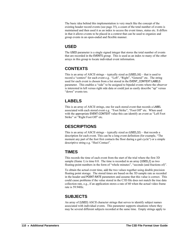The basic idea behind this implementation is very much like the concept of the existing header record events (see page [35](#page-38-0)), a count of the total number of events is maintained and then used it as an index to access the event times, status etc. It differs in that it allows events to be placed in a *context* that can be used to organize and group events in an open-ended and flexible manner.

#### **USED**

The USED parameter is a single signed integer that stores the total number of events that are recorded in the EVENTS group. This is used as an index to many of the other arrays in this group to locate individual event information.

#### **CONTEXTS**

This is an array of ASCII strings – typically sized as (USED,16) – that is used to record a "context" for each event e.g. "Left", "Right", "General" etc. The string used for each event is chosen from a list stored in the EVENT\_CONTEXT:LABELS parameter. This enables a "side" to be assigned to bipedal events where the observer is interested in left versus right side data or could just as easily describe "up" versus "down" events too.

#### **LABELS**

This is an array of ASCII strings, one for each stored event that records a LABEL associated with each stored event e.g. "Foot Strike", "Foot Off" etc. When used with the appropriate EVENT:CONTEXT value this can identify an event as "Left Foot Strike" or "Right Foot Off" etc.

#### **DESCRIPTIONS**

This is an array of ASCII strings – typically sized as (USED,32) – that records a description for each event. This can be a long event definition (for example, "The moment any part of the foot first contacts the floor during a gait cycle") or a simple descriptive string e.g. "Heel Contact".

#### **TIMES**

This records the time of each event from the start of the trial where the first 3D sample (frame 1) is time 0.0. The time is recorded in an array (USED,2) as two floating-point numbers in the form of "whole minutes", "seconds (and fractions of)".

To obtain the actual event time, add the two values together using double precision floating point storage. The stored times are based on the 3D sample rate as recorded in the header and POINT:RATE parameters and assume that this value is correct. This could cause problems if the value stored in the C3D file does not match the true data collection rate, e.g., if an application stores a rate of 60 when the actual video frame rate is 59.94Hz.

#### **SUBJECTS**

An array of (USED) ASCII character strings that serves to identify subject names associated with individual events. This parameter supports situations where they may be several different subjects recorded at the same time. Empty strings apply to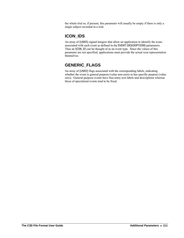the whole trial so, if present, this parameter will usually be empty if there is only a single subject recorded in a trial.

### **ICON\_IDS**

An array of (USED) signed integers that allow an application to identify the icons associated with each event as defined in the EVENT:DESCRIPTIONS parameters. Thus an ICON\_ID can be thought of as an event type. Since the values of this parameter are not specified, applications must provide the actual icon representation themselves.

## **GENERIC\_FLAGS**

An array of (USED) flags associated with the corresponding labels, indicating whether the event is general purpose (value non-zero) or has specific purpose (value zero). General-purpose events have free-entry text labels and descriptions whereas those of specialized events tend to be fixed.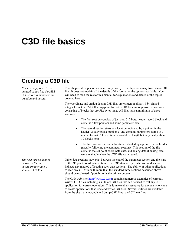# **C3D file basics**

# **Creating a C3D file**

*Novices may prefer to use an application like the MLS C3Dserver to automate file creation and access.* 

*The next three sidebars below list the steps necessary to create a standard C3Dfile.* 

This chapter attempts to describe – very briefly – the steps necessary to create a C3D file. It does not explain all the details of the format, or the options available. You will need to read the rest of this manual for explanations and details of the topics covered here.

The coordinate and analog data in C3D files are written in either 16-bit signed integer format or 32-bit floating-point format. C3D files are organized in sections, consisting of blocks that are 512 bytes long. All files have a minimum of three sections:

- The first section consists of just one, 512 byte, header record block and contains a few pointers and some parameter data.
- The second section starts at a location indicated by a pointer in the header (usually block number 2) and contains parameters stored in a unique format. This section is variable in length but is typically about 10 blocks long.
- The third section starts at a location indicated by a pointer in the header (usually following the parameter section). This section of the file contains the 3D point coordinate data, and analog data if analog data were available when the .C3D file was created.

Other data sections may exist between the end of the parameter section and the start of the 3D point coordinate section. The C3D standard permits this but does not indicate any method of locating such data sections. The ability of other applications to read any C3D file with more than the standard three sections described above should be evaluated if portability is the prime concern.

The C3D web site [\(http://www.c3d.org\)](http://www.c3d.org/) contains numerous examples of correctly written C3D files including a suite of C3D files that can be used to test any C3D application for correct operation. This is an excellent resource for anyone who wants to create applications that read and write C3D files. Several utilities are available from the site that view, edit and dump C3D files to ASCII text files.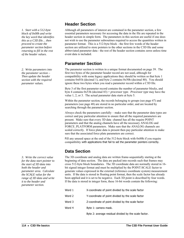*1. Start with a 512-byte block of 0x00h and write the key word that identifies this as a C3D file… then proceed to create the parameter section before returning to fill in the rest of the header values.* 

*2. Write parameters into the parameter section – Then update the header section with the required parameter values.* 

*3. Write the correct value for the data start pointer to the start of 3D data into both the header and parameter area. Calculate the SCALE value for the range of 3D data and write it to the header and parameter section.* 

#### **Header Section**

Although all parameters of interest are contained in the parameter section, a few essential parameters necessary for accessing the data in the file are repeated in the header section in simple form. The parameters in this section are useful if one does not wish to use the parameter subroutines required to access the quantities written in parameter format. This is a 512-byte block - the first few words of the header section are utilized to store pointers to the other sections in the C3D file and some abbreviated parameter data - the rest of the header section contains zeros unless time event data is included.

#### **Parameter Section**

The parameter section is written in a unique format documented on page [39.](#page-42-0) The first two bytes of the parameter header record are not used, although for compatibility with some legacy applications they should be written so that byte 1 contains 0x01h (decimal 1), and byte 2 contains 0x50h (decimal 80). You should ignore these two bytes when you read a parameter record within a C3D file.

Byte 3 of the first parameter record contains the number of parameter blocks, and byte 4 contains 0x53h (decimal 83) + *processor type*. *Processor type* may have the value 1, 2, or 3. The actual parameter data starts at byte 5.

Within the parameter section, the records belonging to groups (see page [47\)](#page-50-0) and parameters (see page [48](#page-51-0)) are stored in no particular order, and are located by searching through the parameter section.

Always check the parameters carefully – make sure that the parameter data types are correct and pay particular attention to ensure that all the required parameters are present. Make sure that every 3D data channel has all the require POINT parameters and that the analog channels have all the necessary ANALOG and FORCE\_PLATFORM parameters. Make sure that the ANALOG channels are scaled correctly. If force plate data is present then pay particular attention to make sure that the associated force plate parameters are correct.

Fill any unused space at the end of the 512-byte block with 0x00h if you require compatibility with applications that fail to set the parameter pointers correctly.

#### **Data Section**

The 3D coordinate and analog data are written frame-sequentially starting at the beginning of data section. The data are packed into records such that frames may cross 512-byte block boundaries. The 3D coordinate data are normally stored in 16 bit signed integer format and must be multiplied by the POINT:SCALE factor to generate values expressed in the external (reference coordinate system) measurement units. If the data is stored in floating point format, then the scale factor has already been applied and it is set to be negative. Each 3D point is described by four words. If the data is stored in integer form, these 16-bit words contain the following:

| Word 1 | X-coordinate of point divided by the scale factor     |
|--------|-------------------------------------------------------|
| Word 2 | Y-coordinate of point divided by the scale factor     |
| Word 3 | Z-coordinate of point divided by the scale factor     |
| Word 4 | Byte 1: camera mask.                                  |
|        | Byte 2: average residual divided by the scale factor. |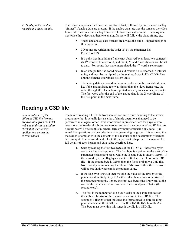4. Finally, w*rite the data records and close the file.*  The video data points for frame one are stored first, followed by one or more analog "frames" if analog data are present. If the analog data rate was the same as the video frame rate then only one analog frame will follow each video frame. If analog rate was twice the video rate, then two analog frames will follow the video frame, etc.

- Video and analog data formats are always the same signed integer or floating-point.
- 3D points are written in the order set by the parameter list POINT:LABELS.
- If a point was invalid in a frame (not observed by at least two cameras), its  $4<sup>th</sup>$  word will be set to -1, and the X, Y, and Z coordinates will be set to zero. For points that were interpolated, the  $4<sup>th</sup>$  word is set to zero.
- In an integer file, the coordinates and residuals are recorded in internal units, and must be multiplied by the scaling factor in POINT:SCALE to obtain reference coordinate system units.
- The analog data are stored in the same order as in the raw data stream, i.e. if the analog frame rate was higher than the video frame rate, the order through the channels is repeated as many times as is appropriate. The first word after the end of the analog data is the X-coordinate of the first point in the next frame.

# **Reading a C3D file**

*Samples of each of the different C3D file formats are available from the C3D web site and can be used to check that user-written applications return the correct values.* 

The task of reading a C3D file from scratch can seem quite daunting to the novice programmer but is actually just a series of simple operations that need to be performed in a logical order. This information is presented here for anyone who needs to write low-level subroutines to open and read the contents of a C3D file. As a result, we will discuss this in general terms without referencing any code – the actual file operations can be coded in any programming language. It is assumed that the reader is familiar with the contents of this manual so the descriptions presented here are quite brief – you should refer to the appropriate chapters in the manual for full details of each header and data value described here.

- 1. Start by reading the first two bytes of the C3D file these two bytes contain a flag and a pointer. The first byte is a pointer to the start of the parameter head record block while the second byte is always 0x50h. If the second byte (the flag byte) is not 0x50h then the file is not a C3D file – if the second byte is  $0x50h$  then the file is probably a C3D file. Note that if you are reading the file in 16-bit words then the first word will be 0x50nnh where nn is the pointer value.
- 2. If the flag byte is 0x50h then we take the value of the first byte (the pointer) and multiply it by 512 – this value then points to the start of the parameter records. Ignore the first two bytes (the first word) at the start of the parameter record and read the second pair of bytes (the second word).
- 3. The first is the number of 512-byte blocks in the parameter section this tells us the size of the parameter section in the C3D file. The second is a flag byte that indicates the format used to store floatingpoint numbers in this C3D file – it will be 0x54h, 0x55h, or 0x56h. This byte must be within this range if the file is a C3D file.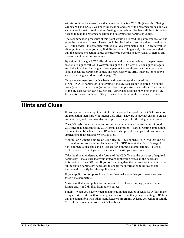At this point we have two flags that agree that this is a C3D file (the odds of being wrong are 1 in 65,537), we know the location and size of the parameter block and we know what format is used to store floating point values. We have all the information needed to read the parameter section and determine the parameter values.

The recommended procedure at this point would be to read the parameter section and store the parameter values. These should be checked against the values stored in the C3D file header – the parameter values should always match the C3D header values although in rare cases you may find discrepancies. In general, it is recommended that the parameter section values are preferred over the header values if there is any disagreement between two values.

By default, in a signed C3D file, all integer and parameter values in the parameter section are signed values. However, unsigned C3D file will use unsigned integers and bytes to extend the ranges of some parameters so all parameter read operations should check the parameter values, and particularly the array indexes, for negative values and ranges as described on page [69](#page-72-0).

Once the parameter section has been read, you can use the sign of the POINT:SCALE parameter to determine if the 3D data section is stored in floating point (a negative scale value)or integer format (a positive scale value). The contents of the 3D data section can now be read. Other data sections may exist in the C3D file – information on these (if they exist) will be found in the parameter section.

## **Hints and Clues**

If this is your first attempt to create C3D files or add support for the C3D format to an application then start with Integer C3D files. They are somewhat easier to create and interpret, and most manufacturers provide support for the integer data format.

The C3D web site is an important resource and contains many examples of good C3D files that conform to the C3D format description – start by writing applications that read these files first. The C3D web site also provides sample code and several applications that read and write C3D files.

Motion Lab Systems supplies a C3D Software Development Kit (SDK) that can be used with most programming languages. This SDK is available free of charge for non-commercial use and can be licensed for commercial applications. This is a useful resource even if you are determined to write your own code.

Take the time to understand the format of the C3D file and the basic set of required parameters – make sure that your software application stores all the necessary information in the C3D file. If you store analog data then make sure that you create all the analog parameters necessary to enable the information to be scaled and interpreted correctly by other applications.

If your application supports force plates then make sure that you create the correct force plate parameters.

Make sure that your application is prepared to deal with missing parameters and format errors in C3D files from other sources.

Finally – when you have written an application that creates or reads C3D files, make every effort to test it with other applications to ensure that you are creating C3D files that are compatible with other manufacturers programs. A large collection of sample C3D files are available from the C3D web site.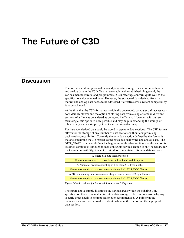# **The Future of C3D**

## **Discussion**

The format and descriptions of data and parameter storage for marker coordinates and analog data in the C3D file are reasonably well established. In general, the various manufacturers' and programmers' C3D offerings conform quite well to the specifications documented here. However, the storage of data derived from the marker and analog data needs to be addressed if effective cross-system compatibility is to be achieved.

At the time that the C3D format was originally developed, computer disk access was considerably slower and the option of storing data from a single frame in different sections of a file was considered as being too inefficient. However, with current technology, this option is now possible and may help in extending the storage of other data types in a simple, yet backwards compatible, way.

For instance, derived data could be stored in separate data sections. The C3D format allows for the storage of any number of data sections without compromising backwards compatibility. Currently the only data section defined by the format is the one containing the 3D marker coordinates, residual word, and analog data. The DATA\_START parameter defines the beginning of this data section, and the section is assumed contiguous although in fact, contiguity for this section is only necessary for backward compatibility; it is not required to be maintained for new data sections.

| A single 512 byte Header section                                          |  |
|---------------------------------------------------------------------------|--|
| One or more optional data sections such as Label and Range etc.           |  |
| A Parameter section consisting of 1 or more 512-byte blocks.              |  |
| One or more optional data sections containing AVI, XLS, DOC files etc.    |  |
| A 3D point/analog data section consisting of one or more 512-byte blocks. |  |
| One or more optional data sections containing AVI, XLS, DOC files etc.    |  |

*Figure 34 – A roadmap for future additions to the C3D format* 

The figure above simply illustrates the various areas within the existing C3D specification that are available for future data storage. There is no reason why any specific order needs to be imposed or even recommended. A pointer in the parameter section can be used to indicate where in the file to find the appropriate data section.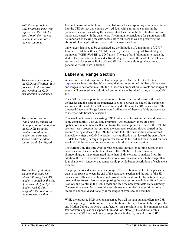*With this approach, all C3D programs know what is present in the C3D file, even though they may not be able to access data in the new sections.* 

*the C3D specification. It is presented to demonstrate one way that the C3D format could be extended.* 

*The proposed section would have no impact on old applications that access the C3D file using the pointers stored in the header and parameter section as the new data section would be skipped.* 

*The number of additional sections that could be added following the C3D header is limited by the size of the variable (one byte in header word 1) that designates the location of the parameter section.* 

It would be useful in the future to establish rules for incorporating new data sections into the C3D format that contain derived data, with appropriate entries in the parameter section describing the sections start location in the file, its structure, and names associated with the data items. A common nomenclature for parameters will be important in making the data accessible to all users as well as preserving the ability of older applications to work with the new data files.

Other areas that need to be considered are the limitation of a maximum of 32767 frames of 3D data within a C3D file caused by the use of a signed 16-bit integer parameter (POINT:FRAMES) to 3D frames. The use of an 8-bit pointer to locate the start of the parameter section and a 16-bit integer to record the start of the 3D data section also places some limits of the C3D file structure although these are not, in general, difficult to work around.

#### **Label and Range Section**

*This section is not part of* A new time event storage format has been proposed (see the C3D web site at [http://www.c3d.org](http://www.c3d.org/) for details) that would allow an unlimited number of time events and ranges to be stored in a C3D file. Under this proposal, time events and ranges of events will be stored in an additional section that can be added to any existing C3D file.

> The C3D file format permits one or more sections to be stored between the end of the header and the start of the parameter section, between the end of the parameter section and the start of the 3D data section, and following the 3D data section. The proposed Label and Range format would utilize one of these available storage areas to insert an additional data section.

This would not disrupt the existing C3D header event format and so would maintain some compatibility with existing programs. Unfortunately, there are some applications in common use that fail to use the header pointers to access the C3D file sections. Any program that assumed the parameter sections always started in the second 512-byte block of the C3D file would fail if the new section were located immediately after the C3D file header. Any application that located the start of the 3D data by reading through the parameter section to the end and then looked for data would fail if the new section were located after the parameter section.

The current C3D file time event format provides storage for 18 time events in the header section located in the first block of the C3D file. This has several shortcomings, as many users need more than 18 time events to analyze files. In addition, the current header format does not allow the event labels to be longer than four characters – longer event names would provide better descriptions of each event instance.

The proposal to add a new label and range (NLR) section to the C3D file places the data in the space between the end of the parameter section and the start of the 3D data section. This new section would provide additional event information to help resolve these issues. Programs supporting the new section would identify it from a new key and pointer in the C3D header and read the new event data values directly. The new time event format would allow almost any number of event times to be recorded and would additionally allow ranges of events to be described.

While the proposed NLR section appears to be well thought out and offers the C3D user a large range of options and event definition features, it has yet to be adopted by any Motion Capture hardware manufacturer. As a result, it is not in common use and few software applications support it. In addition, although the addition of this section to a C3D file should not cause problems in theory, several major C3D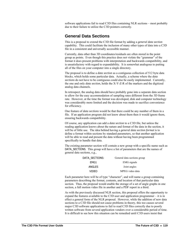software applications fail to read C3D files containing NLR sections – most probably due to their failure to utilize the C3D pointers correctly.

#### **General Data Sections**

This is a proposal to extend the C3D file format by adding a *general data section* capability. This could facilitate the inclusion of many other types of data into a C3D file in a consistent and universally accessible manner.

Currently, data other than 3D coordinates/residuals are often stored in the point group as points. Even though this practice does not violate the "grammar" of the format it does present problems with interpretation and backwards compatibility, and is unsatisfactory with regard to expandability. It is somewhat analogous to putting all of the files on your computer into a single directory.

The proposal is to define a *data section* as a contiguous collection of 512 byte data blocks, which holds some particular data. Actually, a scheme where the *data sections* do not have to be contiguous could also be easily implemented. Currently, the one and only *data section,* holds the X-Y-Z-R of the markers and the digitized analog data channels.

In retrospect, the analog data should have probably gone into a separate data section to allow for the easy accommodation of sampling rates different from the 3D frame rate. However, at the time the format was developed, disk and computer technology was considerably more limited and the decision was made to sacrifice convenience for efficiency.

One feature of *data sections* would be that there could be any number of them in a file. If an application program did not know about them then it would ignore them, ensuring backwards compatibility.

Of course, any application can add a *data section* to a C3D file, but unless the reading application knows about the nature and format of the data in the section, it will be of little use. The idea behind having a *general data section format* is to define a format within sections by standard parameters, so that another application will be able to read and present the data without having been programmed specifically to handle that data.

The existing parameter section will contain a new group with a specific name such as DATA SECTIONS. This group will have a list of parameters that are the names of general data sections, e.g.,

| General data sections group |
|-----------------------------|
| <b>EMG</b> signals          |
| Joint angles                |
| MPEG video data             |
|                             |

Each parameter here will be of type "character", and will name a group containing parameters describing the format, contents, and location of that particular data section. Thus, the proposal would enable the storage of a set of angle graphs in one section, a full motion video file in another and a PDF report in a third.

As with the previously discussed NLR section, this proposal offers the opportunity to expand the features available to the C3D user and application programmer – it is in effect a general form of the NLR proposal. However, while the addition of new data sections to a C3D file should not cause problems in theory, this too causes several major C3D software applications to fail to read C3D files correctly due to poorly written software from several application vendors over a considerable period of time. It is difficult to see how this situation can be remedied until C3D users insist that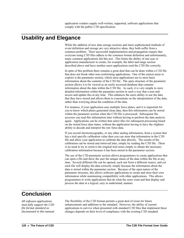application vendors supply well-written, supported, software applications that comply with the public C3D specification.

## **Usability and Elegance**

While the addition of new data storage sections and more sophisticated methods of event definition and storage are very attractive ideas, they both suffer from a common problem. Their successful implementation and propagation require that everyone using C3D files adhere to the common format definition and unfortunately, many common applications fail this test. This limits the ability of one user or application manufacturer to create, for example, the label and range section described above and have another users applications read the C3D file correctly.

In spite of this problem there remains a great deal that can be done within a C3D file that does not break other non-conforming applications. One of the easiest areas to explore is the parameter section, which most applications use to store basic information about the contents of the C3D file. The open structure of the parameter section allows it to be viewed as an easily accessed database that contains information about the data within the C3D file. As such, it is very simple to store detailed information within the parameter section in such a way that a user and access and update this at any time. This enhances the users ability to use the data that they have stored and allows them to concentrate on the interpretation of the data, rather than worrying about the condition of the data.

For instance, if your application uses multiple force plates, and it is important for you to know which plates generated clean data, then this information can be stored within the parameter section when the C3D file is processed. Subsequent file accesses can read this information later without having to perform the data analysis again. Applications can be written that select files for subsequent processing based on the stored force data status, without the application having to have the slightest ability to decode and interpret the raw force data.

If you record electromyography, or any other analog information, from a system that has a trial specific calibration value then you can store that information in the C3D file and allow your application to calibrate the data directly. The results of the calibration can be stored and retrieved later, simply by reading the C3D file. There is no need to try to retrieve the original trial notes simply to obtain the necessary calibration information because it has been stored in the parameter section.

The use of the C3D parameter section allows programmers to create applications that can open a file and show the user the unique status of the data within the file at any time. Several different file can be opened, each one from a different source, and yet each file will display the data correctly simply because the information about the data is stored within the parameter section. Because of the open nature of the parameter structure, this allows software applications to create and store their own information while maintaining compatibility with other applications. This allows programmers to write applications that do what the users want and that display and process the data in a logical, easy to understand, manner.

## **Conclusion**

*All software applications must fully support the C3D file format standard as documented in this manual.*  The flexibility of the C3D format permits a great deal of room for future enhancements and additions to the standard. However, the ability of current applications to survive when presented with standard C3D files that implement these changes depends on their level of compliance with the existing C3D standard.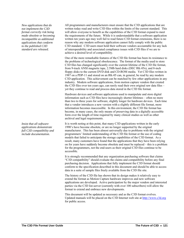*New applications that do not implement the C3D format correctly risk being made obsolete or becoming incompatible as additional applications that conform to the published C3D standard are released.* 

*Insist that all software applications demonstrate full C3D compatibility and include documentation.* 

All programmers and manufacturers must ensure that the C3D applications that are written today read and write C3D files within the limits of the current standard. This will allow everyone to benefit as the capabilities of the C3D format expand to meet the requirements of the future. While it is understandable that a software application written ten years ago may well fail to read future C3D format extensions, there is no reason why any modern software application cannot fully comply with the public C3D standard. C3D users must hold their software vendors accountable for any lack of interoperability and associated compliance issues with C3D files if we are to achieve a desired level of compatibility.

One of the more remarkable features of the C3D file format has been its resistance to the problems of technological obsolescence. The format of the media used to store C3D files has changed significantly over the current lifetime of the C3D file format, from 9-track ANSI magnetic tape, 2.5Mb hard disks (DEC RK-05s), and 8-inch floppy disks to the current DVD disk and CD-ROM media. Yet C3D files written in 1987 on a PDP-11 and stored on an RK-05 can, in general, be read by any modern C3D application. This achievement can be matched by few other applications in any industry. Modern software applications, from motion capture vendors that created the C3D files over ten years ago, can rarely read their own original raw data files – yet they continue to read and process data stored in the C3D file format.

Hardware devices and software applications used to manipulate and store digital information such as C3D files have increasingly shorter lifetimes – often no more than two to three years for software, slightly longer for hardware devices. Each time that a vendor introduces a new version with a slightly different file format, more information becomes inaccessible. In this environment, the C3D file format has become, in many cases, the only means of preserving data in a digitally accessible form over the length of time required by many clinical studies as well as other archival and legal requirements.

It is worth noting at this point, that many C3D applications written in the early 1990's have become obsolete, or are no longer supported by the original manufacturer. This has been almost universally due to problems with the original programmers' limited understanding of the C3D file format or the use of coding models that failed to anticipate the storage capabilities of the C3D format. As a result, many customers have found that the applications that they have been relying on for years have suddenly become obsolete and must be replaced – this is a problem for the programmers, not the end-users as their original C3D files continue to be accessible.

It is strongly recommended that any organization purchasing software that claims "C3D compatibility" should evaluate the claims and compatibility before any final purchasing decision. Applications that fully implement the C3D format should conform to the specification described in this document and should be able to access data in a suite of sample files freely available from the C3D file site.

The history of the C3D file has shown that its design makes it relatively easy to extend the format as Motion Capture hardware improves and new software applications are developed. Active participation by the major vendors and interested parties via the C3D list-server (currently with over 100 subscribers) will allow the format to extend and embrace new developments.

This document will be updated as necessary and as the C3D format evolves. Updated manuals will be placed on the C3D Internet web site at [http://www.c3d.org](http://www.c3d.org/) for public access.